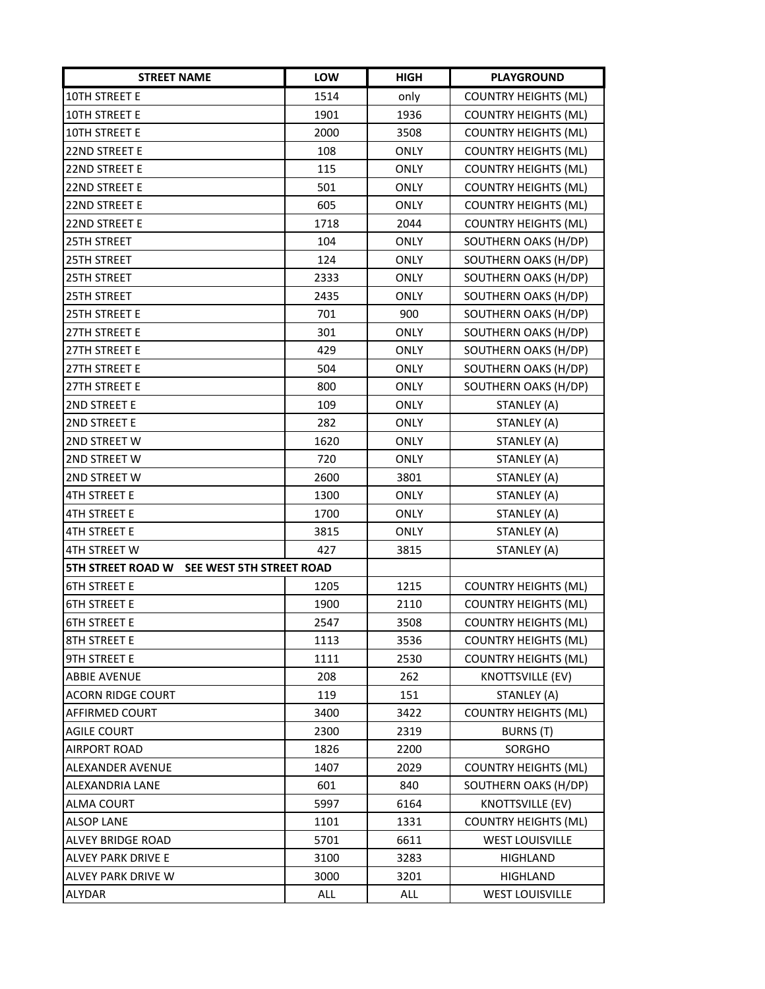| <b>STREET NAME</b>                            | LOW  | <b>HIGH</b> | <b>PLAYGROUND</b>           |
|-----------------------------------------------|------|-------------|-----------------------------|
| 10TH STREET E                                 | 1514 | only        | <b>COUNTRY HEIGHTS (ML)</b> |
| 10TH STREET E                                 | 1901 | 1936        | <b>COUNTRY HEIGHTS (ML)</b> |
| 10TH STREET E                                 | 2000 | 3508        | <b>COUNTRY HEIGHTS (ML)</b> |
| 22ND STREET E                                 | 108  | <b>ONLY</b> | <b>COUNTRY HEIGHTS (ML)</b> |
| 22ND STREET E                                 | 115  | ONLY        | <b>COUNTRY HEIGHTS (ML)</b> |
| 22ND STREET E                                 | 501  | <b>ONLY</b> | <b>COUNTRY HEIGHTS (ML)</b> |
| 22ND STREET E                                 | 605  | <b>ONLY</b> | <b>COUNTRY HEIGHTS (ML)</b> |
| 22ND STREET E                                 | 1718 | 2044        | <b>COUNTRY HEIGHTS (ML)</b> |
| <b>25TH STREET</b>                            | 104  | <b>ONLY</b> | SOUTHERN OAKS (H/DP)        |
| 25TH STREET                                   | 124  | ONLY        | SOUTHERN OAKS (H/DP)        |
| <b>25TH STREET</b>                            | 2333 | <b>ONLY</b> | SOUTHERN OAKS (H/DP)        |
| 25TH STREET                                   | 2435 | <b>ONLY</b> | SOUTHERN OAKS (H/DP)        |
| <b>25TH STREET E</b>                          | 701  | 900         | SOUTHERN OAKS (H/DP)        |
| 27TH STREET E                                 | 301  | <b>ONLY</b> | SOUTHERN OAKS (H/DP)        |
| 27TH STREET E                                 | 429  | <b>ONLY</b> | SOUTHERN OAKS (H/DP)        |
| 27TH STREET E                                 | 504  | <b>ONLY</b> | SOUTHERN OAKS (H/DP)        |
| 27TH STREET E                                 | 800  | <b>ONLY</b> | SOUTHERN OAKS (H/DP)        |
| 2ND STREET E                                  | 109  | <b>ONLY</b> | STANLEY (A)                 |
| 2ND STREET E                                  | 282  | <b>ONLY</b> | STANLEY (A)                 |
| 2ND STREET W                                  | 1620 | <b>ONLY</b> | STANLEY (A)                 |
| 2ND STREET W                                  | 720  | <b>ONLY</b> | STANLEY (A)                 |
| 2ND STREET W                                  | 2600 | 3801        | STANLEY (A)                 |
| 4TH STREET E                                  | 1300 | <b>ONLY</b> | STANLEY (A)                 |
| <b>4TH STREET E</b>                           | 1700 | ONLY        | STANLEY (A)                 |
| <b>4TH STREET E</b>                           | 3815 | <b>ONLY</b> | STANLEY (A)                 |
| <b>4TH STREET W</b>                           | 427  | 3815        | STANLEY (A)                 |
| 5TH STREET ROAD W<br>SEE WEST 5TH STREET ROAD |      |             |                             |
| <b>6TH STREET E</b>                           | 1205 | 1215        | <b>COUNTRY HEIGHTS (ML)</b> |
| <b>6TH STREET E</b>                           | 1900 | 2110        | <b>COUNTRY HEIGHTS (ML)</b> |
| <b>6TH STREET E</b>                           | 2547 | 3508        | <b>COUNTRY HEIGHTS (ML)</b> |
| 8TH STREET E                                  | 1113 | 3536        | <b>COUNTRY HEIGHTS (ML)</b> |
| <b>9TH STREET E</b>                           | 1111 | 2530        | <b>COUNTRY HEIGHTS (ML)</b> |
| <b>ABBIE AVENUE</b>                           | 208  | 262         | KNOTTSVILLE (EV)            |
| <b>ACORN RIDGE COURT</b>                      | 119  | 151         | STANLEY (A)                 |
| <b>AFFIRMED COURT</b>                         | 3400 | 3422        | <b>COUNTRY HEIGHTS (ML)</b> |
| <b>AGILE COURT</b>                            | 2300 | 2319        | BURNS (T)                   |
| <b>AIRPORT ROAD</b>                           | 1826 | 2200        | SORGHO                      |
| ALEXANDER AVENUE                              | 1407 | 2029        | <b>COUNTRY HEIGHTS (ML)</b> |
| ALEXANDRIA LANE                               | 601  | 840         | SOUTHERN OAKS (H/DP)        |
| <b>ALMA COURT</b>                             | 5997 | 6164        | KNOTTSVILLE (EV)            |
| <b>ALSOP LANE</b>                             | 1101 | 1331        | <b>COUNTRY HEIGHTS (ML)</b> |
| ALVEY BRIDGE ROAD                             | 5701 | 6611        | <b>WEST LOUISVILLE</b>      |
| ALVEY PARK DRIVE E                            | 3100 | 3283        | <b>HIGHLAND</b>             |
| ALVEY PARK DRIVE W                            | 3000 | 3201        | HIGHLAND                    |
| ALYDAR                                        | ALL  | ALL         | <b>WEST LOUISVILLE</b>      |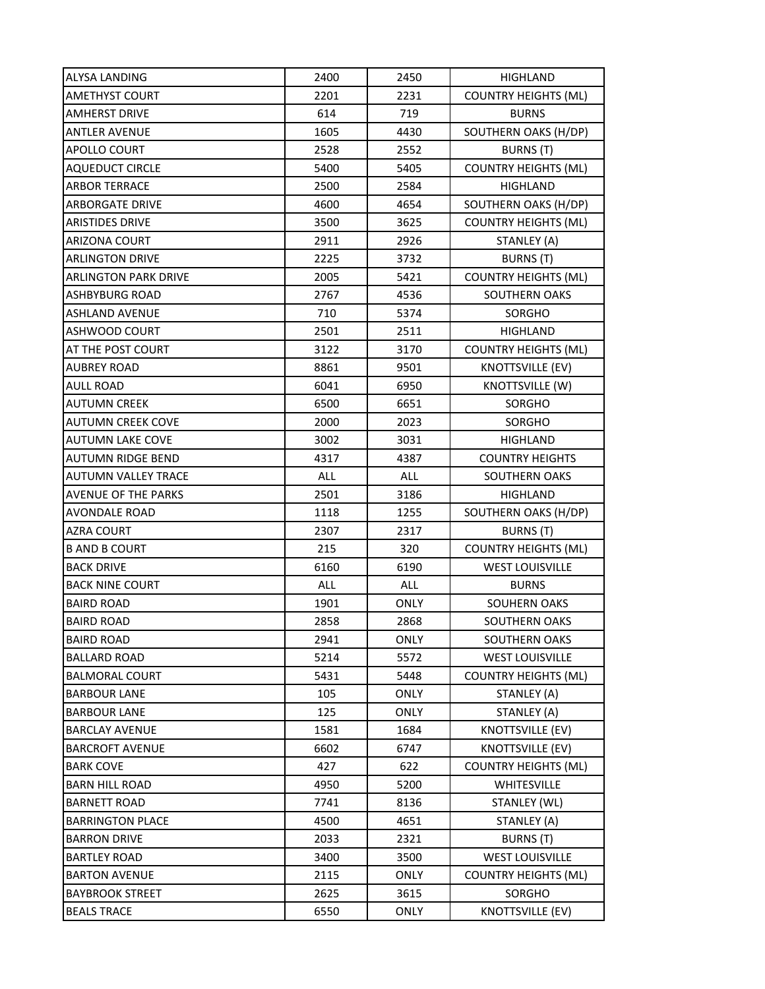| ALYSA LANDING               | 2400 | 2450        | HIGHLAND                    |
|-----------------------------|------|-------------|-----------------------------|
| <b>AMETHYST COURT</b>       | 2201 | 2231        | <b>COUNTRY HEIGHTS (ML)</b> |
| <b>AMHERST DRIVE</b>        | 614  | 719         | <b>BURNS</b>                |
| <b>ANTLER AVENUE</b>        | 1605 | 4430        | SOUTHERN OAKS (H/DP)        |
| APOLLO COURT                | 2528 | 2552        | BURNS (T)                   |
| <b>AQUEDUCT CIRCLE</b>      | 5400 | 5405        | <b>COUNTRY HEIGHTS (ML)</b> |
| <b>ARBOR TERRACE</b>        | 2500 | 2584        | HIGHLAND                    |
| <b>ARBORGATE DRIVE</b>      | 4600 | 4654        | SOUTHERN OAKS (H/DP)        |
| <b>ARISTIDES DRIVE</b>      | 3500 | 3625        | <b>COUNTRY HEIGHTS (ML)</b> |
| <b>ARIZONA COURT</b>        | 2911 | 2926        | STANLEY (A)                 |
| <b>ARLINGTON DRIVE</b>      | 2225 | 3732        | <b>BURNS (T)</b>            |
| <b>ARLINGTON PARK DRIVE</b> | 2005 | 5421        | <b>COUNTRY HEIGHTS (ML)</b> |
| <b>ASHBYBURG ROAD</b>       | 2767 | 4536        | SOUTHERN OAKS               |
| <b>ASHLAND AVENUE</b>       | 710  | 5374        | SORGHO                      |
| <b>ASHWOOD COURT</b>        | 2501 | 2511        | HIGHLAND                    |
| AT THE POST COURT           | 3122 | 3170        | <b>COUNTRY HEIGHTS (ML)</b> |
| <b>AUBREY ROAD</b>          | 8861 | 9501        | KNOTTSVILLE (EV)            |
| <b>AULL ROAD</b>            | 6041 | 6950        | KNOTTSVILLE (W)             |
| <b>AUTUMN CREEK</b>         | 6500 | 6651        | SORGHO                      |
| <b>AUTUMN CREEK COVE</b>    | 2000 | 2023        | SORGHO                      |
| <b>AUTUMN LAKE COVE</b>     | 3002 | 3031        | HIGHLAND                    |
| <b>AUTUMN RIDGE BEND</b>    | 4317 | 4387        | <b>COUNTRY HEIGHTS</b>      |
| AUTUMN VALLEY TRACE         | ALL  | ALL         | SOUTHERN OAKS               |
| <b>AVENUE OF THE PARKS</b>  | 2501 | 3186        | <b>HIGHLAND</b>             |
| AVONDALE ROAD               | 1118 | 1255        | SOUTHERN OAKS (H/DP)        |
| <b>AZRA COURT</b>           | 2307 | 2317        | <b>BURNS</b> (T)            |
| <b>B AND B COURT</b>        | 215  | 320         | <b>COUNTRY HEIGHTS (ML)</b> |
| <b>BACK DRIVE</b>           | 6160 | 6190        | <b>WEST LOUISVILLE</b>      |
| <b>BACK NINE COURT</b>      | ALL  | ALL         | <b>BURNS</b>                |
| <b>BAIRD ROAD</b>           | 1901 | <b>ONLY</b> | SOUHERN OAKS                |
| <b>BAIRD ROAD</b>           | 2858 | 2868        | <b>SOUTHERN OAKS</b>        |
| <b>BAIRD ROAD</b>           | 2941 | <b>ONLY</b> | SOUTHERN OAKS               |
| <b>BALLARD ROAD</b>         | 5214 | 5572        | <b>WEST LOUISVILLE</b>      |
| <b>BALMORAL COURT</b>       | 5431 | 5448        | <b>COUNTRY HEIGHTS (ML)</b> |
| <b>BARBOUR LANE</b>         | 105  | <b>ONLY</b> | STANLEY (A)                 |
| <b>BARBOUR LANE</b>         | 125  | <b>ONLY</b> | STANLEY (A)                 |
| <b>BARCLAY AVENUE</b>       | 1581 | 1684        | KNOTTSVILLE (EV)            |
| <b>BARCROFT AVENUE</b>      | 6602 | 6747        | KNOTTSVILLE (EV)            |
| <b>BARK COVE</b>            | 427  | 622         | <b>COUNTRY HEIGHTS (ML)</b> |
| <b>BARN HILL ROAD</b>       | 4950 | 5200        | WHITESVILLE                 |
| <b>BARNETT ROAD</b>         | 7741 | 8136        | STANLEY (WL)                |
| <b>BARRINGTON PLACE</b>     | 4500 | 4651        | STANLEY (A)                 |
| <b>BARRON DRIVE</b>         | 2033 | 2321        | BURNS (T)                   |
| <b>BARTLEY ROAD</b>         | 3400 | 3500        | <b>WEST LOUISVILLE</b>      |
| <b>BARTON AVENUE</b>        | 2115 | <b>ONLY</b> | <b>COUNTRY HEIGHTS (ML)</b> |
| <b>BAYBROOK STREET</b>      | 2625 | 3615        | SORGHO                      |
| <b>BEALS TRACE</b>          | 6550 | <b>ONLY</b> | <b>KNOTTSVILLE (EV)</b>     |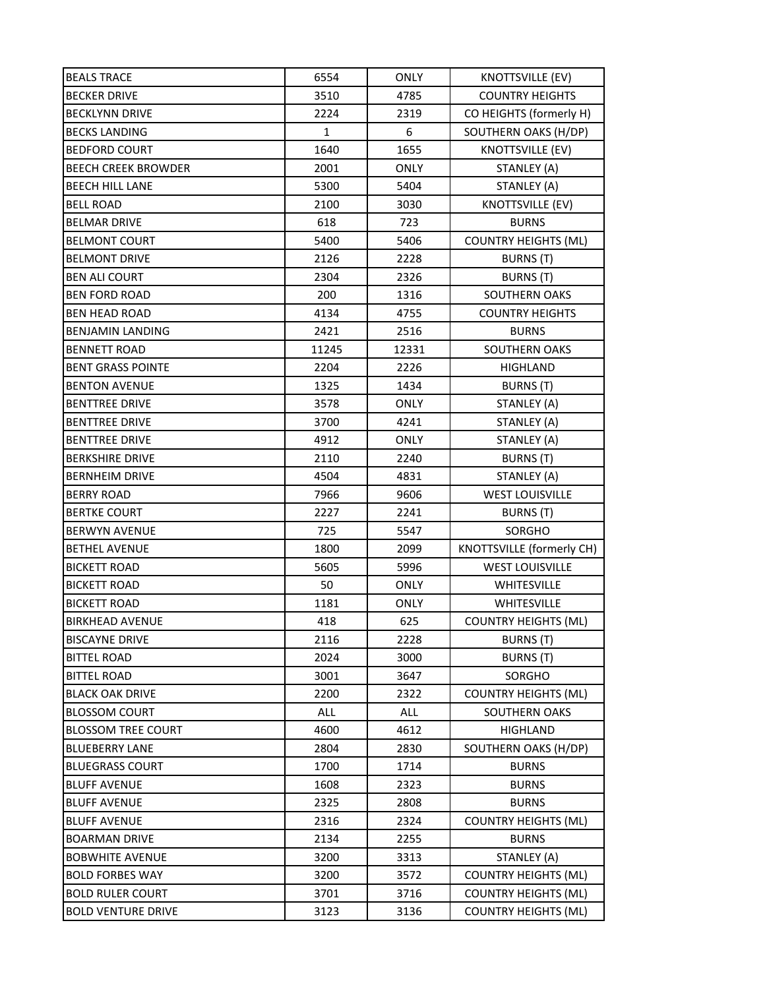| <b>BEALS TRACE</b>         | 6554         | <b>ONLY</b>      | <b>KNOTTSVILLE (EV)</b>     |
|----------------------------|--------------|------------------|-----------------------------|
| <b>BECKER DRIVE</b>        | 3510         | 4785             | <b>COUNTRY HEIGHTS</b>      |
| <b>BECKLYNN DRIVE</b>      | 2224         | 2319             | CO HEIGHTS (formerly H)     |
| <b>BECKS LANDING</b>       | $\mathbf{1}$ | $\boldsymbol{6}$ | SOUTHERN OAKS (H/DP)        |
| <b>BEDFORD COURT</b>       | 1640         | 1655             | <b>KNOTTSVILLE (EV)</b>     |
| <b>BEECH CREEK BROWDER</b> | 2001         | <b>ONLY</b>      | STANLEY (A)                 |
| <b>BEECH HILL LANE</b>     | 5300         | 5404             | STANLEY (A)                 |
| <b>BELL ROAD</b>           | 2100         | 3030             | <b>KNOTTSVILLE (EV)</b>     |
| <b>BELMAR DRIVE</b>        | 618          | 723              | <b>BURNS</b>                |
| <b>BELMONT COURT</b>       | 5400         | 5406             | <b>COUNTRY HEIGHTS (ML)</b> |
| <b>BELMONT DRIVE</b>       | 2126         | 2228             | <b>BURNS (T)</b>            |
| <b>BEN ALI COURT</b>       | 2304         | 2326             | BURNS (T)                   |
| <b>BEN FORD ROAD</b>       | 200          | 1316             | <b>SOUTHERN OAKS</b>        |
| <b>BEN HEAD ROAD</b>       | 4134         | 4755             | <b>COUNTRY HEIGHTS</b>      |
| <b>BENJAMIN LANDING</b>    | 2421         | 2516             | <b>BURNS</b>                |
| <b>BENNETT ROAD</b>        | 11245        | 12331            | SOUTHERN OAKS               |
| <b>BENT GRASS POINTE</b>   | 2204         | 2226             | <b>HIGHLAND</b>             |
| <b>BENTON AVENUE</b>       | 1325         | 1434             | BURNS (T)                   |
| <b>BENTTREE DRIVE</b>      | 3578         | <b>ONLY</b>      | STANLEY (A)                 |
| <b>BENTTREE DRIVE</b>      | 3700         | 4241             | STANLEY (A)                 |
| <b>BENTTREE DRIVE</b>      | 4912         | ONLY             | STANLEY (A)                 |
| <b>BERKSHIRE DRIVE</b>     | 2110         | 2240             | BURNS (T)                   |
| <b>BERNHEIM DRIVE</b>      | 4504         | 4831             | STANLEY (A)                 |
| <b>BERRY ROAD</b>          | 7966         | 9606             | <b>WEST LOUISVILLE</b>      |
| <b>BERTKE COURT</b>        | 2227         | 2241             | BURNS (T)                   |
| <b>BERWYN AVENUE</b>       | 725          | 5547             | SORGHO                      |
| <b>BETHEL AVENUE</b>       | 1800         | 2099             | KNOTTSVILLE (formerly CH)   |
| <b>BICKETT ROAD</b>        | 5605         | 5996             | <b>WEST LOUISVILLE</b>      |
| <b>BICKETT ROAD</b>        | 50           | <b>ONLY</b>      | WHITESVILLE                 |
| <b>BICKETT ROAD</b>        | 1181         | <b>ONLY</b>      | WHITESVILLE                 |
| <b>BIRKHEAD AVENUE</b>     | 418          | 625              | <b>COUNTRY HEIGHTS (ML)</b> |
| <b>BISCAYNE DRIVE</b>      | 2116         | 2228             | BURNS (T)                   |
| <b>BITTEL ROAD</b>         | 2024         | 3000             | <b>BURNS (T)</b>            |
| <b>BITTEL ROAD</b>         | 3001         | 3647             | SORGHO                      |
| <b>BLACK OAK DRIVE</b>     | 2200         | 2322             | <b>COUNTRY HEIGHTS (ML)</b> |
| <b>BLOSSOM COURT</b>       | ALL          | <b>ALL</b>       | SOUTHERN OAKS               |
| <b>BLOSSOM TREE COURT</b>  | 4600         | 4612             | <b>HIGHLAND</b>             |
| <b>BLUEBERRY LANE</b>      | 2804         | 2830             | SOUTHERN OAKS (H/DP)        |
| <b>BLUEGRASS COURT</b>     | 1700         | 1714             | <b>BURNS</b>                |
| <b>BLUFF AVENUE</b>        | 1608         | 2323             | <b>BURNS</b>                |
| <b>BLUFF AVENUE</b>        | 2325         | 2808             | <b>BURNS</b>                |
| <b>BLUFF AVENUE</b>        | 2316         | 2324             | <b>COUNTRY HEIGHTS (ML)</b> |
| <b>BOARMAN DRIVE</b>       | 2134         | 2255             | <b>BURNS</b>                |
| <b>BOBWHITE AVENUE</b>     | 3200         | 3313             | STANLEY (A)                 |
| <b>BOLD FORBES WAY</b>     | 3200         | 3572             | <b>COUNTRY HEIGHTS (ML)</b> |
| <b>BOLD RULER COURT</b>    | 3701         | 3716             | <b>COUNTRY HEIGHTS (ML)</b> |
| <b>BOLD VENTURE DRIVE</b>  | 3123         | 3136             | <b>COUNTRY HEIGHTS (ML)</b> |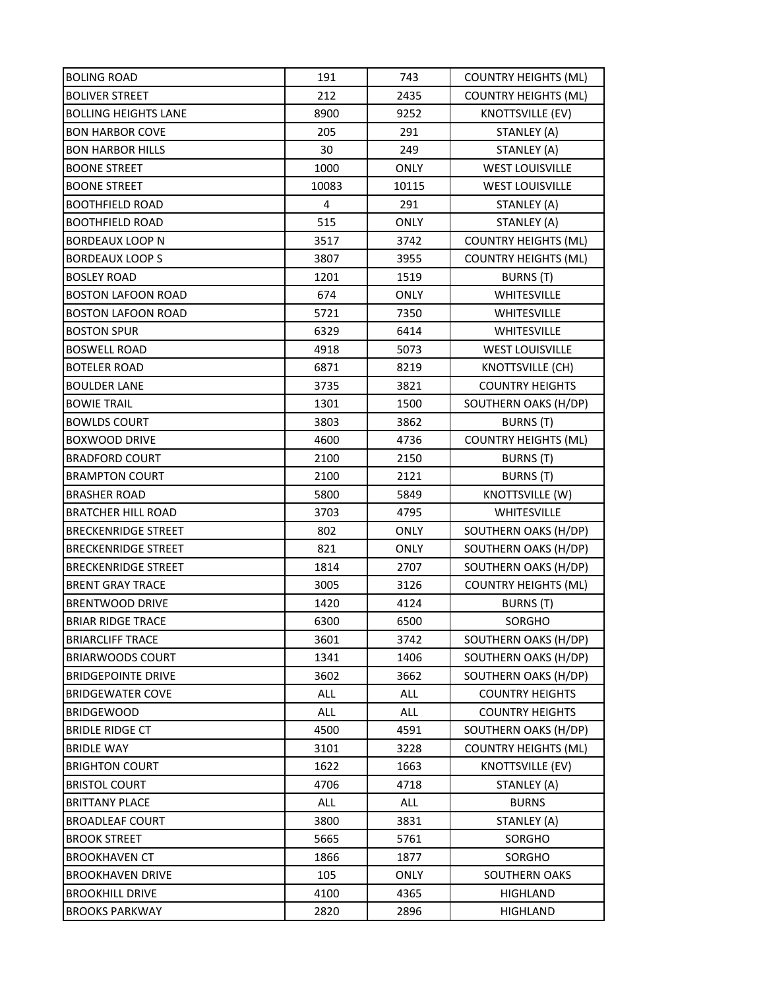| <b>BOLING ROAD</b>          | 191   | 743         | <b>COUNTRY HEIGHTS (ML)</b> |
|-----------------------------|-------|-------------|-----------------------------|
| <b>BOLIVER STREET</b>       | 212   | 2435        | <b>COUNTRY HEIGHTS (ML)</b> |
| <b>BOLLING HEIGHTS LANE</b> | 8900  | 9252        | KNOTTSVILLE (EV)            |
| <b>BON HARBOR COVE</b>      | 205   | 291         | STANLEY (A)                 |
| <b>BON HARBOR HILLS</b>     | 30    | 249         | STANLEY (A)                 |
| <b>BOONE STREET</b>         | 1000  | ONLY        | <b>WEST LOUISVILLE</b>      |
| <b>BOONE STREET</b>         | 10083 | 10115       | <b>WEST LOUISVILLE</b>      |
| <b>BOOTHFIELD ROAD</b>      | 4     | 291         | STANLEY (A)                 |
| <b>BOOTHFIELD ROAD</b>      | 515   | <b>ONLY</b> | STANLEY (A)                 |
| BORDEAUX LOOP N             | 3517  | 3742        | <b>COUNTRY HEIGHTS (ML)</b> |
| <b>BORDEAUX LOOP S</b>      | 3807  | 3955        | <b>COUNTRY HEIGHTS (ML)</b> |
| <b>BOSLEY ROAD</b>          | 1201  | 1519        | BURNS (T)                   |
| <b>BOSTON LAFOON ROAD</b>   | 674   | <b>ONLY</b> | WHITESVILLE                 |
| <b>BOSTON LAFOON ROAD</b>   | 5721  | 7350        | <b>WHITESVILLE</b>          |
| <b>BOSTON SPUR</b>          | 6329  | 6414        | <b>WHITESVILLE</b>          |
| <b>BOSWELL ROAD</b>         | 4918  | 5073        | <b>WEST LOUISVILLE</b>      |
| <b>BOTELER ROAD</b>         | 6871  | 8219        | <b>KNOTTSVILLE (CH)</b>     |
| <b>BOULDER LANE</b>         | 3735  | 3821        | <b>COUNTRY HEIGHTS</b>      |
| <b>BOWIE TRAIL</b>          | 1301  | 1500        | SOUTHERN OAKS (H/DP)        |
| <b>BOWLDS COURT</b>         | 3803  | 3862        | <b>BURNS (T)</b>            |
| <b>BOXWOOD DRIVE</b>        | 4600  | 4736        | <b>COUNTRY HEIGHTS (ML)</b> |
| <b>BRADFORD COURT</b>       | 2100  | 2150        | BURNS (T)                   |
| <b>BRAMPTON COURT</b>       | 2100  | 2121        | <b>BURNS (T)</b>            |
| <b>BRASHER ROAD</b>         | 5800  | 5849        | KNOTTSVILLE (W)             |
| <b>BRATCHER HILL ROAD</b>   | 3703  | 4795        | WHITESVILLE                 |
| <b>BRECKENRIDGE STREET</b>  | 802   | <b>ONLY</b> | SOUTHERN OAKS (H/DP)        |
| <b>BRECKENRIDGE STREET</b>  | 821   | <b>ONLY</b> | SOUTHERN OAKS (H/DP)        |
| <b>BRECKENRIDGE STREET</b>  | 1814  | 2707        | SOUTHERN OAKS (H/DP)        |
| <b>BRENT GRAY TRACE</b>     | 3005  | 3126        | <b>COUNTRY HEIGHTS (ML)</b> |
| <b>BRENTWOOD DRIVE</b>      | 1420  | 4124        | BURNS (T)                   |
| <b>BRIAR RIDGE TRACE</b>    | 6300  | 6500        | SORGHO                      |
| <b>BRIARCLIFF TRACE</b>     | 3601  | 3742        | SOUTHERN OAKS (H/DP)        |
| <b>BRIARWOODS COURT</b>     | 1341  | 1406        | SOUTHERN OAKS (H/DP)        |
| <b>BRIDGEPOINTE DRIVE</b>   | 3602  | 3662        | SOUTHERN OAKS (H/DP)        |
| <b>BRIDGEWATER COVE</b>     | ALL   | ALL         | <b>COUNTRY HEIGHTS</b>      |
| <b>BRIDGEWOOD</b>           | ALL   | ALL         | <b>COUNTRY HEIGHTS</b>      |
| <b>BRIDLE RIDGE CT</b>      | 4500  | 4591        | SOUTHERN OAKS (H/DP)        |
| <b>BRIDLE WAY</b>           | 3101  | 3228        | <b>COUNTRY HEIGHTS (ML)</b> |
| <b>BRIGHTON COURT</b>       | 1622  | 1663        | KNOTTSVILLE (EV)            |
| <b>BRISTOL COURT</b>        | 4706  | 4718        | STANLEY (A)                 |
| <b>BRITTANY PLACE</b>       | ALL   | ALL         | <b>BURNS</b>                |
| <b>BROADLEAF COURT</b>      | 3800  | 3831        | STANLEY (A)                 |
| <b>BROOK STREET</b>         | 5665  | 5761        | SORGHO                      |
| <b>BROOKHAVEN CT</b>        | 1866  | 1877        | SORGHO                      |
| <b>BROOKHAVEN DRIVE</b>     | 105   | <b>ONLY</b> | SOUTHERN OAKS               |
| <b>BROOKHILL DRIVE</b>      | 4100  | 4365        | <b>HIGHLAND</b>             |
| <b>BROOKS PARKWAY</b>       | 2820  | 2896        | HIGHLAND                    |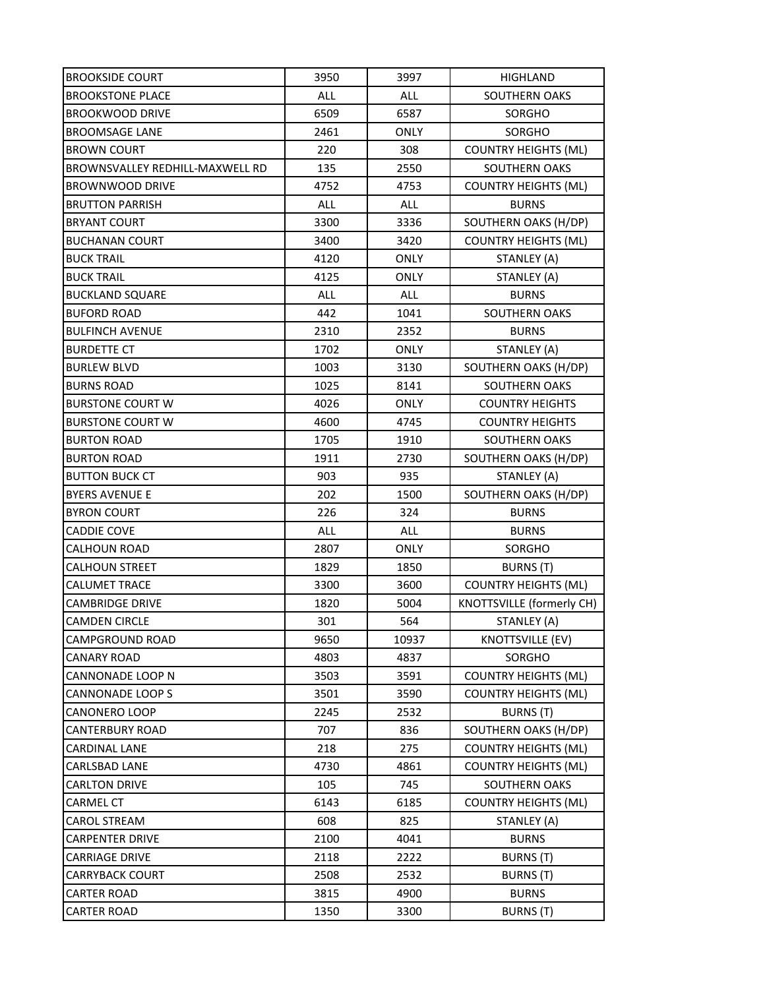| <b>BROOKSIDE COURT</b>          | 3950       | 3997        | <b>HIGHLAND</b>             |
|---------------------------------|------------|-------------|-----------------------------|
| <b>BROOKSTONE PLACE</b>         | ALL        | ALL         | SOUTHERN OAKS               |
| <b>BROOKWOOD DRIVE</b>          | 6509       | 6587        | SORGHO                      |
| <b>BROOMSAGE LANE</b>           | 2461       | <b>ONLY</b> | SORGHO                      |
| <b>BROWN COURT</b>              | 220        | 308         | <b>COUNTRY HEIGHTS (ML)</b> |
| BROWNSVALLEY REDHILL-MAXWELL RD | 135        | 2550        | SOUTHERN OAKS               |
| <b>BROWNWOOD DRIVE</b>          | 4752       | 4753        | <b>COUNTRY HEIGHTS (ML)</b> |
| <b>BRUTTON PARRISH</b>          | ALL        | <b>ALL</b>  | <b>BURNS</b>                |
| <b>BRYANT COURT</b>             | 3300       | 3336        | SOUTHERN OAKS (H/DP)        |
| <b>BUCHANAN COURT</b>           | 3400       | 3420        | <b>COUNTRY HEIGHTS (ML)</b> |
| <b>BUCK TRAIL</b>               | 4120       | <b>ONLY</b> | STANLEY (A)                 |
| <b>BUCK TRAIL</b>               | 4125       | <b>ONLY</b> | STANLEY (A)                 |
| <b>BUCKLAND SQUARE</b>          | <b>ALL</b> | ALL         | <b>BURNS</b>                |
| <b>BUFORD ROAD</b>              | 442        | 1041        | SOUTHERN OAKS               |
| <b>BULFINCH AVENUE</b>          | 2310       | 2352        | <b>BURNS</b>                |
| <b>BURDETTE CT</b>              | 1702       | <b>ONLY</b> | STANLEY (A)                 |
| <b>BURLEW BLVD</b>              | 1003       | 3130        | SOUTHERN OAKS (H/DP)        |
| <b>BURNS ROAD</b>               | 1025       | 8141        | SOUTHERN OAKS               |
| <b>BURSTONE COURT W</b>         | 4026       | <b>ONLY</b> | <b>COUNTRY HEIGHTS</b>      |
| <b>BURSTONE COURT W</b>         | 4600       | 4745        | <b>COUNTRY HEIGHTS</b>      |
| <b>BURTON ROAD</b>              | 1705       | 1910        | SOUTHERN OAKS               |
| <b>BURTON ROAD</b>              | 1911       | 2730        | SOUTHERN OAKS (H/DP)        |
| <b>BUTTON BUCK CT</b>           | 903        | 935         | STANLEY (A)                 |
| <b>BYERS AVENUE E</b>           | 202        | 1500        | SOUTHERN OAKS (H/DP)        |
| <b>BYRON COURT</b>              | 226        | 324         | <b>BURNS</b>                |
| <b>CADDIE COVE</b>              | ALL        | ALL         | <b>BURNS</b>                |
| CALHOUN ROAD                    | 2807       | <b>ONLY</b> | SORGHO                      |
| <b>CALHOUN STREET</b>           | 1829       | 1850        | BURNS (T)                   |
| <b>CALUMET TRACE</b>            | 3300       | 3600        | <b>COUNTRY HEIGHTS (ML)</b> |
| <b>CAMBRIDGE DRIVE</b>          | 1820       | 5004        | KNOTTSVILLE (formerly CH)   |
| <b>CAMDEN CIRCLE</b>            | 301        | 564         | STANLEY (A)                 |
| CAMPGROUND ROAD                 | 9650       | 10937       | <b>KNOTTSVILLE (EV)</b>     |
| <b>CANARY ROAD</b>              | 4803       | 4837        | SORGHO                      |
| CANNONADE LOOP N                | 3503       | 3591        | <b>COUNTRY HEIGHTS (ML)</b> |
| CANNONADE LOOP S                | 3501       | 3590        | <b>COUNTRY HEIGHTS (ML)</b> |
| CANONERO LOOP                   | 2245       | 2532        | BURNS (T)                   |
| CANTERBURY ROAD                 | 707        | 836         | SOUTHERN OAKS (H/DP)        |
| CARDINAL LANE                   | 218        | 275         | <b>COUNTRY HEIGHTS (ML)</b> |
| CARLSBAD LANE                   | 4730       | 4861        | <b>COUNTRY HEIGHTS (ML)</b> |
| CARLTON DRIVE                   | 105        | 745         | SOUTHERN OAKS               |
| CARMEL CT                       | 6143       | 6185        | <b>COUNTRY HEIGHTS (ML)</b> |
| CAROL STREAM                    | 608        | 825         | STANLEY (A)                 |
| <b>CARPENTER DRIVE</b>          | 2100       | 4041        | <b>BURNS</b>                |
| CARRIAGE DRIVE                  | 2118       | 2222        | BURNS (T)                   |
| <b>CARRYBACK COURT</b>          | 2508       | 2532        | BURNS (T)                   |
| CARTER ROAD                     | 3815       | 4900        | <b>BURNS</b>                |
| CARTER ROAD                     | 1350       | 3300        | <b>BURNS</b> (T)            |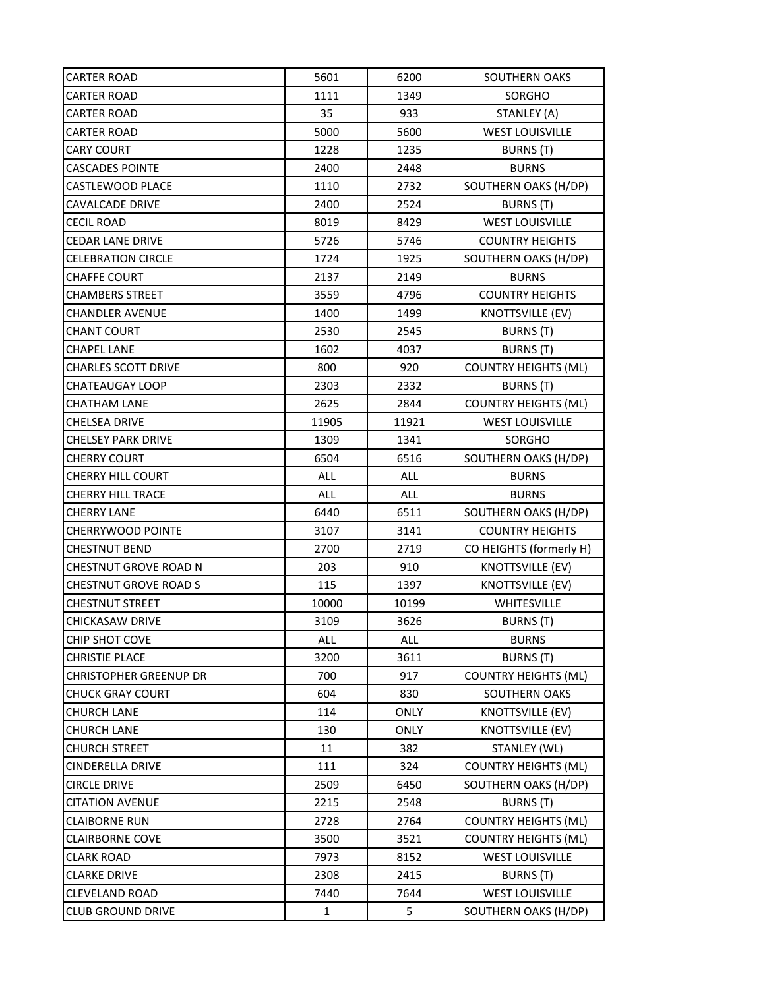| CARTER ROAD                  | 5601  | 6200        | <b>SOUTHERN OAKS</b>        |
|------------------------------|-------|-------------|-----------------------------|
| CARTER ROAD                  | 1111  | 1349        | SORGHO                      |
| CARTER ROAD                  | 35    | 933         | STANLEY (A)                 |
| <b>CARTER ROAD</b>           | 5000  | 5600        | <b>WEST LOUISVILLE</b>      |
| <b>CARY COURT</b>            | 1228  | 1235        | BURNS (T)                   |
| <b>CASCADES POINTE</b>       | 2400  | 2448        | <b>BURNS</b>                |
| CASTLEWOOD PLACE             | 1110  | 2732        | SOUTHERN OAKS (H/DP)        |
| CAVALCADE DRIVE              | 2400  | 2524        | BURNS (T)                   |
| CECIL ROAD                   | 8019  | 8429        | <b>WEST LOUISVILLE</b>      |
| <b>CEDAR LANE DRIVE</b>      | 5726  | 5746        | <b>COUNTRY HEIGHTS</b>      |
| <b>CELEBRATION CIRCLE</b>    | 1724  | 1925        | SOUTHERN OAKS (H/DP)        |
| <b>CHAFFE COURT</b>          | 2137  | 2149        | <b>BURNS</b>                |
| CHAMBERS STREET              | 3559  | 4796        | <b>COUNTRY HEIGHTS</b>      |
| <b>CHANDLER AVENUE</b>       | 1400  | 1499        | <b>KNOTTSVILLE (EV)</b>     |
| <b>CHANT COURT</b>           | 2530  | 2545        | BURNS (T)                   |
| <b>CHAPEL LANE</b>           | 1602  | 4037        | <b>BURNS (T)</b>            |
| <b>CHARLES SCOTT DRIVE</b>   | 800   | 920         | <b>COUNTRY HEIGHTS (ML)</b> |
| <b>CHATEAUGAY LOOP</b>       | 2303  | 2332        | BURNS (T)                   |
| <b>CHATHAM LANE</b>          | 2625  | 2844        | <b>COUNTRY HEIGHTS (ML)</b> |
| <b>CHELSEA DRIVE</b>         | 11905 | 11921       | <b>WEST LOUISVILLE</b>      |
| <b>CHELSEY PARK DRIVE</b>    | 1309  | 1341        | SORGHO                      |
| <b>CHERRY COURT</b>          | 6504  | 6516        | SOUTHERN OAKS (H/DP)        |
| CHERRY HILL COURT            | ALL   | ALL         | <b>BURNS</b>                |
| CHERRY HILL TRACE            | ALL   | ALL         | <b>BURNS</b>                |
| <b>CHERRY LANE</b>           | 6440  | 6511        | SOUTHERN OAKS (H/DP)        |
| <b>CHERRYWOOD POINTE</b>     | 3107  | 3141        | <b>COUNTRY HEIGHTS</b>      |
| <b>CHESTNUT BEND</b>         | 2700  | 2719        | CO HEIGHTS (formerly H)     |
| CHESTNUT GROVE ROAD N        | 203   | 910         | <b>KNOTTSVILLE (EV)</b>     |
| <b>CHESTNUT GROVE ROAD S</b> | 115   | 1397        | <b>KNOTTSVILLE (EV)</b>     |
| <b>CHESTNUT STREET</b>       | 10000 | 10199       | WHITESVILLE                 |
| CHICKASAW DRIVE              | 3109  | 3626        | BURNS (T)                   |
| CHIP SHOT COVE               | ALL   | <b>ALL</b>  | <b>BURNS</b>                |
| <b>CHRISTIE PLACE</b>        | 3200  | 3611        | BURNS (T)                   |
| CHRISTOPHER GREENUP DR       | 700   | 917         | <b>COUNTRY HEIGHTS (ML)</b> |
| <b>CHUCK GRAY COURT</b>      | 604   | 830         | SOUTHERN OAKS               |
| <b>CHURCH LANE</b>           | 114   | <b>ONLY</b> | <b>KNOTTSVILLE (EV)</b>     |
| CHURCH LANE                  | 130   | <b>ONLY</b> | <b>KNOTTSVILLE (EV)</b>     |
| <b>CHURCH STREET</b>         | 11    | 382         | STANLEY (WL)                |
| CINDERELLA DRIVE             | 111   | 324         | <b>COUNTRY HEIGHTS (ML)</b> |
| <b>CIRCLE DRIVE</b>          | 2509  | 6450        | SOUTHERN OAKS (H/DP)        |
| <b>CITATION AVENUE</b>       | 2215  | 2548        | BURNS (T)                   |
| <b>CLAIBORNE RUN</b>         | 2728  | 2764        | <b>COUNTRY HEIGHTS (ML)</b> |
| <b>CLAIRBORNE COVE</b>       | 3500  | 3521        | <b>COUNTRY HEIGHTS (ML)</b> |
| <b>CLARK ROAD</b>            | 7973  | 8152        | <b>WEST LOUISVILLE</b>      |
| <b>CLARKE DRIVE</b>          | 2308  | 2415        | BURNS (T)                   |
| <b>CLEVELAND ROAD</b>        | 7440  | 7644        | <b>WEST LOUISVILLE</b>      |
| <b>CLUB GROUND DRIVE</b>     | 1     | 5           | SOUTHERN OAKS (H/DP)        |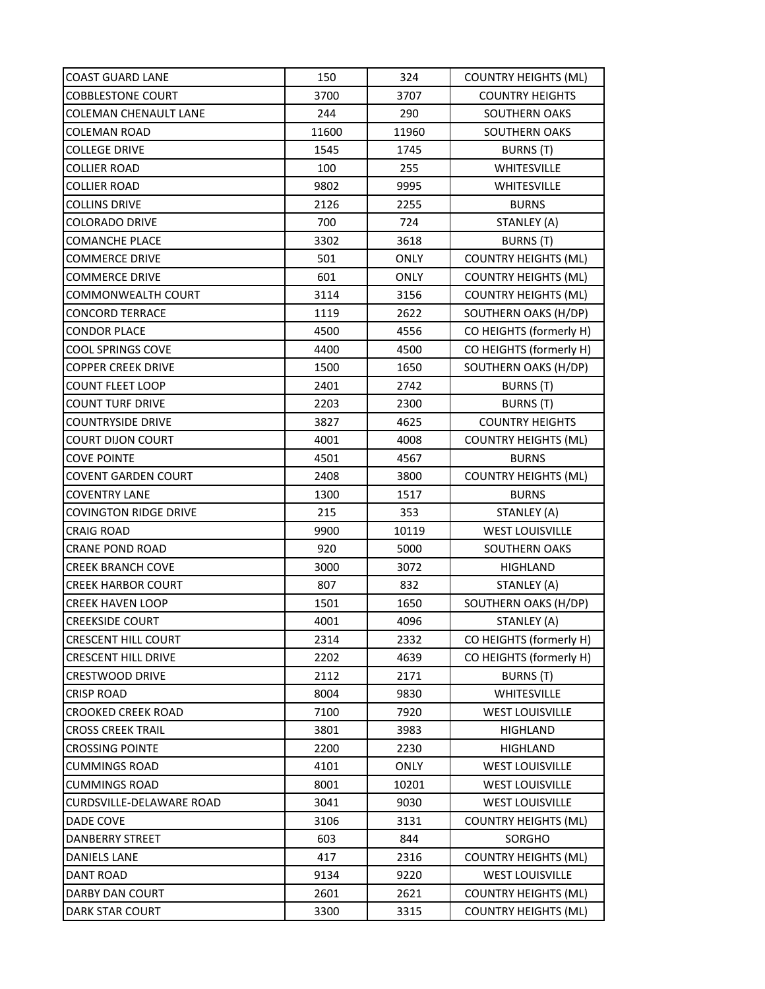| <b>COAST GUARD LANE</b>      | 150   | 324         | <b>COUNTRY HEIGHTS (ML)</b> |
|------------------------------|-------|-------------|-----------------------------|
| <b>COBBLESTONE COURT</b>     | 3700  | 3707        | <b>COUNTRY HEIGHTS</b>      |
| <b>COLEMAN CHENAULT LANE</b> | 244   | 290         | SOUTHERN OAKS               |
| <b>COLEMAN ROAD</b>          | 11600 | 11960       | SOUTHERN OAKS               |
| <b>COLLEGE DRIVE</b>         | 1545  | 1745        | BURNS (T)                   |
| <b>COLLIER ROAD</b>          | 100   | 255         | WHITESVILLE                 |
| <b>COLLIER ROAD</b>          | 9802  | 9995        | WHITESVILLE                 |
| <b>COLLINS DRIVE</b>         | 2126  | 2255        | <b>BURNS</b>                |
| <b>COLORADO DRIVE</b>        | 700   | 724         | STANLEY (A)                 |
| <b>COMANCHE PLACE</b>        | 3302  | 3618        | BURNS (T)                   |
| <b>COMMERCE DRIVE</b>        | 501   | <b>ONLY</b> | <b>COUNTRY HEIGHTS (ML)</b> |
| <b>COMMERCE DRIVE</b>        | 601   | <b>ONLY</b> | <b>COUNTRY HEIGHTS (ML)</b> |
| <b>COMMONWEALTH COURT</b>    | 3114  | 3156        | <b>COUNTRY HEIGHTS (ML)</b> |
| <b>CONCORD TERRACE</b>       | 1119  | 2622        | SOUTHERN OAKS (H/DP)        |
| <b>CONDOR PLACE</b>          | 4500  | 4556        | CO HEIGHTS (formerly H)     |
| <b>COOL SPRINGS COVE</b>     | 4400  | 4500        | CO HEIGHTS (formerly H)     |
| <b>COPPER CREEK DRIVE</b>    | 1500  | 1650        | SOUTHERN OAKS (H/DP)        |
| <b>COUNT FLEET LOOP</b>      | 2401  | 2742        | <b>BURNS (T)</b>            |
| <b>COUNT TURF DRIVE</b>      | 2203  | 2300        | BURNS (T)                   |
| <b>COUNTRYSIDE DRIVE</b>     | 3827  | 4625        | <b>COUNTRY HEIGHTS</b>      |
| <b>COURT DIJON COURT</b>     | 4001  | 4008        | <b>COUNTRY HEIGHTS (ML)</b> |
| <b>COVE POINTE</b>           | 4501  | 4567        | <b>BURNS</b>                |
| <b>COVENT GARDEN COURT</b>   | 2408  | 3800        | <b>COUNTRY HEIGHTS (ML)</b> |
| <b>COVENTRY LANE</b>         | 1300  | 1517        | <b>BURNS</b>                |
| <b>COVINGTON RIDGE DRIVE</b> | 215   | 353         | STANLEY (A)                 |
| <b>CRAIG ROAD</b>            | 9900  | 10119       | <b>WEST LOUISVILLE</b>      |
| <b>CRANE POND ROAD</b>       | 920   | 5000        | <b>SOUTHERN OAKS</b>        |
| <b>CREEK BRANCH COVE</b>     | 3000  | 3072        | HIGHLAND                    |
| <b>CREEK HARBOR COURT</b>    | 807   | 832         | STANLEY (A)                 |
| <b>CREEK HAVEN LOOP</b>      | 1501  | 1650        | SOUTHERN OAKS (H/DP)        |
| <b>CREEKSIDE COURT</b>       | 4001  | 4096        | STANLEY (A)                 |
| <b>CRESCENT HILL COURT</b>   | 2314  | 2332        | CO HEIGHTS (formerly H)     |
| <b>CRESCENT HILL DRIVE</b>   | 2202  | 4639        | CO HEIGHTS (formerly H)     |
| <b>CRESTWOOD DRIVE</b>       | 2112  | 2171        | BURNS (T)                   |
| <b>CRISP ROAD</b>            | 8004  | 9830        | WHITESVILLE                 |
| <b>CROOKED CREEK ROAD</b>    | 7100  | 7920        | <b>WEST LOUISVILLE</b>      |
| <b>CROSS CREEK TRAIL</b>     | 3801  | 3983        | <b>HIGHLAND</b>             |
| <b>CROSSING POINTE</b>       | 2200  | 2230        | <b>HIGHLAND</b>             |
| <b>CUMMINGS ROAD</b>         | 4101  | <b>ONLY</b> | <b>WEST LOUISVILLE</b>      |
| <b>CUMMINGS ROAD</b>         | 8001  | 10201       | <b>WEST LOUISVILLE</b>      |
| CURDSVILLE-DELAWARE ROAD     | 3041  | 9030        | <b>WEST LOUISVILLE</b>      |
| DADE COVE                    | 3106  | 3131        | <b>COUNTRY HEIGHTS (ML)</b> |
| DANBERRY STREET              | 603   | 844         | SORGHO                      |
| DANIELS LANE                 | 417   | 2316        | <b>COUNTRY HEIGHTS (ML)</b> |
| <b>DANT ROAD</b>             | 9134  | 9220        | <b>WEST LOUISVILLE</b>      |
| DARBY DAN COURT              | 2601  | 2621        | <b>COUNTRY HEIGHTS (ML)</b> |
| DARK STAR COURT              | 3300  | 3315        | <b>COUNTRY HEIGHTS (ML)</b> |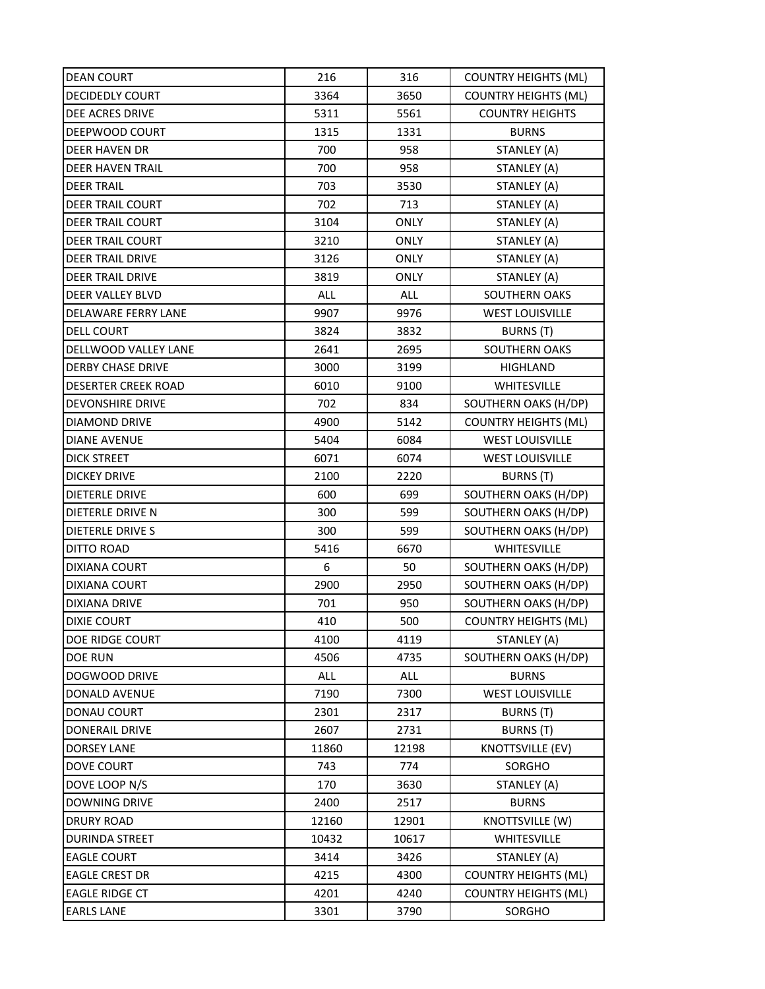| <b>DEAN COURT</b>          | 216        | 316         | <b>COUNTRY HEIGHTS (ML)</b> |
|----------------------------|------------|-------------|-----------------------------|
| <b>DECIDEDLY COURT</b>     | 3364       | 3650        | <b>COUNTRY HEIGHTS (ML)</b> |
| DEE ACRES DRIVE            | 5311       | 5561        | <b>COUNTRY HEIGHTS</b>      |
| DEEPWOOD COURT             | 1315       | 1331        | <b>BURNS</b>                |
| <b>DEER HAVEN DR</b>       | 700        | 958         | STANLEY (A)                 |
| <b>DEER HAVEN TRAIL</b>    | 700        | 958         | STANLEY (A)                 |
| <b>DEER TRAIL</b>          | 703        | 3530        | STANLEY (A)                 |
| <b>DEER TRAIL COURT</b>    | 702        | 713         | STANLEY (A)                 |
| <b>DEER TRAIL COURT</b>    | 3104       | ONLY        | STANLEY (A)                 |
| <b>DEER TRAIL COURT</b>    | 3210       | <b>ONLY</b> | STANLEY (A)                 |
| DEER TRAIL DRIVE           | 3126       | <b>ONLY</b> | STANLEY (A)                 |
| <b>DEER TRAIL DRIVE</b>    | 3819       | <b>ONLY</b> | STANLEY (A)                 |
| DEER VALLEY BLVD           | <b>ALL</b> | <b>ALL</b>  | <b>SOUTHERN OAKS</b>        |
| DELAWARE FERRY LANE        | 9907       | 9976        | <b>WEST LOUISVILLE</b>      |
| <b>DELL COURT</b>          | 3824       | 3832        | BURNS (T)                   |
| DELLWOOD VALLEY LANE       | 2641       | 2695        | <b>SOUTHERN OAKS</b>        |
| DERBY CHASE DRIVE          | 3000       | 3199        | HIGHLAND                    |
| <b>DESERTER CREEK ROAD</b> | 6010       | 9100        | <b>WHITESVILLE</b>          |
| <b>DEVONSHIRE DRIVE</b>    | 702        | 834         | SOUTHERN OAKS (H/DP)        |
| DIAMOND DRIVE              | 4900       | 5142        | <b>COUNTRY HEIGHTS (ML)</b> |
| <b>DIANE AVENUE</b>        | 5404       | 6084        | <b>WEST LOUISVILLE</b>      |
| DICK STREET                | 6071       | 6074        | <b>WEST LOUISVILLE</b>      |
| <b>DICKEY DRIVE</b>        | 2100       | 2220        | BURNS (T)                   |
| <b>DIETERLE DRIVE</b>      | 600        | 699         | SOUTHERN OAKS (H/DP)        |
| DIETERLE DRIVE N           | 300        | 599         | SOUTHERN OAKS (H/DP)        |
| DIETERLE DRIVE S           | 300        | 599         | SOUTHERN OAKS (H/DP)        |
| DITTO ROAD                 | 5416       | 6670        | <b>WHITESVILLE</b>          |
| <b>DIXIANA COURT</b>       | 6          | 50          | SOUTHERN OAKS (H/DP)        |
| DIXIANA COURT              | 2900       | 2950        | SOUTHERN OAKS (H/DP)        |
| DIXIANA DRIVE              | 701        | 950         | SOUTHERN OAKS (H/DP)        |
| <b>DIXIE COURT</b>         | 410        | 500         | <b>COUNTRY HEIGHTS (ML)</b> |
| DOE RIDGE COURT            | 4100       | 4119        | STANLEY (A)                 |
| DOE RUN                    | 4506       | 4735        | SOUTHERN OAKS (H/DP)        |
| DOGWOOD DRIVE              | ALL        | ALL         | <b>BURNS</b>                |
| DONALD AVENUE              | 7190       | 7300        | <b>WEST LOUISVILLE</b>      |
| <b>DONAU COURT</b>         | 2301       | 2317        | BURNS (T)                   |
| DONERAIL DRIVE             | 2607       | 2731        | <b>BURNS (T)</b>            |
| DORSEY LANE                | 11860      | 12198       | <b>KNOTTSVILLE (EV)</b>     |
| <b>DOVE COURT</b>          | 743        | 774         | SORGHO                      |
| DOVE LOOP N/S              | 170        | 3630        | STANLEY (A)                 |
| DOWNING DRIVE              | 2400       | 2517        | <b>BURNS</b>                |
| <b>DRURY ROAD</b>          | 12160      | 12901       | KNOTTSVILLE (W)             |
| DURINDA STREET             | 10432      | 10617       | WHITESVILLE                 |
| <b>EAGLE COURT</b>         | 3414       | 3426        | STANLEY (A)                 |
| <b>EAGLE CREST DR</b>      | 4215       | 4300        | <b>COUNTRY HEIGHTS (ML)</b> |
| <b>EAGLE RIDGE CT</b>      | 4201       | 4240        | <b>COUNTRY HEIGHTS (ML)</b> |
| <b>EARLS LANE</b>          | 3301       | 3790        | SORGHO                      |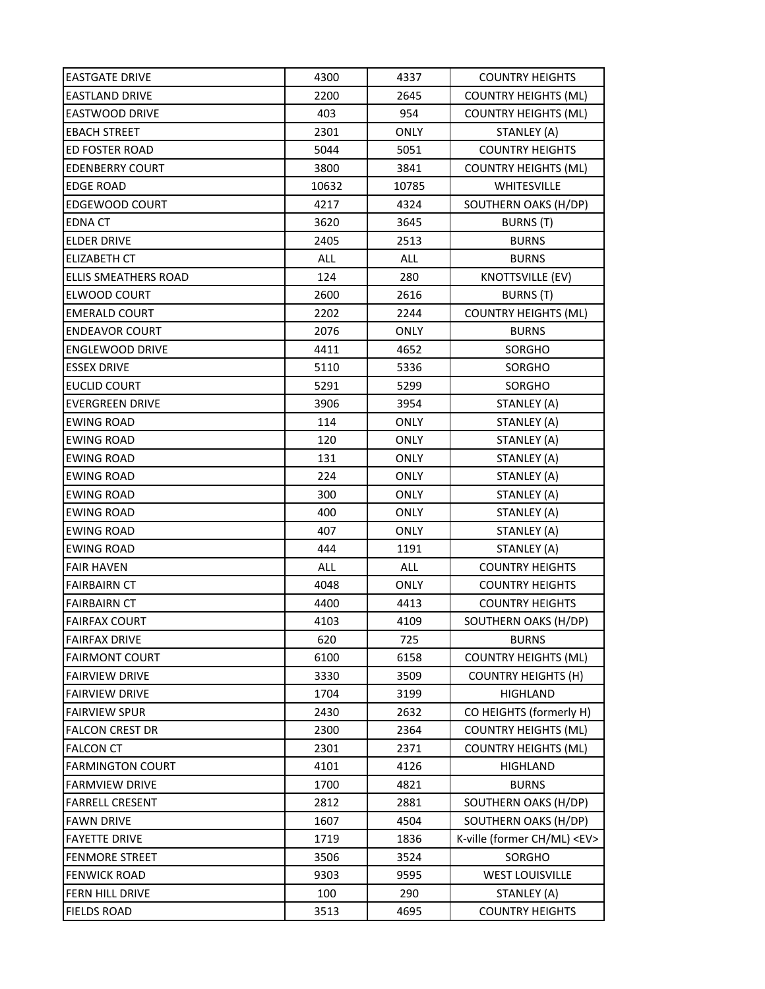| <b>EASTGATE DRIVE</b>   | 4300  | 4337        | <b>COUNTRY HEIGHTS</b>           |
|-------------------------|-------|-------------|----------------------------------|
| <b>EASTLAND DRIVE</b>   | 2200  | 2645        | <b>COUNTRY HEIGHTS (ML)</b>      |
| <b>EASTWOOD DRIVE</b>   | 403   | 954         | <b>COUNTRY HEIGHTS (ML)</b>      |
| <b>EBACH STREET</b>     | 2301  | <b>ONLY</b> | STANLEY (A)                      |
| ED FOSTER ROAD          | 5044  | 5051        | <b>COUNTRY HEIGHTS</b>           |
| <b>EDENBERRY COURT</b>  | 3800  | 3841        | <b>COUNTRY HEIGHTS (ML)</b>      |
| <b>EDGE ROAD</b>        | 10632 | 10785       | WHITESVILLE                      |
| EDGEWOOD COURT          | 4217  | 4324        | SOUTHERN OAKS (H/DP)             |
| <b>EDNA CT</b>          | 3620  | 3645        | <b>BURNS</b> (T)                 |
| <b>ELDER DRIVE</b>      | 2405  | 2513        | <b>BURNS</b>                     |
| <b>ELIZABETH CT</b>     | ALL   | <b>ALL</b>  | <b>BURNS</b>                     |
| ELLIS SMEATHERS ROAD    | 124   | 280         | <b>KNOTTSVILLE (EV)</b>          |
| ELWOOD COURT            | 2600  | 2616        | BURNS (T)                        |
| <b>EMERALD COURT</b>    | 2202  | 2244        | <b>COUNTRY HEIGHTS (ML)</b>      |
| <b>ENDEAVOR COURT</b>   | 2076  | <b>ONLY</b> | <b>BURNS</b>                     |
| <b>ENGLEWOOD DRIVE</b>  | 4411  | 4652        | SORGHO                           |
| <b>ESSEX DRIVE</b>      | 5110  | 5336        | SORGHO                           |
| <b>EUCLID COURT</b>     | 5291  | 5299        | SORGHO                           |
| <b>EVERGREEN DRIVE</b>  | 3906  | 3954        | STANLEY (A)                      |
| <b>EWING ROAD</b>       | 114   | <b>ONLY</b> | STANLEY (A)                      |
| <b>EWING ROAD</b>       | 120   | <b>ONLY</b> | STANLEY (A)                      |
| <b>EWING ROAD</b>       | 131   | ONLY        | STANLEY (A)                      |
| <b>EWING ROAD</b>       | 224   | <b>ONLY</b> | STANLEY (A)                      |
| <b>EWING ROAD</b>       | 300   | <b>ONLY</b> | STANLEY (A)                      |
| <b>EWING ROAD</b>       | 400   | ONLY        | STANLEY (A)                      |
| <b>EWING ROAD</b>       | 407   | <b>ONLY</b> | STANLEY (A)                      |
| <b>EWING ROAD</b>       | 444   | 1191        | STANLEY (A)                      |
| <b>FAIR HAVEN</b>       | ALL   | <b>ALL</b>  | <b>COUNTRY HEIGHTS</b>           |
| <b>FAIRBAIRN CT</b>     | 4048  | <b>ONLY</b> | <b>COUNTRY HEIGHTS</b>           |
| <b>FAIRBAIRN CT</b>     | 4400  | 4413        | <b>COUNTRY HEIGHTS</b>           |
| <b>FAIRFAX COURT</b>    | 4103  | 4109        | SOUTHERN OAKS (H/DP)             |
| <b>FAIRFAX DRIVE</b>    | 620   | 725         | <b>BURNS</b>                     |
| <b>FAIRMONT COURT</b>   | 6100  | 6158        | <b>COUNTRY HEIGHTS (ML)</b>      |
| <b>FAIRVIEW DRIVE</b>   | 3330  | 3509        | <b>COUNTRY HEIGHTS (H)</b>       |
| <b>FAIRVIEW DRIVE</b>   | 1704  | 3199        | <b>HIGHLAND</b>                  |
| <b>FAIRVIEW SPUR</b>    | 2430  | 2632        | CO HEIGHTS (formerly H)          |
| <b>FALCON CREST DR</b>  | 2300  | 2364        | <b>COUNTRY HEIGHTS (ML)</b>      |
| <b>FALCON CT</b>        | 2301  | 2371        | <b>COUNTRY HEIGHTS (ML)</b>      |
| <b>FARMINGTON COURT</b> | 4101  | 4126        | <b>HIGHLAND</b>                  |
| <b>FARMVIEW DRIVE</b>   | 1700  | 4821        | <b>BURNS</b>                     |
| <b>FARRELL CRESENT</b>  | 2812  | 2881        | SOUTHERN OAKS (H/DP)             |
| <b>FAWN DRIVE</b>       | 1607  | 4504        | SOUTHERN OAKS (H/DP)             |
| <b>FAYETTE DRIVE</b>    | 1719  | 1836        | K-ville (former CH/ML) <ev></ev> |
| <b>FENMORE STREET</b>   | 3506  | 3524        | SORGHO                           |
| <b>FENWICK ROAD</b>     | 9303  | 9595        | <b>WEST LOUISVILLE</b>           |
| FERN HILL DRIVE         | 100   | 290         | STANLEY (A)                      |
| <b>FIELDS ROAD</b>      | 3513  | 4695        | <b>COUNTRY HEIGHTS</b>           |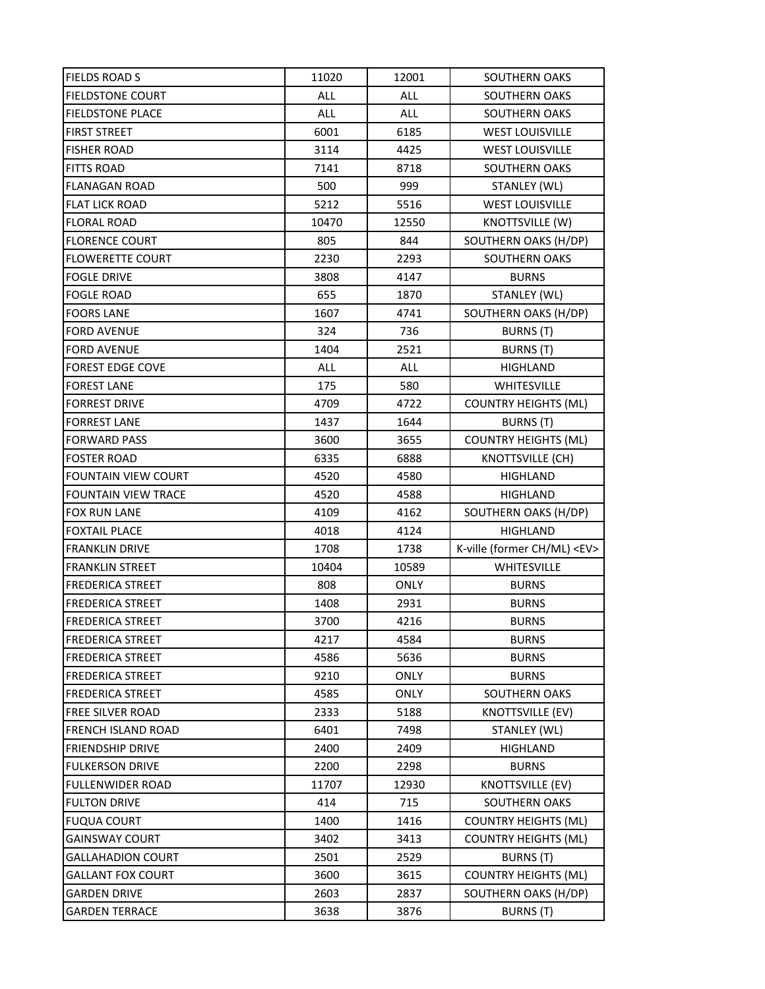| <b>FIELDS ROAD S</b>       | 11020 | 12001       | <b>SOUTHERN OAKS</b>             |
|----------------------------|-------|-------------|----------------------------------|
| <b>FIELDSTONE COURT</b>    | ALL   | ALL         | SOUTHERN OAKS                    |
| <b>FIELDSTONE PLACE</b>    | ALL   | <b>ALL</b>  | <b>SOUTHERN OAKS</b>             |
| <b>FIRST STREET</b>        | 6001  | 6185        | <b>WEST LOUISVILLE</b>           |
| <b>FISHER ROAD</b>         | 3114  | 4425        | <b>WEST LOUISVILLE</b>           |
| <b>FITTS ROAD</b>          | 7141  | 8718        | SOUTHERN OAKS                    |
| <b>FLANAGAN ROAD</b>       | 500   | 999         | STANLEY (WL)                     |
| <b>FLAT LICK ROAD</b>      | 5212  | 5516        | <b>WEST LOUISVILLE</b>           |
| <b>FLORAL ROAD</b>         | 10470 | 12550       | KNOTTSVILLE (W)                  |
| <b>FLORENCE COURT</b>      | 805   | 844         | SOUTHERN OAKS (H/DP)             |
| <b>FLOWERETTE COURT</b>    | 2230  | 2293        | <b>SOUTHERN OAKS</b>             |
| <b>FOGLE DRIVE</b>         | 3808  | 4147        | <b>BURNS</b>                     |
| <b>FOGLE ROAD</b>          | 655   | 1870        | STANLEY (WL)                     |
| <b>FOORS LANE</b>          | 1607  | 4741        | SOUTHERN OAKS (H/DP)             |
| <b>FORD AVENUE</b>         | 324   | 736         | BURNS (T)                        |
| <b>FORD AVENUE</b>         | 1404  | 2521        | <b>BURNS (T)</b>                 |
| <b>FOREST EDGE COVE</b>    | ALL   | <b>ALL</b>  | HIGHLAND                         |
| <b>FOREST LANE</b>         | 175   | 580         | WHITESVILLE                      |
| <b>FORREST DRIVE</b>       | 4709  | 4722        | <b>COUNTRY HEIGHTS (ML)</b>      |
| <b>FORREST LANE</b>        | 1437  | 1644        | BURNS (T)                        |
| <b>FORWARD PASS</b>        | 3600  | 3655        | <b>COUNTRY HEIGHTS (ML)</b>      |
| <b>FOSTER ROAD</b>         | 6335  | 6888        | KNOTTSVILLE (CH)                 |
| <b>FOUNTAIN VIEW COURT</b> | 4520  | 4580        | <b>HIGHLAND</b>                  |
| <b>FOUNTAIN VIEW TRACE</b> | 4520  | 4588        | HIGHLAND                         |
| <b>FOX RUN LANE</b>        | 4109  | 4162        | SOUTHERN OAKS (H/DP)             |
| <b>FOXTAIL PLACE</b>       | 4018  | 4124        | <b>HIGHLAND</b>                  |
| <b>FRANKLIN DRIVE</b>      | 1708  | 1738        | K-ville (former CH/ML) <ev></ev> |
| <b>FRANKLIN STREET</b>     | 10404 | 10589       | WHITESVILLE                      |
| <b>FREDERICA STREET</b>    | 808   | <b>ONLY</b> | <b>BURNS</b>                     |
| <b>FREDERICA STREET</b>    | 1408  | 2931        | <b>BURNS</b>                     |
| <b>FREDERICA STREET</b>    | 3700  | 4216        | <b>BURNS</b>                     |
| <b>FREDERICA STREET</b>    | 4217  | 4584        | <b>BURNS</b>                     |
| <b>FREDERICA STREET</b>    | 4586  | 5636        | <b>BURNS</b>                     |
| FREDERICA STREET           | 9210  | ONLY        | <b>BURNS</b>                     |
| <b>FREDERICA STREET</b>    | 4585  | ONLY        | SOUTHERN OAKS                    |
| <b>FREE SILVER ROAD</b>    | 2333  | 5188        | KNOTTSVILLE (EV)                 |
| FRENCH ISLAND ROAD         | 6401  | 7498        | STANLEY (WL)                     |
| <b>FRIENDSHIP DRIVE</b>    | 2400  | 2409        | <b>HIGHLAND</b>                  |
| <b>FULKERSON DRIVE</b>     | 2200  | 2298        | <b>BURNS</b>                     |
| <b>FULLENWIDER ROAD</b>    | 11707 | 12930       | <b>KNOTTSVILLE (EV)</b>          |
| <b>FULTON DRIVE</b>        | 414   | 715         | SOUTHERN OAKS                    |
| <b>FUQUA COURT</b>         | 1400  | 1416        | <b>COUNTRY HEIGHTS (ML)</b>      |
| <b>GAINSWAY COURT</b>      | 3402  | 3413        | <b>COUNTRY HEIGHTS (ML)</b>      |
| <b>GALLAHADION COURT</b>   | 2501  | 2529        | <b>BURNS (T)</b>                 |
| <b>GALLANT FOX COURT</b>   | 3600  | 3615        | <b>COUNTRY HEIGHTS (ML)</b>      |
| <b>GARDEN DRIVE</b>        | 2603  | 2837        | SOUTHERN OAKS (H/DP)             |
| <b>GARDEN TERRACE</b>      | 3638  | 3876        | <b>BURNS</b> (T)                 |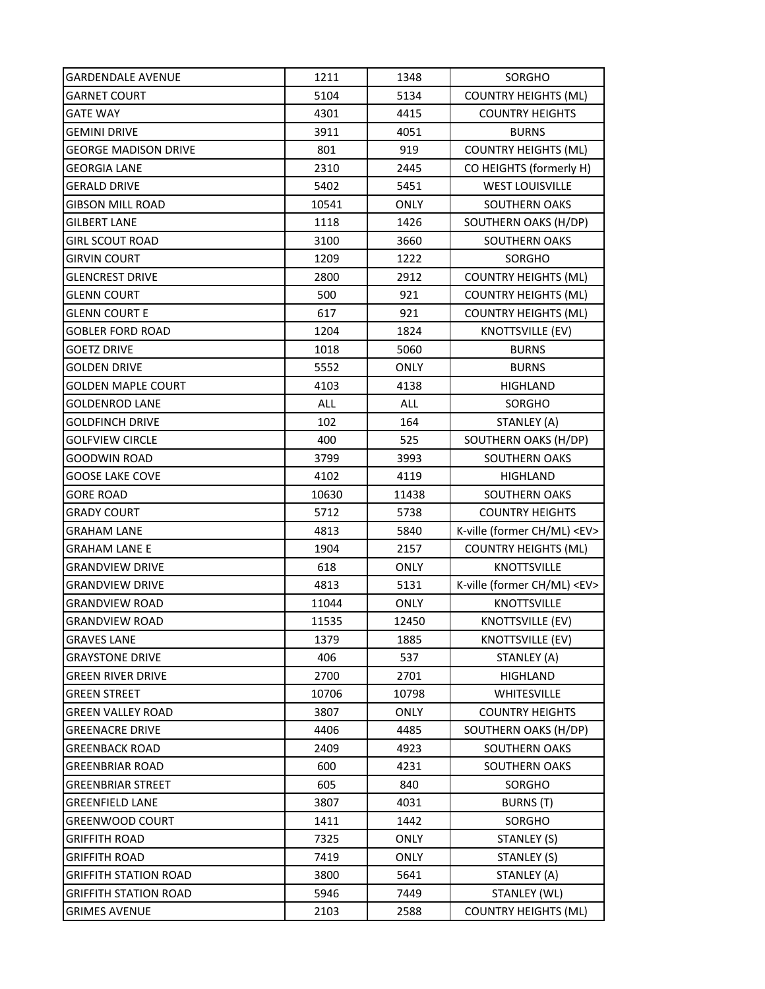| GARDENDALE AVENUE            | 1211  | 1348        | SORGHO                           |
|------------------------------|-------|-------------|----------------------------------|
| <b>GARNET COURT</b>          | 5104  | 5134        | <b>COUNTRY HEIGHTS (ML)</b>      |
| <b>GATE WAY</b>              | 4301  | 4415        | <b>COUNTRY HEIGHTS</b>           |
| <b>GEMINI DRIVE</b>          | 3911  | 4051        | <b>BURNS</b>                     |
| <b>GEORGE MADISON DRIVE</b>  | 801   | 919         | <b>COUNTRY HEIGHTS (ML)</b>      |
| <b>GEORGIA LANE</b>          | 2310  | 2445        | CO HEIGHTS (formerly H)          |
| <b>GERALD DRIVE</b>          | 5402  | 5451        | <b>WEST LOUISVILLE</b>           |
| <b>GIBSON MILL ROAD</b>      | 10541 | <b>ONLY</b> | <b>SOUTHERN OAKS</b>             |
| <b>GILBERT LANE</b>          | 1118  | 1426        | SOUTHERN OAKS (H/DP)             |
| <b>GIRL SCOUT ROAD</b>       | 3100  | 3660        | <b>SOUTHERN OAKS</b>             |
| <b>GIRVIN COURT</b>          | 1209  | 1222        | SORGHO                           |
| <b>GLENCREST DRIVE</b>       | 2800  | 2912        | <b>COUNTRY HEIGHTS (ML)</b>      |
| <b>GLENN COURT</b>           | 500   | 921         | <b>COUNTRY HEIGHTS (ML)</b>      |
| <b>GLENN COURT E</b>         | 617   | 921         | <b>COUNTRY HEIGHTS (ML)</b>      |
| <b>GOBLER FORD ROAD</b>      | 1204  | 1824        | <b>KNOTTSVILLE (EV)</b>          |
| <b>GOETZ DRIVE</b>           | 1018  | 5060        | <b>BURNS</b>                     |
| <b>GOLDEN DRIVE</b>          | 5552  | ONLY        | <b>BURNS</b>                     |
| <b>GOLDEN MAPLE COURT</b>    | 4103  | 4138        | HIGHLAND                         |
| <b>GOLDENROD LANE</b>        | ALL   | <b>ALL</b>  | SORGHO                           |
| <b>GOLDFINCH DRIVE</b>       | 102   | 164         | STANLEY (A)                      |
| <b>GOLFVIEW CIRCLE</b>       | 400   | 525         | SOUTHERN OAKS (H/DP)             |
| <b>GOODWIN ROAD</b>          | 3799  | 3993        | SOUTHERN OAKS                    |
| <b>GOOSE LAKE COVE</b>       | 4102  | 4119        | <b>HIGHLAND</b>                  |
| <b>GORE ROAD</b>             | 10630 | 11438       | <b>SOUTHERN OAKS</b>             |
| <b>GRADY COURT</b>           | 5712  | 5738        | <b>COUNTRY HEIGHTS</b>           |
| <b>GRAHAM LANE</b>           | 4813  | 5840        | K-ville (former CH/ML) <ev></ev> |
| <b>GRAHAM LANE E</b>         | 1904  | 2157        | <b>COUNTRY HEIGHTS (ML)</b>      |
| <b>GRANDVIEW DRIVE</b>       | 618   | <b>ONLY</b> | <b>KNOTTSVILLE</b>               |
| <b>GRANDVIEW DRIVE</b>       | 4813  | 5131        | K-ville (former CH/ML) <ev></ev> |
| <b>GRANDVIEW ROAD</b>        | 11044 | <b>ONLY</b> | <b>KNOTTSVILLE</b>               |
| <b>GRANDVIEW ROAD</b>        | 11535 | 12450       | <b>KNOTTSVILLE (EV)</b>          |
| <b>GRAVES LANE</b>           | 1379  | 1885        | <b>KNOTTSVILLE (EV)</b>          |
| <b>GRAYSTONE DRIVE</b>       | 406   | 537         | STANLEY (A)                      |
| <b>GREEN RIVER DRIVE</b>     | 2700  | 2701        | HIGHLAND                         |
| <b>GREEN STREET</b>          | 10706 | 10798       | WHITESVILLE                      |
| <b>GREEN VALLEY ROAD</b>     | 3807  | <b>ONLY</b> | <b>COUNTRY HEIGHTS</b>           |
| <b>GREENACRE DRIVE</b>       | 4406  | 4485        | SOUTHERN OAKS (H/DP)             |
| <b>GREENBACK ROAD</b>        | 2409  | 4923        | SOUTHERN OAKS                    |
| <b>GREENBRIAR ROAD</b>       | 600   | 4231        | <b>SOUTHERN OAKS</b>             |
| <b>GREENBRIAR STREET</b>     | 605   | 840         | SORGHO                           |
| <b>GREENFIELD LANE</b>       | 3807  | 4031        | BURNS (T)                        |
| <b>GREENWOOD COURT</b>       | 1411  | 1442        | SORGHO                           |
| <b>GRIFFITH ROAD</b>         | 7325  | <b>ONLY</b> | STANLEY (S)                      |
| <b>GRIFFITH ROAD</b>         | 7419  | <b>ONLY</b> | STANLEY (S)                      |
| <b>GRIFFITH STATION ROAD</b> | 3800  | 5641        | STANLEY (A)                      |
| <b>GRIFFITH STATION ROAD</b> | 5946  | 7449        | STANLEY (WL)                     |
| <b>GRIMES AVENUE</b>         | 2103  | 2588        | <b>COUNTRY HEIGHTS (ML)</b>      |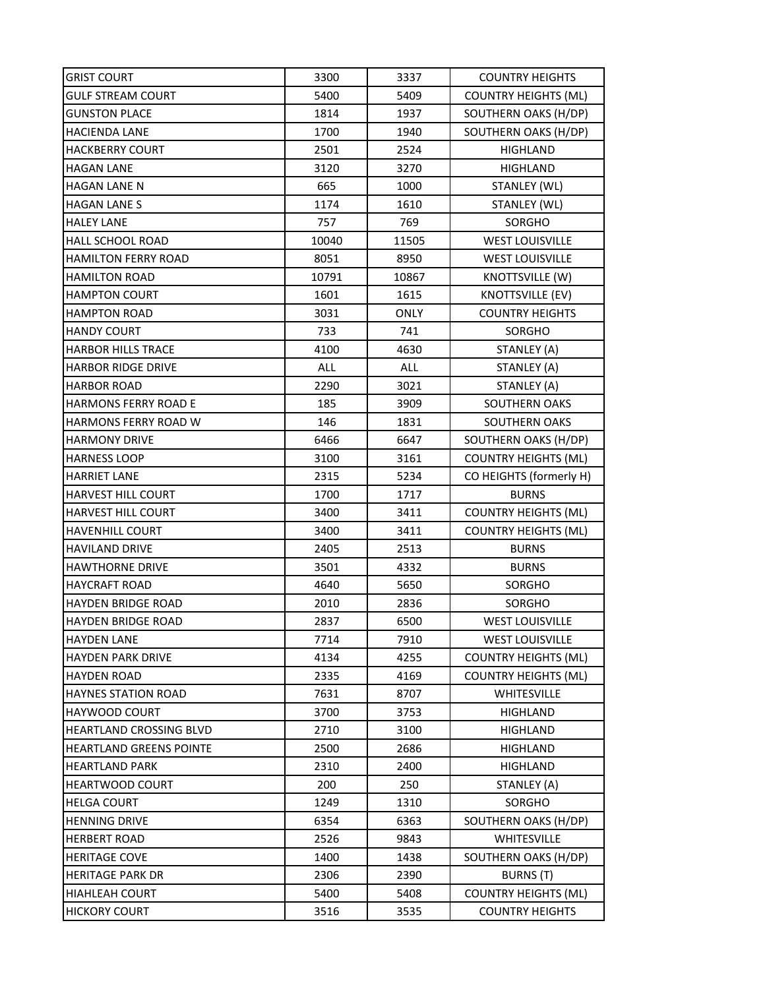| <b>GRIST COURT</b>             | 3300  | 3337        | <b>COUNTRY HEIGHTS</b>      |
|--------------------------------|-------|-------------|-----------------------------|
| <b>GULF STREAM COURT</b>       | 5400  | 5409        | <b>COUNTRY HEIGHTS (ML)</b> |
| <b>GUNSTON PLACE</b>           | 1814  | 1937        | SOUTHERN OAKS (H/DP)        |
| HACIENDA LANE                  | 1700  | 1940        | SOUTHERN OAKS (H/DP)        |
| <b>HACKBERRY COURT</b>         | 2501  | 2524        | HIGHLAND                    |
| <b>HAGAN LANE</b>              | 3120  | 3270        | HIGHLAND                    |
| <b>HAGAN LANE N</b>            | 665   | 1000        | STANLEY (WL)                |
| <b>HAGAN LANE S</b>            | 1174  | 1610        | STANLEY (WL)                |
| <b>HALEY LANE</b>              | 757   | 769         | SORGHO                      |
| <b>HALL SCHOOL ROAD</b>        | 10040 | 11505       | <b>WEST LOUISVILLE</b>      |
| <b>HAMILTON FERRY ROAD</b>     | 8051  | 8950        | <b>WEST LOUISVILLE</b>      |
| <b>HAMILTON ROAD</b>           | 10791 | 10867       | KNOTTSVILLE (W)             |
| <b>HAMPTON COURT</b>           | 1601  | 1615        | <b>KNOTTSVILLE (EV)</b>     |
| <b>HAMPTON ROAD</b>            | 3031  | <b>ONLY</b> | <b>COUNTRY HEIGHTS</b>      |
| <b>HANDY COURT</b>             | 733   | 741         | SORGHO                      |
| <b>HARBOR HILLS TRACE</b>      | 4100  | 4630        | STANLEY (A)                 |
| HARBOR RIDGE DRIVE             | ALL   | <b>ALL</b>  | STANLEY (A)                 |
| <b>HARBOR ROAD</b>             | 2290  | 3021        | STANLEY (A)                 |
| <b>HARMONS FERRY ROAD E</b>    | 185   | 3909        | SOUTHERN OAKS               |
| <b>HARMONS FERRY ROAD W</b>    | 146   | 1831        | SOUTHERN OAKS               |
| <b>HARMONY DRIVE</b>           | 6466  | 6647        | SOUTHERN OAKS (H/DP)        |
| <b>HARNESS LOOP</b>            | 3100  | 3161        | <b>COUNTRY HEIGHTS (ML)</b> |
| <b>HARRIET LANE</b>            | 2315  | 5234        | CO HEIGHTS (formerly H)     |
| <b>HARVEST HILL COURT</b>      | 1700  | 1717        | <b>BURNS</b>                |
| HARVEST HILL COURT             | 3400  | 3411        | <b>COUNTRY HEIGHTS (ML)</b> |
| <b>HAVENHILL COURT</b>         | 3400  | 3411        | <b>COUNTRY HEIGHTS (ML)</b> |
| <b>HAVILAND DRIVE</b>          | 2405  | 2513        | <b>BURNS</b>                |
| <b>HAWTHORNE DRIVE</b>         | 3501  | 4332        | <b>BURNS</b>                |
| <b>HAYCRAFT ROAD</b>           | 4640  | 5650        | SORGHO                      |
| HAYDEN BRIDGE ROAD             | 2010  | 2836        | SORGHO                      |
| <b>HAYDEN BRIDGE ROAD</b>      | 2837  | 6500        | <b>WEST LOUISVILLE</b>      |
| <b>HAYDEN LANE</b>             | 7714  | 7910        | <b>WEST LOUISVILLE</b>      |
| <b>HAYDEN PARK DRIVE</b>       | 4134  | 4255        | <b>COUNTRY HEIGHTS (ML)</b> |
| <b>HAYDEN ROAD</b>             | 2335  | 4169        | <b>COUNTRY HEIGHTS (ML)</b> |
| <b>HAYNES STATION ROAD</b>     | 7631  | 8707        | WHITESVILLE                 |
| <b>HAYWOOD COURT</b>           | 3700  | 3753        | HIGHLAND                    |
| HEARTLAND CROSSING BLVD        | 2710  | 3100        | <b>HIGHLAND</b>             |
| <b>HEARTLAND GREENS POINTE</b> | 2500  | 2686        | <b>HIGHLAND</b>             |
| <b>HEARTLAND PARK</b>          | 2310  | 2400        | <b>HIGHLAND</b>             |
| <b>HEARTWOOD COURT</b>         | 200   | 250         | STANLEY (A)                 |
| <b>HELGA COURT</b>             | 1249  | 1310        | SORGHO                      |
| <b>HENNING DRIVE</b>           | 6354  | 6363        | SOUTHERN OAKS (H/DP)        |
| <b>HERBERT ROAD</b>            | 2526  | 9843        | WHITESVILLE                 |
| <b>HERITAGE COVE</b>           | 1400  | 1438        | SOUTHERN OAKS (H/DP)        |
| <b>HERITAGE PARK DR</b>        | 2306  | 2390        | BURNS (T)                   |
| <b>HIAHLEAH COURT</b>          | 5400  | 5408        | <b>COUNTRY HEIGHTS (ML)</b> |
| <b>HICKORY COURT</b>           | 3516  | 3535        | <b>COUNTRY HEIGHTS</b>      |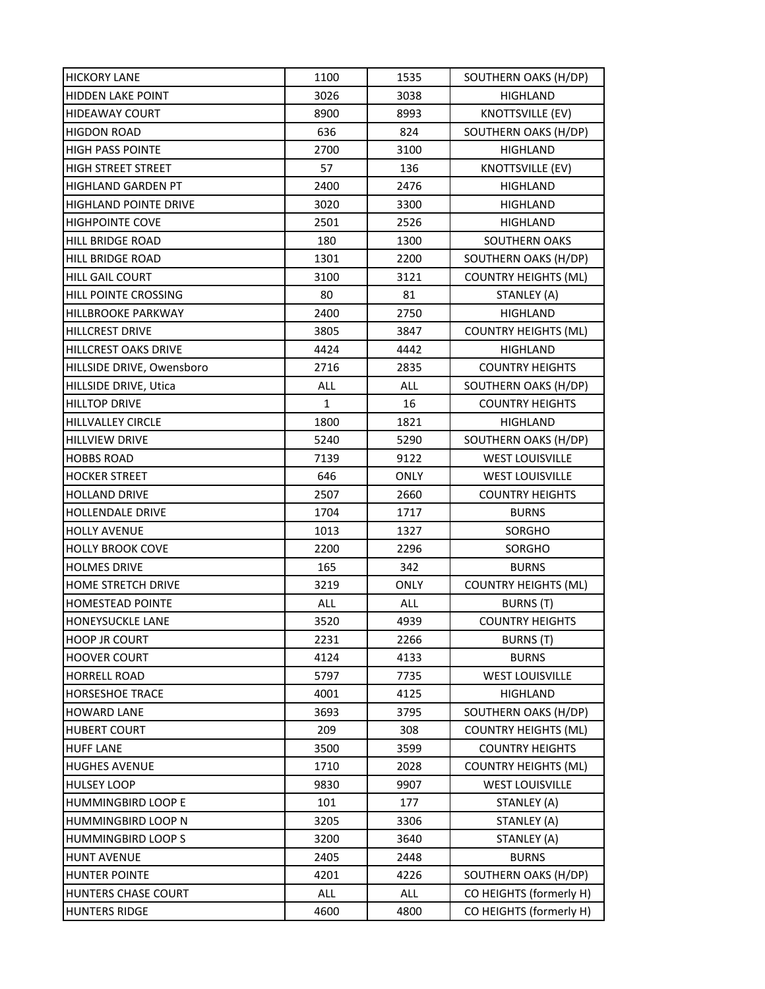| <b>HICKORY LANE</b>          | 1100       | 1535        | SOUTHERN OAKS (H/DP)        |
|------------------------------|------------|-------------|-----------------------------|
| <b>HIDDEN LAKE POINT</b>     | 3026       | 3038        | HIGHLAND                    |
| <b>HIDEAWAY COURT</b>        | 8900       | 8993        | <b>KNOTTSVILLE (EV)</b>     |
| <b>HIGDON ROAD</b>           | 636        | 824         | SOUTHERN OAKS (H/DP)        |
| <b>HIGH PASS POINTE</b>      | 2700       | 3100        | HIGHLAND                    |
| <b>HIGH STREET STREET</b>    | 57         | 136         | KNOTTSVILLE (EV)            |
| HIGHLAND GARDEN PT           | 2400       | 2476        | HIGHLAND                    |
| <b>HIGHLAND POINTE DRIVE</b> | 3020       | 3300        | HIGHLAND                    |
| <b>HIGHPOINTE COVE</b>       | 2501       | 2526        | HIGHLAND                    |
| <b>HILL BRIDGE ROAD</b>      | 180        | 1300        | <b>SOUTHERN OAKS</b>        |
| HILL BRIDGE ROAD             | 1301       | 2200        | SOUTHERN OAKS (H/DP)        |
| <b>HILL GAIL COURT</b>       | 3100       | 3121        | <b>COUNTRY HEIGHTS (ML)</b> |
| HILL POINTE CROSSING         | 80         | 81          | STANLEY (A)                 |
| <b>HILLBROOKE PARKWAY</b>    | 2400       | 2750        | HIGHLAND                    |
| <b>HILLCREST DRIVE</b>       | 3805       | 3847        | <b>COUNTRY HEIGHTS (ML)</b> |
| HILLCREST OAKS DRIVE         | 4424       | 4442        | HIGHLAND                    |
| HILLSIDE DRIVE, Owensboro    | 2716       | 2835        | <b>COUNTRY HEIGHTS</b>      |
| HILLSIDE DRIVE, Utica        | <b>ALL</b> | ALL         | SOUTHERN OAKS (H/DP)        |
| <b>HILLTOP DRIVE</b>         | 1          | 16          | <b>COUNTRY HEIGHTS</b>      |
| <b>HILLVALLEY CIRCLE</b>     | 1800       | 1821        | <b>HIGHLAND</b>             |
| <b>HILLVIEW DRIVE</b>        | 5240       | 5290        | SOUTHERN OAKS (H/DP)        |
| <b>HOBBS ROAD</b>            | 7139       | 9122        | <b>WEST LOUISVILLE</b>      |
| <b>HOCKER STREET</b>         | 646        | <b>ONLY</b> | <b>WEST LOUISVILLE</b>      |
| <b>HOLLAND DRIVE</b>         | 2507       | 2660        | <b>COUNTRY HEIGHTS</b>      |
| <b>HOLLENDALE DRIVE</b>      | 1704       | 1717        | <b>BURNS</b>                |
| <b>HOLLY AVENUE</b>          | 1013       | 1327        | SORGHO                      |
| <b>HOLLY BROOK COVE</b>      | 2200       | 2296        | SORGHO                      |
| <b>HOLMES DRIVE</b>          | 165        | 342         | <b>BURNS</b>                |
| <b>HOME STRETCH DRIVE</b>    | 3219       | <b>ONLY</b> | <b>COUNTRY HEIGHTS (ML)</b> |
| <b>HOMESTEAD POINTE</b>      | ALL        | <b>ALL</b>  | <b>BURNS</b> (T)            |
| <b>HONEYSUCKLE LANE</b>      | 3520       | 4939        | <b>COUNTRY HEIGHTS</b>      |
| <b>HOOP JR COURT</b>         | 2231       | 2266        | BURNS (T)                   |
| <b>HOOVER COURT</b>          | 4124       | 4133        | <b>BURNS</b>                |
| <b>HORRELL ROAD</b>          | 5797       | 7735        | <b>WEST LOUISVILLE</b>      |
| <b>HORSESHOE TRACE</b>       | 4001       | 4125        | <b>HIGHLAND</b>             |
| <b>HOWARD LANE</b>           | 3693       | 3795        | SOUTHERN OAKS (H/DP)        |
| <b>HUBERT COURT</b>          | 209        | 308         | <b>COUNTRY HEIGHTS (ML)</b> |
| <b>HUFF LANE</b>             | 3500       | 3599        | <b>COUNTRY HEIGHTS</b>      |
| <b>HUGHES AVENUE</b>         | 1710       | 2028        | <b>COUNTRY HEIGHTS (ML)</b> |
| <b>HULSEY LOOP</b>           | 9830       | 9907        | <b>WEST LOUISVILLE</b>      |
| HUMMINGBIRD LOOP E           | 101        | 177         | STANLEY (A)                 |
| HUMMINGBIRD LOOP N           | 3205       | 3306        | STANLEY (A)                 |
| <b>HUMMINGBIRD LOOPS</b>     | 3200       | 3640        | STANLEY (A)                 |
| <b>HUNT AVENUE</b>           | 2405       | 2448        | <b>BURNS</b>                |
| <b>HUNTER POINTE</b>         | 4201       | 4226        | SOUTHERN OAKS (H/DP)        |
| HUNTERS CHASE COURT          | ALL        | ALL         | CO HEIGHTS (formerly H)     |
| <b>HUNTERS RIDGE</b>         | 4600       | 4800        | CO HEIGHTS (formerly H)     |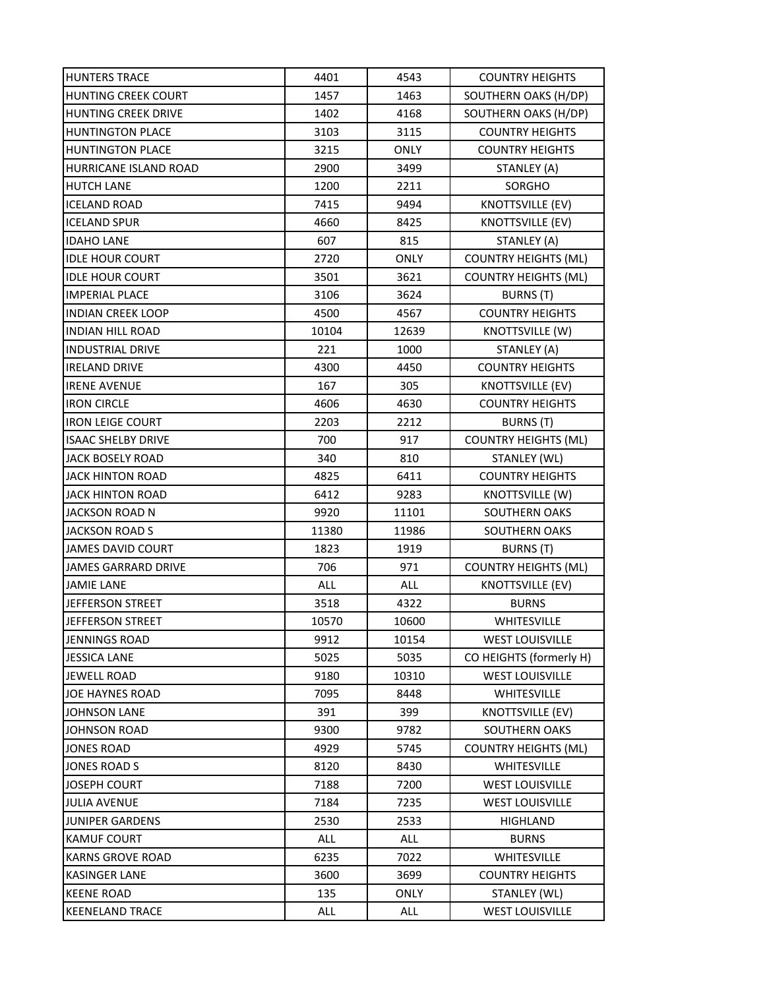| <b>HUNTERS TRACE</b>       | 4401       | 4543        | <b>COUNTRY HEIGHTS</b>      |
|----------------------------|------------|-------------|-----------------------------|
| <b>HUNTING CREEK COURT</b> | 1457       | 1463        | SOUTHERN OAKS (H/DP)        |
| <b>HUNTING CREEK DRIVE</b> | 1402       | 4168        | SOUTHERN OAKS (H/DP)        |
| <b>HUNTINGTON PLACE</b>    | 3103       | 3115        | <b>COUNTRY HEIGHTS</b>      |
| <b>HUNTINGTON PLACE</b>    | 3215       | <b>ONLY</b> | <b>COUNTRY HEIGHTS</b>      |
| HURRICANE ISLAND ROAD      | 2900       | 3499        | STANLEY (A)                 |
| <b>HUTCH LANE</b>          | 1200       | 2211        | SORGHO                      |
| <b>ICELAND ROAD</b>        | 7415       | 9494        | <b>KNOTTSVILLE (EV)</b>     |
| <b>ICELAND SPUR</b>        | 4660       | 8425        | KNOTTSVILLE (EV)            |
| <b>IDAHO LANE</b>          | 607        | 815         | STANLEY (A)                 |
| <b>IDLE HOUR COURT</b>     | 2720       | <b>ONLY</b> | <b>COUNTRY HEIGHTS (ML)</b> |
| <b>IDLE HOUR COURT</b>     | 3501       | 3621        | <b>COUNTRY HEIGHTS (ML)</b> |
| <b>IMPERIAL PLACE</b>      | 3106       | 3624        | <b>BURNS (T)</b>            |
| <b>INDIAN CREEK LOOP</b>   | 4500       | 4567        | <b>COUNTRY HEIGHTS</b>      |
| <b>INDIAN HILL ROAD</b>    | 10104      | 12639       | KNOTTSVILLE (W)             |
| <b>INDUSTRIAL DRIVE</b>    | 221        | 1000        | STANLEY (A)                 |
| <b>IRELAND DRIVE</b>       | 4300       | 4450        | <b>COUNTRY HEIGHTS</b>      |
| <b>IRENE AVENUE</b>        | 167        | 305         | <b>KNOTTSVILLE (EV)</b>     |
| <b>IRON CIRCLE</b>         | 4606       | 4630        | <b>COUNTRY HEIGHTS</b>      |
| <b>IRON LEIGE COURT</b>    | 2203       | 2212        | BURNS (T)                   |
| <b>ISAAC SHELBY DRIVE</b>  | 700        | 917         | <b>COUNTRY HEIGHTS (ML)</b> |
| <b>JACK BOSELY ROAD</b>    | 340        | 810         | STANLEY (WL)                |
| <b>JACK HINTON ROAD</b>    | 4825       | 6411        | <b>COUNTRY HEIGHTS</b>      |
| <b>JACK HINTON ROAD</b>    | 6412       | 9283        | KNOTTSVILLE (W)             |
| <b>JACKSON ROAD N</b>      | 9920       | 11101       | SOUTHERN OAKS               |
| <b>JACKSON ROAD S</b>      | 11380      | 11986       | SOUTHERN OAKS               |
| <b>JAMES DAVID COURT</b>   | 1823       | 1919        | BURNS (T)                   |
| <b>JAMES GARRARD DRIVE</b> | 706        | 971         | <b>COUNTRY HEIGHTS (ML)</b> |
| <b>JAMIE LANE</b>          | <b>ALL</b> | <b>ALL</b>  | <b>KNOTTSVILLE (EV)</b>     |
| JEFFERSON STREET           | 3518       | 4322        | <b>BURNS</b>                |
| LIEFFERSON STREET          | 10570      | 10600       | <b>WHITESVILLE</b>          |
| <b>JENNINGS ROAD</b>       | 9912       | 10154       | <b>WEST LOUISVILLE</b>      |
| <b>JESSICA LANE</b>        | 5025       | 5035        | CO HEIGHTS (formerly H)     |
| <b>JEWELL ROAD</b>         | 9180       | 10310       | <b>WEST LOUISVILLE</b>      |
| <b>JOE HAYNES ROAD</b>     | 7095       | 8448        | WHITESVILLE                 |
| <b>JOHNSON LANE</b>        | 391        | 399         | <b>KNOTTSVILLE (EV)</b>     |
| JOHNSON ROAD               | 9300       | 9782        | SOUTHERN OAKS               |
| <b>JONES ROAD</b>          | 4929       | 5745        | <b>COUNTRY HEIGHTS (ML)</b> |
| <b>JONES ROAD S</b>        | 8120       | 8430        | WHITESVILLE                 |
| <b>JOSEPH COURT</b>        | 7188       | 7200        | <b>WEST LOUISVILLE</b>      |
| <b>JULIA AVENUE</b>        | 7184       | 7235        | <b>WEST LOUISVILLE</b>      |
| <b>JUNIPER GARDENS</b>     | 2530       | 2533        | HIGHLAND                    |
| <b>KAMUF COURT</b>         | ALL        | ALL         | <b>BURNS</b>                |
| <b>KARNS GROVE ROAD</b>    | 6235       | 7022        | WHITESVILLE                 |
| <b>KASINGER LANE</b>       | 3600       | 3699        | <b>COUNTRY HEIGHTS</b>      |
| <b>KEENE ROAD</b>          | 135        | <b>ONLY</b> | STANLEY (WL)                |
| <b>KEENELAND TRACE</b>     | ALL        | ALL         | <b>WEST LOUISVILLE</b>      |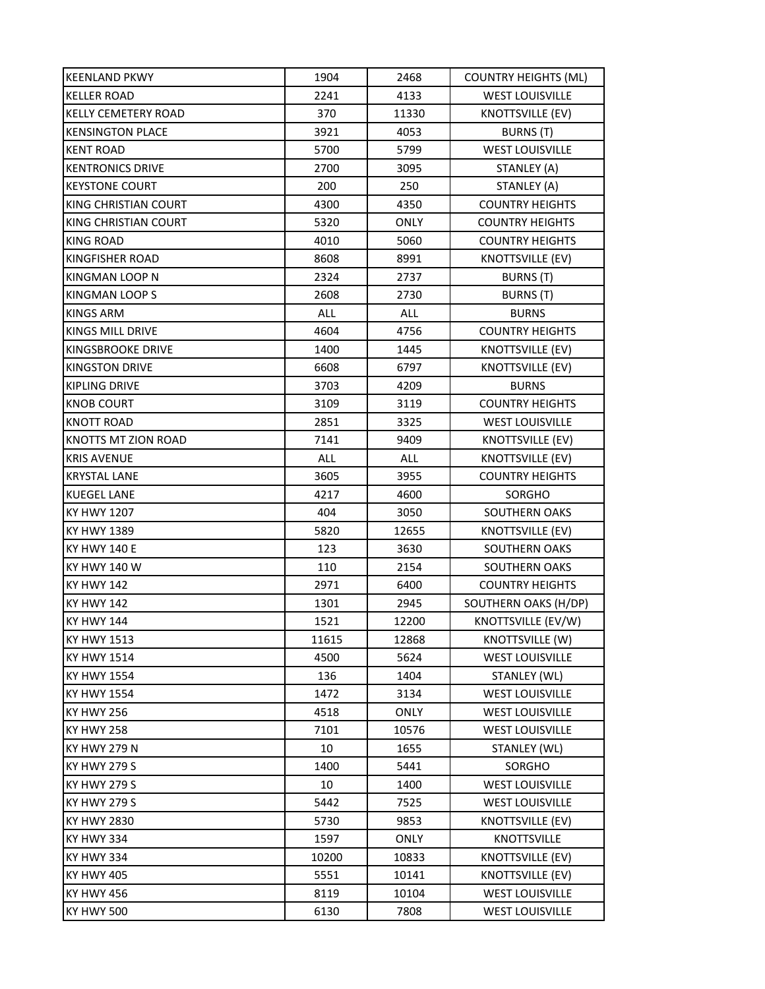| <b>KEENLAND PKWY</b>       | 1904  | 2468        | <b>COUNTRY HEIGHTS (ML)</b> |
|----------------------------|-------|-------------|-----------------------------|
| <b>KELLER ROAD</b>         | 2241  | 4133        | <b>WEST LOUISVILLE</b>      |
| <b>KELLY CEMETERY ROAD</b> | 370   | 11330       | <b>KNOTTSVILLE (EV)</b>     |
| <b>KENSINGTON PLACE</b>    | 3921  | 4053        | <b>BURNS (T)</b>            |
| <b>KENT ROAD</b>           | 5700  | 5799        | <b>WEST LOUISVILLE</b>      |
| <b>KENTRONICS DRIVE</b>    | 2700  | 3095        | STANLEY (A)                 |
| <b>KEYSTONE COURT</b>      | 200   | 250         | STANLEY (A)                 |
| KING CHRISTIAN COURT       | 4300  | 4350        | <b>COUNTRY HEIGHTS</b>      |
| KING CHRISTIAN COURT       | 5320  | <b>ONLY</b> | <b>COUNTRY HEIGHTS</b>      |
| <b>KING ROAD</b>           | 4010  | 5060        | <b>COUNTRY HEIGHTS</b>      |
| <b>KINGFISHER ROAD</b>     | 8608  | 8991        | <b>KNOTTSVILLE (EV)</b>     |
| KINGMAN LOOP N             | 2324  | 2737        | BURNS (T)                   |
| KINGMAN LOOP S             | 2608  | 2730        | BURNS (T)                   |
| <b>KINGS ARM</b>           | ALL   | ALL         | <b>BURNS</b>                |
| <b>KINGS MILL DRIVE</b>    | 4604  | 4756        | <b>COUNTRY HEIGHTS</b>      |
| KINGSBROOKE DRIVE          | 1400  | 1445        | <b>KNOTTSVILLE (EV)</b>     |
| <b>KINGSTON DRIVE</b>      | 6608  | 6797        | <b>KNOTTSVILLE (EV)</b>     |
| <b>KIPLING DRIVE</b>       | 3703  | 4209        | <b>BURNS</b>                |
| <b>KNOB COURT</b>          | 3109  | 3119        | <b>COUNTRY HEIGHTS</b>      |
| <b>KNOTT ROAD</b>          | 2851  | 3325        | <b>WEST LOUISVILLE</b>      |
| KNOTTS MT ZION ROAD        | 7141  | 9409        | <b>KNOTTSVILLE (EV)</b>     |
| <b>KRIS AVENUE</b>         | ALL   | ALL         | <b>KNOTTSVILLE (EV)</b>     |
| <b>KRYSTAL LANE</b>        | 3605  | 3955        | <b>COUNTRY HEIGHTS</b>      |
| <b>KUEGEL LANE</b>         | 4217  | 4600        | <b>SORGHO</b>               |
| <b>KY HWY 1207</b>         | 404   | 3050        | <b>SOUTHERN OAKS</b>        |
| <b>KY HWY 1389</b>         | 5820  | 12655       | <b>KNOTTSVILLE (EV)</b>     |
| <b>KY HWY 140 E</b>        | 123   | 3630        | <b>SOUTHERN OAKS</b>        |
| <b>KY HWY 140 W</b>        | 110   | 2154        | SOUTHERN OAKS               |
| <b>KY HWY 142</b>          | 2971  | 6400        | <b>COUNTRY HEIGHTS</b>      |
| <b>KY HWY 142</b>          | 1301  | 2945        | SOUTHERN OAKS (H/DP)        |
| <b>KY HWY 144</b>          | 1521  | 12200       | KNOTTSVILLE (EV/W)          |
| <b>KY HWY 1513</b>         | 11615 | 12868       | KNOTTSVILLE (W)             |
| <b>KY HWY 1514</b>         | 4500  | 5624        | <b>WEST LOUISVILLE</b>      |
| <b>KY HWY 1554</b>         | 136   | 1404        | STANLEY (WL)                |
| <b>KY HWY 1554</b>         | 1472  | 3134        | <b>WEST LOUISVILLE</b>      |
| <b>KY HWY 256</b>          | 4518  | <b>ONLY</b> | <b>WEST LOUISVILLE</b>      |
| <b>KY HWY 258</b>          | 7101  | 10576       | <b>WEST LOUISVILLE</b>      |
| <b>KY HWY 279 N</b>        | 10    | 1655        | STANLEY (WL)                |
| <b>KY HWY 279 S</b>        | 1400  | 5441        | SORGHO                      |
| <b>KY HWY 279 S</b>        | 10    | 1400        | <b>WEST LOUISVILLE</b>      |
| <b>KY HWY 279 S</b>        | 5442  | 7525        | <b>WEST LOUISVILLE</b>      |
| <b>KY HWY 2830</b>         | 5730  | 9853        | KNOTTSVILLE (EV)            |
| <b>KY HWY 334</b>          | 1597  | ONLY        | <b>KNOTTSVILLE</b>          |
| <b>KY HWY 334</b>          | 10200 | 10833       | <b>KNOTTSVILLE (EV)</b>     |
| <b>KY HWY 405</b>          | 5551  | 10141       | <b>KNOTTSVILLE (EV)</b>     |
| <b>KY HWY 456</b>          | 8119  | 10104       | <b>WEST LOUISVILLE</b>      |
| <b>KY HWY 500</b>          | 6130  | 7808        | <b>WEST LOUISVILLE</b>      |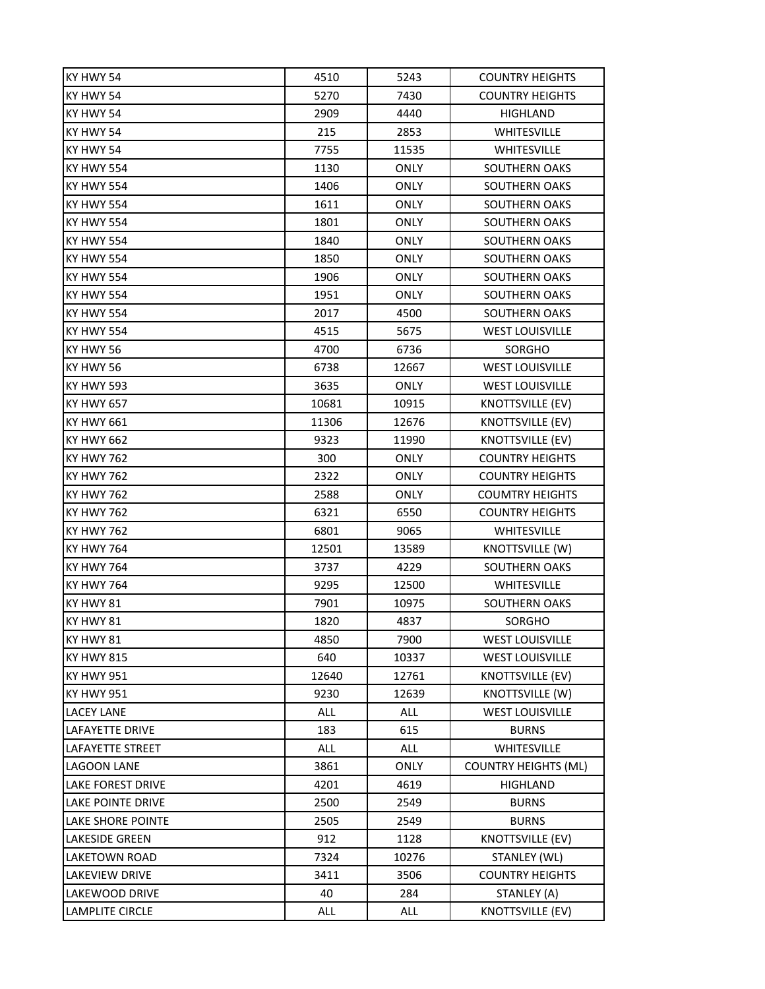| KY HWY 54                | 4510  | 5243        | <b>COUNTRY HEIGHTS</b>      |
|--------------------------|-------|-------------|-----------------------------|
| KY HWY 54                | 5270  | 7430        | <b>COUNTRY HEIGHTS</b>      |
| KY HWY 54                | 2909  | 4440        | <b>HIGHLAND</b>             |
| KY HWY 54                | 215   | 2853        | <b>WHITESVILLE</b>          |
| KY HWY 54                | 7755  | 11535       | <b>WHITESVILLE</b>          |
| <b>KY HWY 554</b>        | 1130  | <b>ONLY</b> | <b>SOUTHERN OAKS</b>        |
| <b>KY HWY 554</b>        | 1406  | <b>ONLY</b> | <b>SOUTHERN OAKS</b>        |
| <b>KY HWY 554</b>        | 1611  | <b>ONLY</b> | SOUTHERN OAKS               |
| <b>KY HWY 554</b>        | 1801  | <b>ONLY</b> | <b>SOUTHERN OAKS</b>        |
| <b>KY HWY 554</b>        | 1840  | <b>ONLY</b> | SOUTHERN OAKS               |
| KY HWY 554               | 1850  | <b>ONLY</b> | <b>SOUTHERN OAKS</b>        |
| <b>KY HWY 554</b>        | 1906  | <b>ONLY</b> | <b>SOUTHERN OAKS</b>        |
| <b>KY HWY 554</b>        | 1951  | <b>ONLY</b> | SOUTHERN OAKS               |
| <b>KY HWY 554</b>        | 2017  | 4500        | <b>SOUTHERN OAKS</b>        |
| <b>KY HWY 554</b>        | 4515  | 5675        | <b>WEST LOUISVILLE</b>      |
| KY HWY 56                | 4700  | 6736        | <b>SORGHO</b>               |
| KY HWY 56                | 6738  | 12667       | <b>WEST LOUISVILLE</b>      |
| <b>KY HWY 593</b>        | 3635  | <b>ONLY</b> | <b>WEST LOUISVILLE</b>      |
| <b>KY HWY 657</b>        | 10681 | 10915       | <b>KNOTTSVILLE (EV)</b>     |
| <b>KY HWY 661</b>        | 11306 | 12676       | <b>KNOTTSVILLE (EV)</b>     |
| <b>KY HWY 662</b>        | 9323  | 11990       | <b>KNOTTSVILLE (EV)</b>     |
| <b>KY HWY 762</b>        | 300   | <b>ONLY</b> | <b>COUNTRY HEIGHTS</b>      |
| <b>KY HWY 762</b>        | 2322  | <b>ONLY</b> | <b>COUNTRY HEIGHTS</b>      |
| KY HWY 762               | 2588  | <b>ONLY</b> | <b>COUMTRY HEIGHTS</b>      |
| <b>KY HWY 762</b>        | 6321  | 6550        | <b>COUNTRY HEIGHTS</b>      |
| <b>KY HWY 762</b>        | 6801  | 9065        | <b>WHITESVILLE</b>          |
| <b>KY HWY 764</b>        | 12501 | 13589       | KNOTTSVILLE (W)             |
| <b>KY HWY 764</b>        | 3737  | 4229        | SOUTHERN OAKS               |
| <b>KY HWY 764</b>        | 9295  | 12500       | WHITESVILLE                 |
| KY HWY 81                | 7901  | 10975       | SOUTHERN OAKS               |
| KY HWY 81                | 1820  | 4837        | <b>SORGHO</b>               |
| KY HWY 81                | 4850  | 7900        | <b>WEST LOUISVILLE</b>      |
| <b>KY HWY 815</b>        | 640   | 10337       | <b>WEST LOUISVILLE</b>      |
| <b>KY HWY 951</b>        | 12640 | 12761       | <b>KNOTTSVILLE (EV)</b>     |
| <b>KY HWY 951</b>        | 9230  | 12639       | <b>KNOTTSVILLE (W)</b>      |
| <b>LACEY LANE</b>        | ALL   | ALL         | <b>WEST LOUISVILLE</b>      |
| <b>LAFAYETTE DRIVE</b>   | 183   | 615         | <b>BURNS</b>                |
| <b>LAFAYETTE STREET</b>  | ALL   | ALL         | WHITESVILLE                 |
| <b>LAGOON LANE</b>       | 3861  | <b>ONLY</b> | <b>COUNTRY HEIGHTS (ML)</b> |
| <b>LAKE FOREST DRIVE</b> | 4201  | 4619        | <b>HIGHLAND</b>             |
| <b>LAKE POINTE DRIVE</b> | 2500  | 2549        | <b>BURNS</b>                |
| <b>LAKE SHORE POINTE</b> | 2505  | 2549        | <b>BURNS</b>                |
| <b>LAKESIDE GREEN</b>    | 912   | 1128        | KNOTTSVILLE (EV)            |
| LAKETOWN ROAD            | 7324  | 10276       | STANLEY (WL)                |
| <b>LAKEVIEW DRIVE</b>    | 3411  | 3506        | <b>COUNTRY HEIGHTS</b>      |
| LAKEWOOD DRIVE           | 40    | 284         | STANLEY (A)                 |
| <b>LAMPLITE CIRCLE</b>   | ALL   | <b>ALL</b>  | <b>KNOTTSVILLE (EV)</b>     |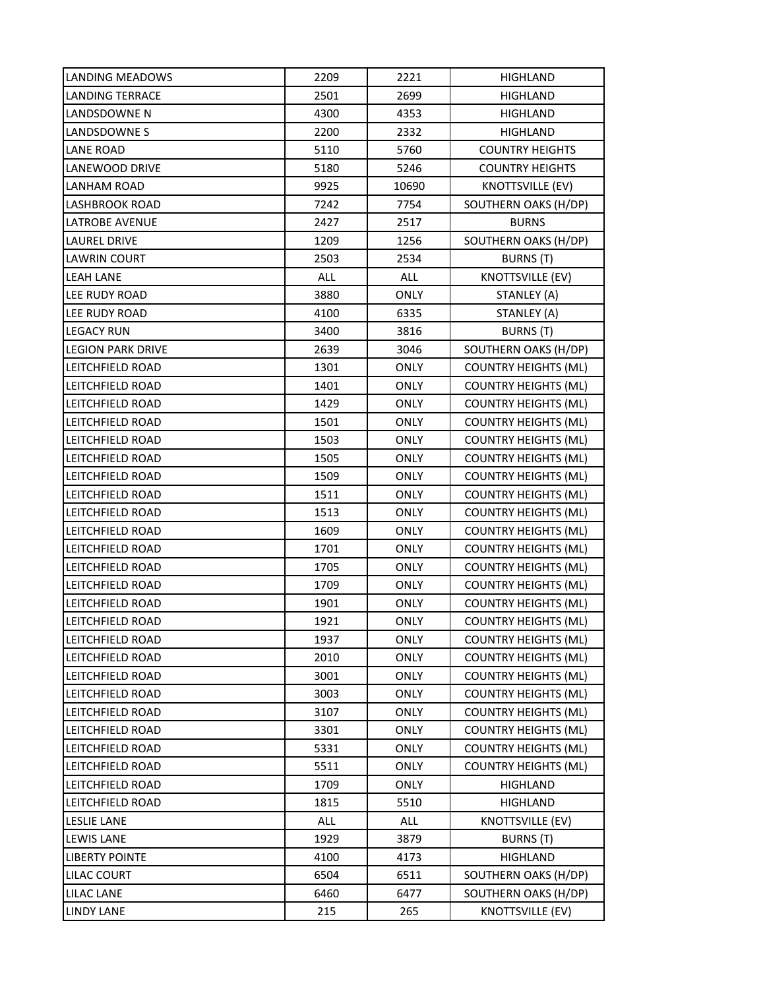| LANDING MEADOWS          | 2209 | 2221        | HIGHLAND                    |
|--------------------------|------|-------------|-----------------------------|
| <b>LANDING TERRACE</b>   | 2501 | 2699        | <b>HIGHLAND</b>             |
| LANDSDOWNE N             | 4300 | 4353        | <b>HIGHLAND</b>             |
| LANDSDOWNE S             | 2200 | 2332        | <b>HIGHLAND</b>             |
| LANE ROAD                | 5110 | 5760        | <b>COUNTRY HEIGHTS</b>      |
| LANEWOOD DRIVE           | 5180 | 5246        | <b>COUNTRY HEIGHTS</b>      |
| LANHAM ROAD              | 9925 | 10690       | <b>KNOTTSVILLE (EV)</b>     |
| <b>LASHBROOK ROAD</b>    | 7242 | 7754        | SOUTHERN OAKS (H/DP)        |
| <b>LATROBE AVENUE</b>    | 2427 | 2517        | <b>BURNS</b>                |
| <b>LAUREL DRIVE</b>      | 1209 | 1256        | SOUTHERN OAKS (H/DP)        |
| <b>LAWRIN COURT</b>      | 2503 | 2534        | BURNS (T)                   |
| <b>LEAH LANE</b>         | ALL  | ALL         | <b>KNOTTSVILLE (EV)</b>     |
| LEE RUDY ROAD            | 3880 | <b>ONLY</b> | STANLEY (A)                 |
| LEE RUDY ROAD            | 4100 | 6335        | STANLEY (A)                 |
| <b>LEGACY RUN</b>        | 3400 | 3816        | BURNS (T)                   |
| <b>LEGION PARK DRIVE</b> | 2639 | 3046        | SOUTHERN OAKS (H/DP)        |
| LEITCHFIELD ROAD         | 1301 | <b>ONLY</b> | <b>COUNTRY HEIGHTS (ML)</b> |
| LEITCHFIELD ROAD         | 1401 | <b>ONLY</b> | <b>COUNTRY HEIGHTS (ML)</b> |
| LEITCHFIELD ROAD         | 1429 | <b>ONLY</b> | <b>COUNTRY HEIGHTS (ML)</b> |
| LEITCHFIELD ROAD         | 1501 | <b>ONLY</b> | <b>COUNTRY HEIGHTS (ML)</b> |
| LEITCHFIELD ROAD         | 1503 | <b>ONLY</b> | <b>COUNTRY HEIGHTS (ML)</b> |
| LEITCHFIELD ROAD         | 1505 | <b>ONLY</b> | <b>COUNTRY HEIGHTS (ML)</b> |
| LEITCHFIELD ROAD         | 1509 | <b>ONLY</b> | <b>COUNTRY HEIGHTS (ML)</b> |
| LEITCHFIELD ROAD         | 1511 | <b>ONLY</b> | <b>COUNTRY HEIGHTS (ML)</b> |
| LEITCHFIELD ROAD         | 1513 | <b>ONLY</b> | <b>COUNTRY HEIGHTS (ML)</b> |
| LEITCHFIELD ROAD         | 1609 | <b>ONLY</b> | <b>COUNTRY HEIGHTS (ML)</b> |
| LEITCHFIELD ROAD         | 1701 | <b>ONLY</b> | <b>COUNTRY HEIGHTS (ML)</b> |
| LEITCHFIELD ROAD         | 1705 | <b>ONLY</b> | <b>COUNTRY HEIGHTS (ML)</b> |
| LEITCHFIELD ROAD         | 1709 | <b>ONLY</b> | <b>COUNTRY HEIGHTS (ML)</b> |
| LEITCHFIELD ROAD         | 1901 | <b>ONLY</b> | <b>COUNTRY HEIGHTS (ML)</b> |
| LEITCHFIELD ROAD         | 1921 | <b>ONLY</b> | <b>COUNTRY HEIGHTS (ML)</b> |
| LEITCHFIELD ROAD         | 1937 | <b>ONLY</b> | <b>COUNTRY HEIGHTS (ML)</b> |
| LEITCHFIELD ROAD         | 2010 | <b>ONLY</b> | <b>COUNTRY HEIGHTS (ML)</b> |
| LEITCHFIELD ROAD         | 3001 | <b>ONLY</b> | <b>COUNTRY HEIGHTS (ML)</b> |
| LEITCHFIELD ROAD         | 3003 | <b>ONLY</b> | <b>COUNTRY HEIGHTS (ML)</b> |
| LEITCHFIELD ROAD         | 3107 | <b>ONLY</b> | <b>COUNTRY HEIGHTS (ML)</b> |
| LEITCHFIELD ROAD         | 3301 | ONLY        | <b>COUNTRY HEIGHTS (ML)</b> |
| LEITCHFIELD ROAD         | 5331 | <b>ONLY</b> | <b>COUNTRY HEIGHTS (ML)</b> |
| LEITCHFIELD ROAD         | 5511 | <b>ONLY</b> | <b>COUNTRY HEIGHTS (ML)</b> |
| LEITCHFIELD ROAD         | 1709 | <b>ONLY</b> | HIGHLAND                    |
| LEITCHFIELD ROAD         | 1815 | 5510        | HIGHLAND                    |
| <b>LESLIE LANE</b>       | ALL  | ALL         | <b>KNOTTSVILLE (EV)</b>     |
| <b>LEWIS LANE</b>        | 1929 | 3879        | BURNS (T)                   |
| <b>LIBERTY POINTE</b>    | 4100 | 4173        | HIGHLAND                    |
| LILAC COURT              | 6504 | 6511        | SOUTHERN OAKS (H/DP)        |
| LILAC LANE               | 6460 | 6477        | SOUTHERN OAKS (H/DP)        |
| <b>LINDY LANE</b>        | 215  | 265         | <b>KNOTTSVILLE (EV)</b>     |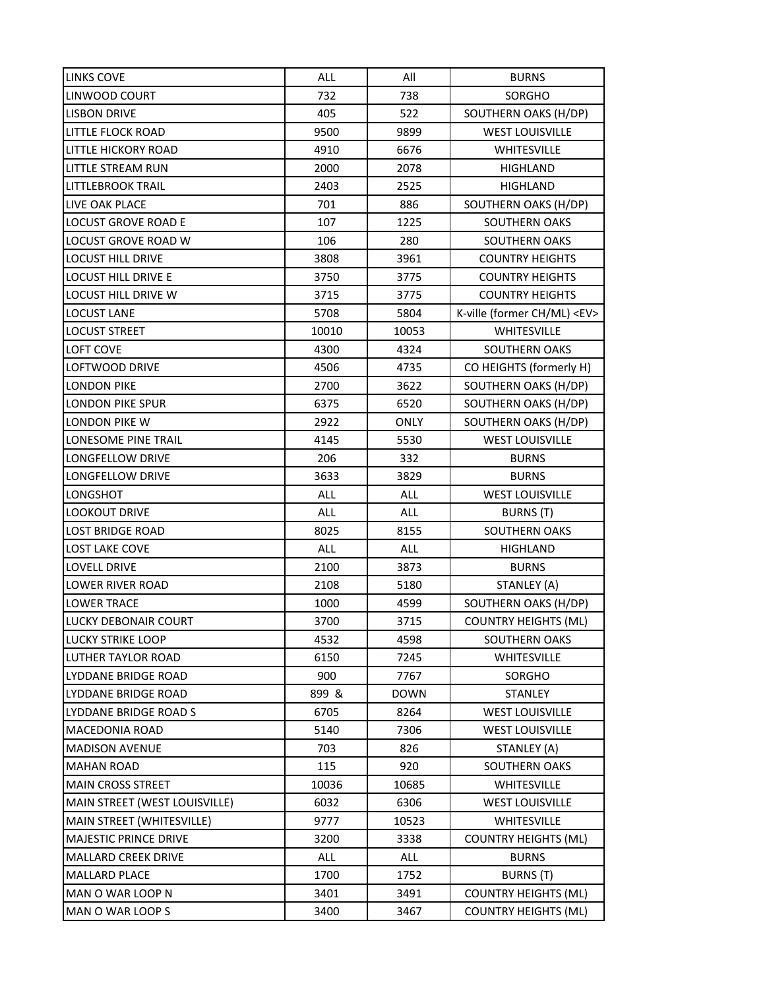| LINKS COVE                    | <b>ALL</b> | All         | <b>BURNS</b>                     |
|-------------------------------|------------|-------------|----------------------------------|
| LINWOOD COURT                 | 732        | 738         | SORGHO                           |
| <b>LISBON DRIVE</b>           | 405        | 522         | SOUTHERN OAKS (H/DP)             |
| LITTLE FLOCK ROAD             | 9500       | 9899        | <b>WEST LOUISVILLE</b>           |
| <b>LITTLE HICKORY ROAD</b>    | 4910       | 6676        | <b>WHITESVILLE</b>               |
| LITTLE STREAM RUN             | 2000       | 2078        | HIGHLAND                         |
| LITTLEBROOK TRAIL             | 2403       | 2525        | HIGHLAND                         |
| LIVE OAK PLACE                | 701        | 886         | SOUTHERN OAKS (H/DP)             |
| <b>LOCUST GROVE ROAD E</b>    | 107        | 1225        | <b>SOUTHERN OAKS</b>             |
| <b>LOCUST GROVE ROAD W</b>    | 106        | 280         | SOUTHERN OAKS                    |
| <b>LOCUST HILL DRIVE</b>      | 3808       | 3961        | <b>COUNTRY HEIGHTS</b>           |
| <b>LOCUST HILL DRIVE E</b>    | 3750       | 3775        | <b>COUNTRY HEIGHTS</b>           |
| LOCUST HILL DRIVE W           | 3715       | 3775        | <b>COUNTRY HEIGHTS</b>           |
| <b>LOCUST LANE</b>            | 5708       | 5804        | K-ville (former CH/ML) <ev></ev> |
| LOCUST STREET                 | 10010      | 10053       | <b>WHITESVILLE</b>               |
| LOFT COVE                     | 4300       | 4324        | <b>SOUTHERN OAKS</b>             |
| LOFTWOOD DRIVE                | 4506       | 4735        | CO HEIGHTS (formerly H)          |
| <b>LONDON PIKE</b>            | 2700       | 3622        | SOUTHERN OAKS (H/DP)             |
| LONDON PIKE SPUR              | 6375       | 6520        | SOUTHERN OAKS (H/DP)             |
| <b>LONDON PIKE W</b>          | 2922       | <b>ONLY</b> | SOUTHERN OAKS (H/DP)             |
| LONESOME PINE TRAIL           | 4145       | 5530        | <b>WEST LOUISVILLE</b>           |
| LONGFELLOW DRIVE              | 206        | 332         | <b>BURNS</b>                     |
| LONGFELLOW DRIVE              | 3633       | 3829        | <b>BURNS</b>                     |
| LONGSHOT                      | ALL        | ALL         | <b>WEST LOUISVILLE</b>           |
| <b>LOOKOUT DRIVE</b>          | <b>ALL</b> | ALL         | BURNS (T)                        |
| <b>LOST BRIDGE ROAD</b>       | 8025       | 8155        | SOUTHERN OAKS                    |
| <b>LOST LAKE COVE</b>         | ALL        | <b>ALL</b>  | <b>HIGHLAND</b>                  |
| <b>LOVELL DRIVE</b>           | 2100       | 3873        | <b>BURNS</b>                     |
| LOWER RIVER ROAD              | 2108       | 5180        | STANLEY (A)                      |
| <b>LOWER TRACE</b>            | 1000       | 4599        | SOUTHERN OAKS (H/DP)             |
| LUCKY DEBONAIR COURT          | 3700       | 3715        | <b>COUNTRY HEIGHTS (ML)</b>      |
| <b>LUCKY STRIKE LOOP</b>      | 4532       | 4598        | SOUTHERN OAKS                    |
| LUTHER TAYLOR ROAD            | 6150       | 7245        | WHITESVILLE                      |
| LYDDANE BRIDGE ROAD           | 900        | 7767        | SORGHO                           |
| LYDDANE BRIDGE ROAD           | 899 &      | <b>DOWN</b> | STANLEY                          |
| LYDDANE BRIDGE ROAD S         | 6705       | 8264        | <b>WEST LOUISVILLE</b>           |
| MACEDONIA ROAD                | 5140       | 7306        | <b>WEST LOUISVILLE</b>           |
| <b>MADISON AVENUE</b>         | 703        | 826         | STANLEY (A)                      |
| <b>MAHAN ROAD</b>             | 115        | 920         | <b>SOUTHERN OAKS</b>             |
| <b>MAIN CROSS STREET</b>      | 10036      | 10685       | WHITESVILLE                      |
| MAIN STREET (WEST LOUISVILLE) | 6032       | 6306        | <b>WEST LOUISVILLE</b>           |
| MAIN STREET (WHITESVILLE)     | 9777       | 10523       | WHITESVILLE                      |
| <b>MAJESTIC PRINCE DRIVE</b>  | 3200       | 3338        | <b>COUNTRY HEIGHTS (ML)</b>      |
| MALLARD CREEK DRIVE           | <b>ALL</b> | ALL         | <b>BURNS</b>                     |
| MALLARD PLACE                 | 1700       | 1752        | BURNS (T)                        |
| MAN O WAR LOOP N              | 3401       | 3491        | <b>COUNTRY HEIGHTS (ML)</b>      |
| MAN O WAR LOOP S              | 3400       | 3467        | <b>COUNTRY HEIGHTS (ML)</b>      |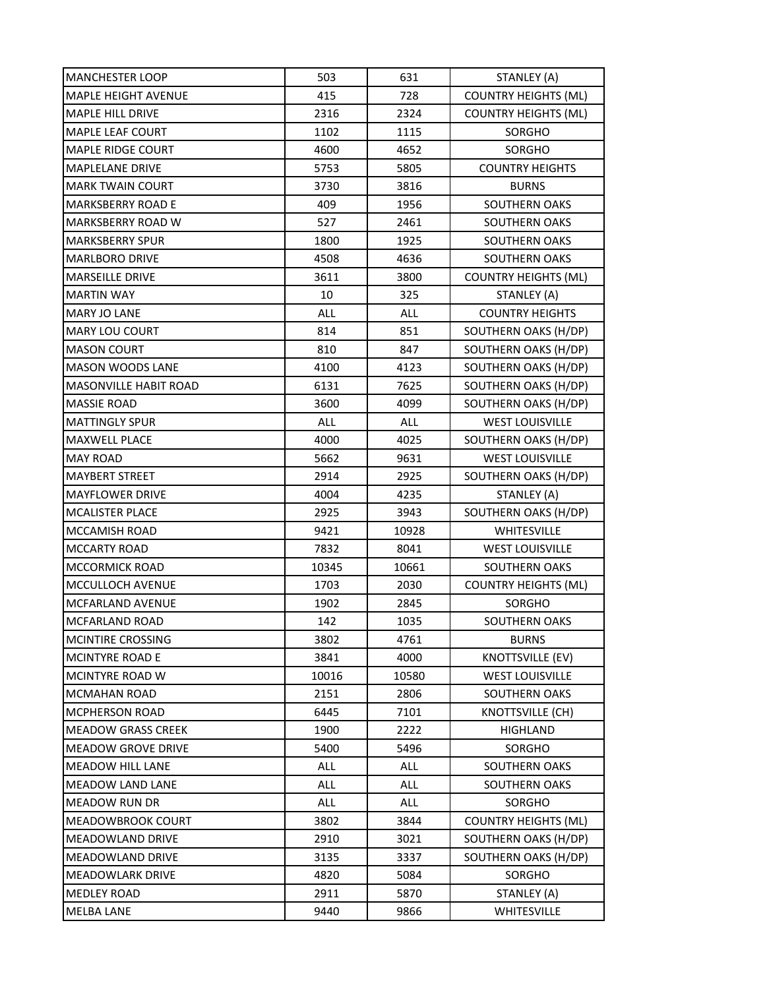| <b>MANCHESTER LOOP</b>       | 503        | 631        | STANLEY (A)                 |
|------------------------------|------------|------------|-----------------------------|
| <b>MAPLE HEIGHT AVENUE</b>   | 415        | 728        | <b>COUNTRY HEIGHTS (ML)</b> |
| <b>MAPLE HILL DRIVE</b>      | 2316       | 2324       | <b>COUNTRY HEIGHTS (ML)</b> |
| <b>MAPLE LEAF COURT</b>      | 1102       | 1115       | SORGHO                      |
| <b>MAPLE RIDGE COURT</b>     | 4600       | 4652       | <b>SORGHO</b>               |
| MAPLELANE DRIVE              | 5753       | 5805       | <b>COUNTRY HEIGHTS</b>      |
| <b>MARK TWAIN COURT</b>      | 3730       | 3816       | <b>BURNS</b>                |
| <b>MARKSBERRY ROAD E</b>     | 409        | 1956       | <b>SOUTHERN OAKS</b>        |
| MARKSBERRY ROAD W            | 527        | 2461       | <b>SOUTHERN OAKS</b>        |
| MARKSBERRY SPUR              | 1800       | 1925       | <b>SOUTHERN OAKS</b>        |
| <b>MARLBORO DRIVE</b>        | 4508       | 4636       | <b>SOUTHERN OAKS</b>        |
| <b>MARSEILLE DRIVE</b>       | 3611       | 3800       | <b>COUNTRY HEIGHTS (ML)</b> |
| <b>MARTIN WAY</b>            | 10         | 325        | STANLEY (A)                 |
| <b>MARY JO LANE</b>          | ALL        | ALL        | <b>COUNTRY HEIGHTS</b>      |
| MARY LOU COURT               | 814        | 851        | SOUTHERN OAKS (H/DP)        |
| <b>MASON COURT</b>           | 810        | 847        | SOUTHERN OAKS (H/DP)        |
| <b>MASON WOODS LANE</b>      | 4100       | 4123       | SOUTHERN OAKS (H/DP)        |
| <b>MASONVILLE HABIT ROAD</b> | 6131       | 7625       | SOUTHERN OAKS (H/DP)        |
| <b>MASSIE ROAD</b>           | 3600       | 4099       | SOUTHERN OAKS (H/DP)        |
| <b>MATTINGLY SPUR</b>        | <b>ALL</b> | <b>ALL</b> | <b>WEST LOUISVILLE</b>      |
| <b>MAXWELL PLACE</b>         | 4000       | 4025       | SOUTHERN OAKS (H/DP)        |
| <b>MAY ROAD</b>              | 5662       | 9631       | <b>WEST LOUISVILLE</b>      |
| <b>MAYBERT STREET</b>        | 2914       | 2925       | SOUTHERN OAKS (H/DP)        |
| <b>MAYFLOWER DRIVE</b>       | 4004       | 4235       | STANLEY (A)                 |
| <b>MCALISTER PLACE</b>       | 2925       | 3943       | SOUTHERN OAKS (H/DP)        |
| MCCAMISH ROAD                | 9421       | 10928      | <b>WHITESVILLE</b>          |
| <b>MCCARTY ROAD</b>          | 7832       | 8041       | <b>WEST LOUISVILLE</b>      |
| <b>MCCORMICK ROAD</b>        | 10345      | 10661      | SOUTHERN OAKS               |
| <b>MCCULLOCH AVENUE</b>      | 1703       | 2030       | <b>COUNTRY HEIGHTS (ML)</b> |
| MCFARLAND AVENUE             | 1902       | 2845       | SORGHO                      |
| MCFARLAND ROAD               | 142        | 1035       | <b>SOUTHERN OAKS</b>        |
| MCINTIRE CROSSING            | 3802       | 4761       | <b>BURNS</b>                |
| MCINTYRE ROAD E              | 3841       | 4000       | <b>KNOTTSVILLE (EV)</b>     |
| MCINTYRE ROAD W              | 10016      | 10580      | <b>WEST LOUISVILLE</b>      |
| <b>MCMAHAN ROAD</b>          | 2151       | 2806       | <b>SOUTHERN OAKS</b>        |
| <b>MCPHERSON ROAD</b>        | 6445       | 7101       | <b>KNOTTSVILLE (CH)</b>     |
| <b>MEADOW GRASS CREEK</b>    | 1900       | 2222       | HIGHLAND                    |
| <b>MEADOW GROVE DRIVE</b>    | 5400       | 5496       | SORGHO                      |
| <b>MEADOW HILL LANE</b>      | <b>ALL</b> | <b>ALL</b> | <b>SOUTHERN OAKS</b>        |
| <b>MEADOW LAND LANE</b>      | <b>ALL</b> | ALL        | SOUTHERN OAKS               |
| <b>MEADOW RUN DR</b>         | ALL        | ALL        | SORGHO                      |
| <b>MEADOWBROOK COURT</b>     | 3802       | 3844       | <b>COUNTRY HEIGHTS (ML)</b> |
| <b>MEADOWLAND DRIVE</b>      | 2910       | 3021       | SOUTHERN OAKS (H/DP)        |
| <b>MEADOWLAND DRIVE</b>      | 3135       | 3337       | SOUTHERN OAKS (H/DP)        |
| <b>MEADOWLARK DRIVE</b>      | 4820       | 5084       | SORGHO                      |
| <b>MEDLEY ROAD</b>           | 2911       | 5870       | STANLEY (A)                 |
| <b>MELBA LANE</b>            | 9440       | 9866       | WHITESVILLE                 |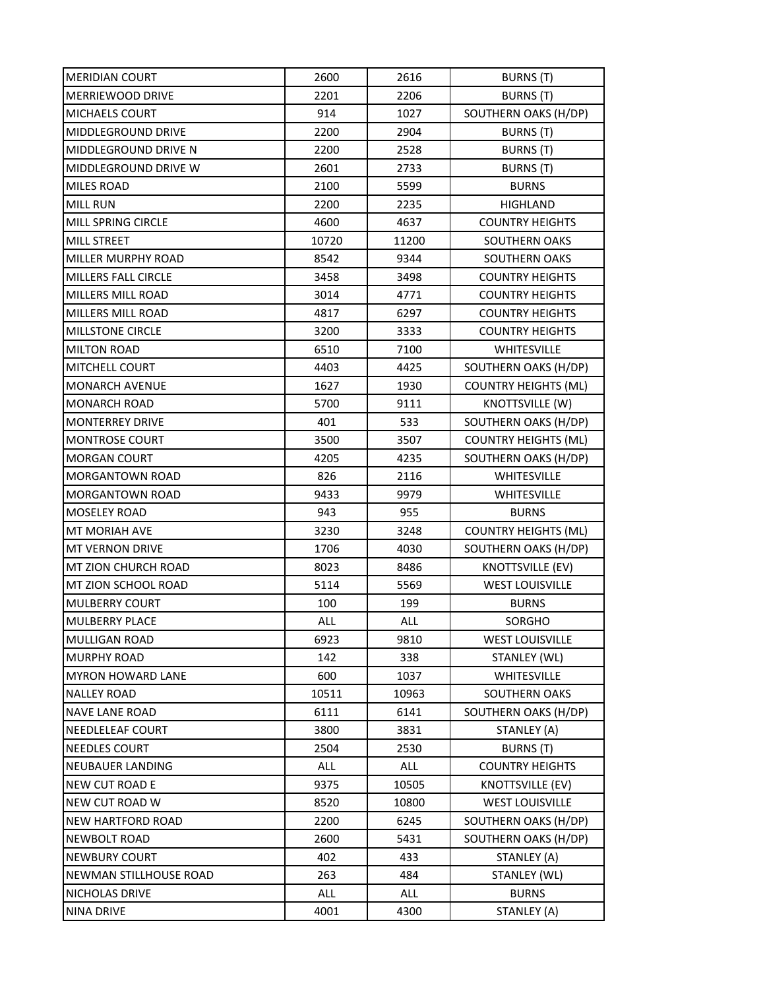| MERIDIAN COURT            | 2600  | 2616  | BURNS (T)                   |
|---------------------------|-------|-------|-----------------------------|
| MERRIEWOOD DRIVE          | 2201  | 2206  | <b>BURNS</b> (T)            |
| <b>MICHAELS COURT</b>     | 914   | 1027  | SOUTHERN OAKS (H/DP)        |
| <b>MIDDLEGROUND DRIVE</b> | 2200  | 2904  | BURNS (T)                   |
| MIDDLEGROUND DRIVE N      | 2200  | 2528  | BURNS (T)                   |
| MIDDLEGROUND DRIVE W      | 2601  | 2733  | <b>BURNS</b> (T)            |
| MILES ROAD                | 2100  | 5599  | <b>BURNS</b>                |
| <b>MILL RUN</b>           | 2200  | 2235  | HIGHLAND                    |
| MILL SPRING CIRCLE        | 4600  | 4637  | <b>COUNTRY HEIGHTS</b>      |
| <b>MILL STREET</b>        | 10720 | 11200 | <b>SOUTHERN OAKS</b>        |
| MILLER MURPHY ROAD        | 8542  | 9344  | <b>SOUTHERN OAKS</b>        |
| MILLERS FALL CIRCLE       | 3458  | 3498  | <b>COUNTRY HEIGHTS</b>      |
| MILLERS MILL ROAD         | 3014  | 4771  | <b>COUNTRY HEIGHTS</b>      |
| MILLERS MILL ROAD         | 4817  | 6297  | <b>COUNTRY HEIGHTS</b>      |
| <b>MILLSTONE CIRCLE</b>   | 3200  | 3333  | <b>COUNTRY HEIGHTS</b>      |
| <b>MILTON ROAD</b>        | 6510  | 7100  | WHITESVILLE                 |
| <b>MITCHELL COURT</b>     | 4403  | 4425  | SOUTHERN OAKS (H/DP)        |
| <b>MONARCH AVENUE</b>     | 1627  | 1930  | <b>COUNTRY HEIGHTS (ML)</b> |
| <b>MONARCH ROAD</b>       | 5700  | 9111  | <b>KNOTTSVILLE (W)</b>      |
| <b>MONTERREY DRIVE</b>    | 401   | 533   | SOUTHERN OAKS (H/DP)        |
| <b>MONTROSE COURT</b>     | 3500  | 3507  | <b>COUNTRY HEIGHTS (ML)</b> |
| <b>MORGAN COURT</b>       | 4205  | 4235  | SOUTHERN OAKS (H/DP)        |
| MORGANTOWN ROAD           | 826   | 2116  | <b>WHITESVILLE</b>          |
| <b>MORGANTOWN ROAD</b>    | 9433  | 9979  | <b>WHITESVILLE</b>          |
| <b>MOSELEY ROAD</b>       | 943   | 955   | <b>BURNS</b>                |
| MT MORIAH AVE             | 3230  | 3248  | <b>COUNTRY HEIGHTS (ML)</b> |
| <b>MT VERNON DRIVE</b>    | 1706  | 4030  | SOUTHERN OAKS (H/DP)        |
| MT ZION CHURCH ROAD       | 8023  | 8486  | <b>KNOTTSVILLE (EV)</b>     |
| MT ZION SCHOOL ROAD       | 5114  | 5569  | <b>WEST LOUISVILLE</b>      |
| <b>MULBERRY COURT</b>     | 100   | 199   | <b>BURNS</b>                |
| <b>MULBERRY PLACE</b>     | ALL   | ALL   | <b>SORGHO</b>               |
| MULLIGAN ROAD             | 6923  | 9810  | <b>WEST LOUISVILLE</b>      |
| <b>MURPHY ROAD</b>        | 142   | 338   | STANLEY (WL)                |
| <b>MYRON HOWARD LANE</b>  | 600   | 1037  | WHITESVILLE                 |
| <b>NALLEY ROAD</b>        | 10511 | 10963 | SOUTHERN OAKS               |
| <b>NAVE LANE ROAD</b>     | 6111  | 6141  | SOUTHERN OAKS (H/DP)        |
| NEEDLELEAF COURT          | 3800  | 3831  | STANLEY (A)                 |
| NEEDLES COURT             | 2504  | 2530  | BURNS (T)                   |
| NEUBAUER LANDING          | ALL   | ALL   | <b>COUNTRY HEIGHTS</b>      |
| NEW CUT ROAD E            | 9375  | 10505 | <b>KNOTTSVILLE (EV)</b>     |
| NEW CUT ROAD W            | 8520  | 10800 | <b>WEST LOUISVILLE</b>      |
| <b>NEW HARTFORD ROAD</b>  | 2200  | 6245  | SOUTHERN OAKS (H/DP)        |
| NEWBOLT ROAD              | 2600  | 5431  | SOUTHERN OAKS (H/DP)        |
| <b>NEWBURY COURT</b>      | 402   | 433   | STANLEY (A)                 |
| NEWMAN STILLHOUSE ROAD    | 263   | 484   | STANLEY (WL)                |
| NICHOLAS DRIVE            | ALL   | ALL   | <b>BURNS</b>                |
| <b>NINA DRIVE</b>         | 4001  | 4300  | STANLEY (A)                 |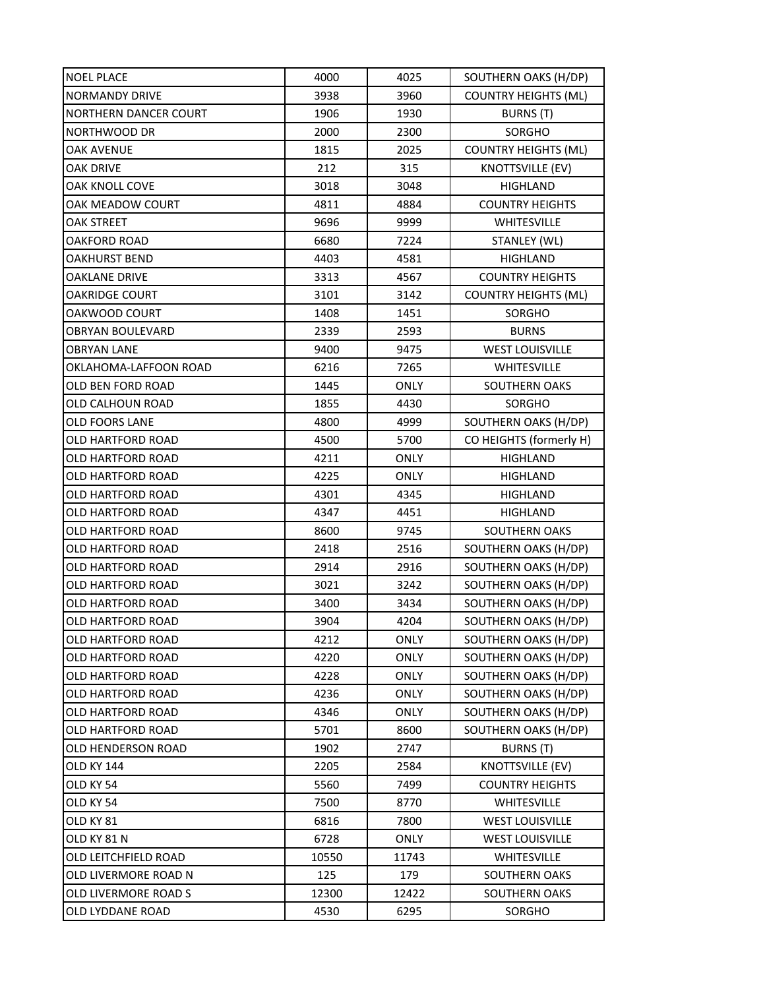| <b>NOEL PLACE</b>            | 4000  | 4025        | SOUTHERN OAKS (H/DP)        |
|------------------------------|-------|-------------|-----------------------------|
| <b>NORMANDY DRIVE</b>        | 3938  | 3960        | <b>COUNTRY HEIGHTS (ML)</b> |
| <b>NORTHERN DANCER COURT</b> | 1906  | 1930        | BURNS (T)                   |
| NORTHWOOD DR                 | 2000  | 2300        | SORGHO                      |
| <b>OAK AVENUE</b>            | 1815  | 2025        | <b>COUNTRY HEIGHTS (ML)</b> |
| <b>OAK DRIVE</b>             | 212   | 315         | <b>KNOTTSVILLE (EV)</b>     |
| OAK KNOLL COVE               | 3018  | 3048        | HIGHLAND                    |
| OAK MEADOW COURT             | 4811  | 4884        | <b>COUNTRY HEIGHTS</b>      |
| <b>OAK STREET</b>            | 9696  | 9999        | <b>WHITESVILLE</b>          |
| <b>OAKFORD ROAD</b>          | 6680  | 7224        | STANLEY (WL)                |
| <b>OAKHURST BEND</b>         | 4403  | 4581        | HIGHLAND                    |
| <b>OAKLANE DRIVE</b>         | 3313  | 4567        | <b>COUNTRY HEIGHTS</b>      |
| <b>OAKRIDGE COURT</b>        | 3101  | 3142        | <b>COUNTRY HEIGHTS (ML)</b> |
| OAKWOOD COURT                | 1408  | 1451        | SORGHO                      |
| <b>OBRYAN BOULEVARD</b>      | 2339  | 2593        | <b>BURNS</b>                |
| <b>OBRYAN LANE</b>           | 9400  | 9475        | <b>WEST LOUISVILLE</b>      |
| OKLAHOMA-LAFFOON ROAD        | 6216  | 7265        | WHITESVILLE                 |
| <b>OLD BEN FORD ROAD</b>     | 1445  | <b>ONLY</b> | <b>SOUTHERN OAKS</b>        |
| OLD CALHOUN ROAD             | 1855  | 4430        | SORGHO                      |
| <b>OLD FOORS LANE</b>        | 4800  | 4999        | SOUTHERN OAKS (H/DP)        |
| OLD HARTFORD ROAD            | 4500  | 5700        | CO HEIGHTS (formerly H)     |
| OLD HARTFORD ROAD            | 4211  | <b>ONLY</b> | <b>HIGHLAND</b>             |
| OLD HARTFORD ROAD            | 4225  | <b>ONLY</b> | <b>HIGHLAND</b>             |
| OLD HARTFORD ROAD            | 4301  | 4345        | <b>HIGHLAND</b>             |
| OLD HARTFORD ROAD            | 4347  | 4451        | <b>HIGHLAND</b>             |
| OLD HARTFORD ROAD            | 8600  | 9745        | SOUTHERN OAKS               |
| OLD HARTFORD ROAD            | 2418  | 2516        | SOUTHERN OAKS (H/DP)        |
| OLD HARTFORD ROAD            | 2914  | 2916        | SOUTHERN OAKS (H/DP)        |
| OLD HARTFORD ROAD            | 3021  | 3242        | SOUTHERN OAKS (H/DP)        |
| OLD HARTFORD ROAD            | 3400  | 3434        | SOUTHERN OAKS (H/DP)        |
| OLD HARTFORD ROAD            | 3904  | 4204        | SOUTHERN OAKS (H/DP)        |
| OLD HARTFORD ROAD            | 4212  | <b>ONLY</b> | SOUTHERN OAKS (H/DP)        |
| OLD HARTFORD ROAD            | 4220  | <b>ONLY</b> | SOUTHERN OAKS (H/DP)        |
| OLD HARTFORD ROAD            | 4228  | ONLY        | SOUTHERN OAKS (H/DP)        |
| OLD HARTFORD ROAD            | 4236  | ONLY        | SOUTHERN OAKS (H/DP)        |
| OLD HARTFORD ROAD            | 4346  | ONLY        | SOUTHERN OAKS (H/DP)        |
| OLD HARTFORD ROAD            | 5701  | 8600        | SOUTHERN OAKS (H/DP)        |
| OLD HENDERSON ROAD           | 1902  | 2747        | BURNS (T)                   |
| <b>OLD KY 144</b>            | 2205  | 2584        | <b>KNOTTSVILLE (EV)</b>     |
| OLD KY 54                    | 5560  | 7499        | <b>COUNTRY HEIGHTS</b>      |
| OLD KY 54                    | 7500  | 8770        | WHITESVILLE                 |
| OLD KY 81                    | 6816  | 7800        | <b>WEST LOUISVILLE</b>      |
| OLD KY 81 N                  | 6728  | <b>ONLY</b> | <b>WEST LOUISVILLE</b>      |
| OLD LEITCHFIELD ROAD         | 10550 | 11743       | WHITESVILLE                 |
| OLD LIVERMORE ROAD N         | 125   | 179         | SOUTHERN OAKS               |
| OLD LIVERMORE ROAD S         | 12300 | 12422       | SOUTHERN OAKS               |
| OLD LYDDANE ROAD             | 4530  | 6295        | SORGHO                      |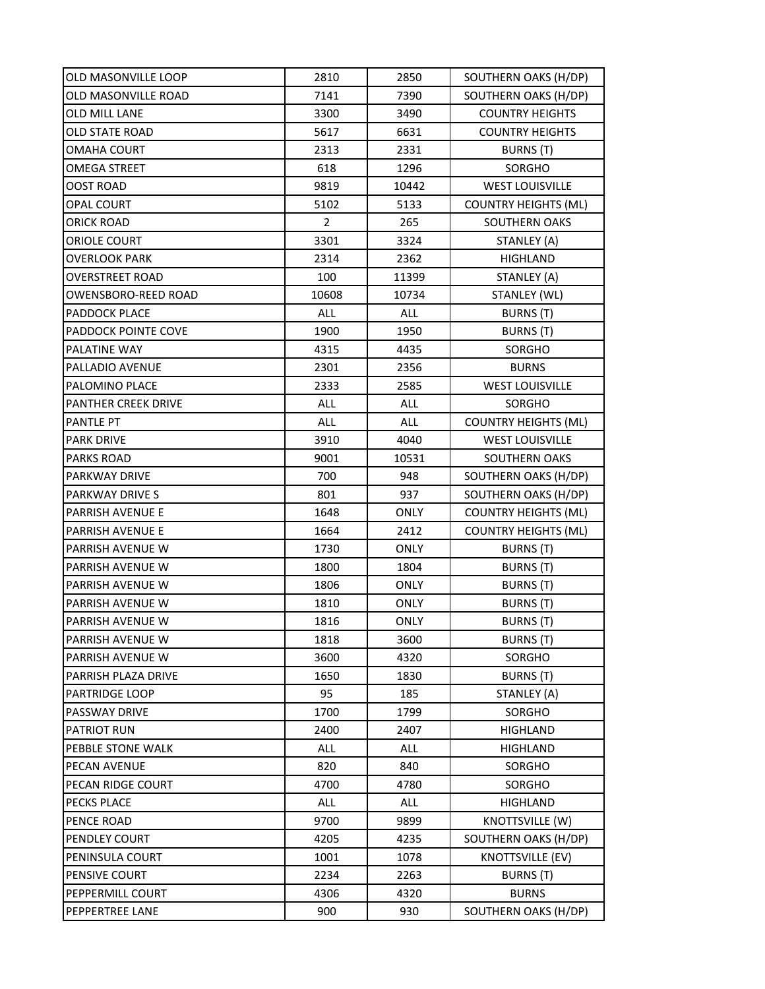| OLD MASONVILLE LOOP        | 2810           | 2850        | SOUTHERN OAKS (H/DP)        |
|----------------------------|----------------|-------------|-----------------------------|
| OLD MASONVILLE ROAD        | 7141           | 7390        | SOUTHERN OAKS (H/DP)        |
| OLD MILL LANE              | 3300           | 3490        | <b>COUNTRY HEIGHTS</b>      |
| OLD STATE ROAD             | 5617           | 6631        | <b>COUNTRY HEIGHTS</b>      |
| OMAHA COURT                | 2313           | 2331        | <b>BURNS</b> (T)            |
| OMEGA STREET               | 618            | 1296        | SORGHO                      |
| OOST ROAD                  | 9819           | 10442       | <b>WEST LOUISVILLE</b>      |
| OPAL COURT                 | 5102           | 5133        | <b>COUNTRY HEIGHTS (ML)</b> |
| <b>ORICK ROAD</b>          | $\overline{2}$ | 265         | SOUTHERN OAKS               |
| ORIOLE COURT               | 3301           | 3324        | STANLEY (A)                 |
| <b>OVERLOOK PARK</b>       | 2314           | 2362        | HIGHLAND                    |
| <b>OVERSTREET ROAD</b>     | 100            | 11399       | STANLEY (A)                 |
| OWENSBORO-REED ROAD        | 10608          | 10734       | STANLEY (WL)                |
| PADDOCK PLACE              | ALL            | ALL         | <b>BURNS</b> (T)            |
| <b>PADDOCK POINTE COVE</b> | 1900           | 1950        | <b>BURNS (T)</b>            |
| PALATINE WAY               | 4315           | 4435        | SORGHO                      |
| PALLADIO AVENUE            | 2301           | 2356        | <b>BURNS</b>                |
| PALOMINO PLACE             | 2333           | 2585        | <b>WEST LOUISVILLE</b>      |
| PANTHER CREEK DRIVE        | ALL            | <b>ALL</b>  | SORGHO                      |
| <b>PANTLE PT</b>           | ALL            | ALL         | <b>COUNTRY HEIGHTS (ML)</b> |
| <b>PARK DRIVE</b>          | 3910           | 4040        | <b>WEST LOUISVILLE</b>      |
| <b>PARKS ROAD</b>          | 9001           | 10531       | <b>SOUTHERN OAKS</b>        |
| <b>PARKWAY DRIVE</b>       | 700            | 948         | SOUTHERN OAKS (H/DP)        |
| PARKWAY DRIVE S            | 801            | 937         | SOUTHERN OAKS (H/DP)        |
| PARRISH AVENUE E           | 1648           | <b>ONLY</b> | <b>COUNTRY HEIGHTS (ML)</b> |
| PARRISH AVENUE E           | 1664           | 2412        | <b>COUNTRY HEIGHTS (ML)</b> |
| PARRISH AVENUE W           | 1730           | <b>ONLY</b> | BURNS (T)                   |
| PARRISH AVENUE W           | 1800           | 1804        | BURNS (T)                   |
| <b>PARRISH AVENUE W</b>    | 1806           | <b>ONLY</b> | BURNS (T)                   |
| PARRISH AVENUE W           | 1810           | ONLY        | BURNS (T)                   |
| <b>PARRISH AVENUE W</b>    | 1816           | <b>ONLY</b> | <b>BURNS (T)</b>            |
| PARRISH AVENUE W           | 1818           | 3600        | BURNS (T)                   |
| PARRISH AVENUE W           | 3600           | 4320        | SORGHO                      |
| PARRISH PLAZA DRIVE        | 1650           | 1830        | BURNS (T)                   |
| PARTRIDGE LOOP             | 95             | 185         | STANLEY (A)                 |
| PASSWAY DRIVE              | 1700           | 1799        | SORGHO                      |
| PATRIOT RUN                | 2400           | 2407        | <b>HIGHLAND</b>             |
| PEBBLE STONE WALK          | ALL            | ALL         | <b>HIGHLAND</b>             |
| PECAN AVENUE               | 820            | 840         | <b>SORGHO</b>               |
| PECAN RIDGE COURT          | 4700           | 4780        | SORGHO                      |
| <b>PECKS PLACE</b>         | ALL            | ALL         | HIGHLAND                    |
| PENCE ROAD                 | 9700           | 9899        | KNOTTSVILLE (W)             |
| PENDLEY COURT              | 4205           | 4235        | SOUTHERN OAKS (H/DP)        |
| PENINSULA COURT            | 1001           | 1078        | KNOTTSVILLE (EV)            |
| PENSIVE COURT              | 2234           | 2263        | BURNS (T)                   |
| PEPPERMILL COURT           | 4306           | 4320        | <b>BURNS</b>                |
| PEPPERTREE LANE            | 900            | 930         | SOUTHERN OAKS (H/DP)        |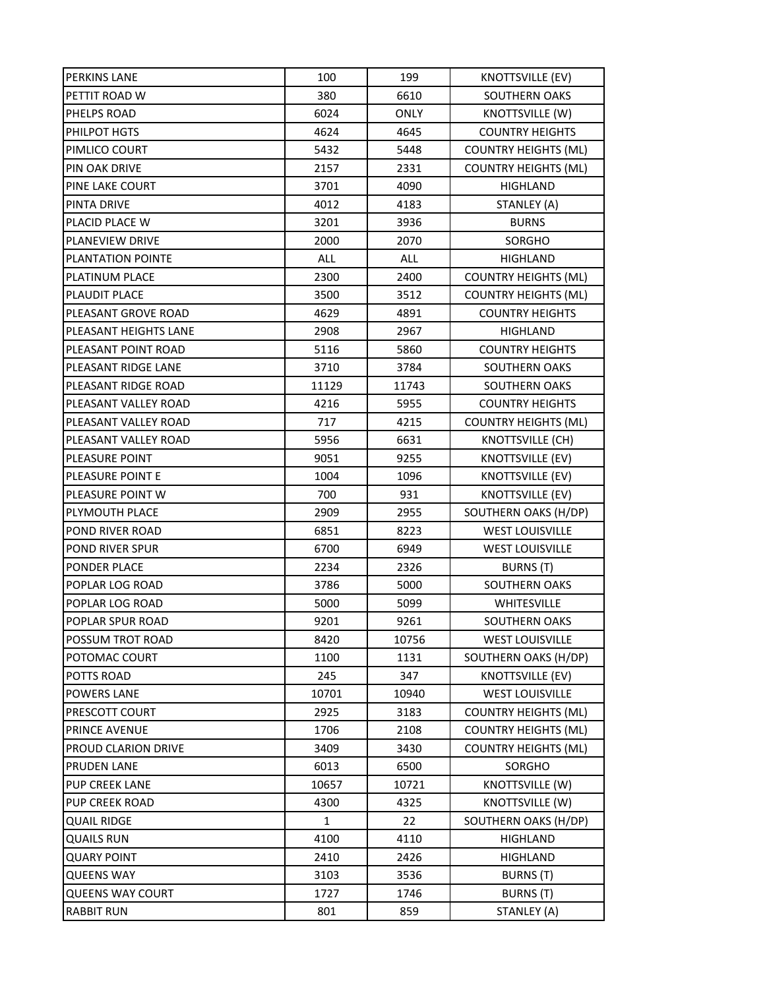| PERKINS LANE          | 100          | 199         | <b>KNOTTSVILLE (EV)</b>     |
|-----------------------|--------------|-------------|-----------------------------|
| PETTIT ROAD W         | 380          | 6610        | SOUTHERN OAKS               |
| PHELPS ROAD           | 6024         | <b>ONLY</b> | KNOTTSVILLE (W)             |
| PHILPOT HGTS          | 4624         | 4645        | <b>COUNTRY HEIGHTS</b>      |
| PIMLICO COURT         | 5432         | 5448        | <b>COUNTRY HEIGHTS (ML)</b> |
| PIN OAK DRIVE         | 2157         | 2331        | <b>COUNTRY HEIGHTS (ML)</b> |
| PINE LAKE COURT       | 3701         | 4090        | <b>HIGHLAND</b>             |
| PINTA DRIVE           | 4012         | 4183        | STANLEY (A)                 |
| PLACID PLACE W        | 3201         | 3936        | <b>BURNS</b>                |
| PLANEVIEW DRIVE       | 2000         | 2070        | SORGHO                      |
| PLANTATION POINTE     | ALL          | ALL         | <b>HIGHLAND</b>             |
| PLATINUM PLACE        | 2300         | 2400        | <b>COUNTRY HEIGHTS (ML)</b> |
| PLAUDIT PLACE         | 3500         | 3512        | <b>COUNTRY HEIGHTS (ML)</b> |
| PLEASANT GROVE ROAD   | 4629         | 4891        | <b>COUNTRY HEIGHTS</b>      |
| PLEASANT HEIGHTS LANE | 2908         | 2967        | HIGHLAND                    |
| PLEASANT POINT ROAD   | 5116         | 5860        | <b>COUNTRY HEIGHTS</b>      |
| PLEASANT RIDGE LANE   | 3710         | 3784        | SOUTHERN OAKS               |
| PLEASANT RIDGE ROAD   | 11129        | 11743       | SOUTHERN OAKS               |
| PLEASANT VALLEY ROAD  | 4216         | 5955        | <b>COUNTRY HEIGHTS</b>      |
| PLEASANT VALLEY ROAD  | 717          | 4215        | <b>COUNTRY HEIGHTS (ML)</b> |
| PLEASANT VALLEY ROAD  | 5956         | 6631        | KNOTTSVILLE (CH)            |
| PLEASURE POINT        | 9051         | 9255        | <b>KNOTTSVILLE (EV)</b>     |
| PLEASURE POINT E      | 1004         | 1096        | <b>KNOTTSVILLE (EV)</b>     |
| PLEASURE POINT W      | 700          | 931         | <b>KNOTTSVILLE (EV)</b>     |
| PLYMOUTH PLACE        | 2909         | 2955        | SOUTHERN OAKS (H/DP)        |
| POND RIVER ROAD       | 6851         | 8223        | <b>WEST LOUISVILLE</b>      |
| POND RIVER SPUR       | 6700         | 6949        | <b>WEST LOUISVILLE</b>      |
| PONDER PLACE          | 2234         | 2326        | BURNS (T)                   |
| POPLAR LOG ROAD       | 3786         | 5000        | <b>SOUTHERN OAKS</b>        |
| POPLAR LOG ROAD       | 5000         | 5099        | WHITESVILLE                 |
| POPLAR SPUR ROAD      | 9201         | 9261        | <b>SOUTHERN OAKS</b>        |
| POSSUM TROT ROAD      | 8420         | 10756       | <b>WEST LOUISVILLE</b>      |
| POTOMAC COURT         | 1100         | 1131        | SOUTHERN OAKS (H/DP)        |
| POTTS ROAD            | 245          | 347         | KNOTTSVILLE (EV)            |
| POWERS LANE           | 10701        | 10940       | <b>WEST LOUISVILLE</b>      |
| PRESCOTT COURT        | 2925         | 3183        | <b>COUNTRY HEIGHTS (ML)</b> |
| PRINCE AVENUE         | 1706         | 2108        | <b>COUNTRY HEIGHTS (ML)</b> |
| PROUD CLARION DRIVE   | 3409         | 3430        | <b>COUNTRY HEIGHTS (ML)</b> |
| <b>PRUDEN LANE</b>    | 6013         | 6500        | SORGHO                      |
| PUP CREEK LANE        | 10657        | 10721       | KNOTTSVILLE (W)             |
| PUP CREEK ROAD        | 4300         | 4325        | KNOTTSVILLE (W)             |
| <b>QUAIL RIDGE</b>    | $\mathbf{1}$ | 22          | SOUTHERN OAKS (H/DP)        |
| <b>QUAILS RUN</b>     | 4100         | 4110        | <b>HIGHLAND</b>             |
| QUARY POINT           | 2410         | 2426        | HIGHLAND                    |
| <b>QUEENS WAY</b>     | 3103         | 3536        | BURNS (T)                   |
| QUEENS WAY COURT      | 1727         | 1746        | BURNS (T)                   |
| <b>RABBIT RUN</b>     | 801          | 859         | STANLEY (A)                 |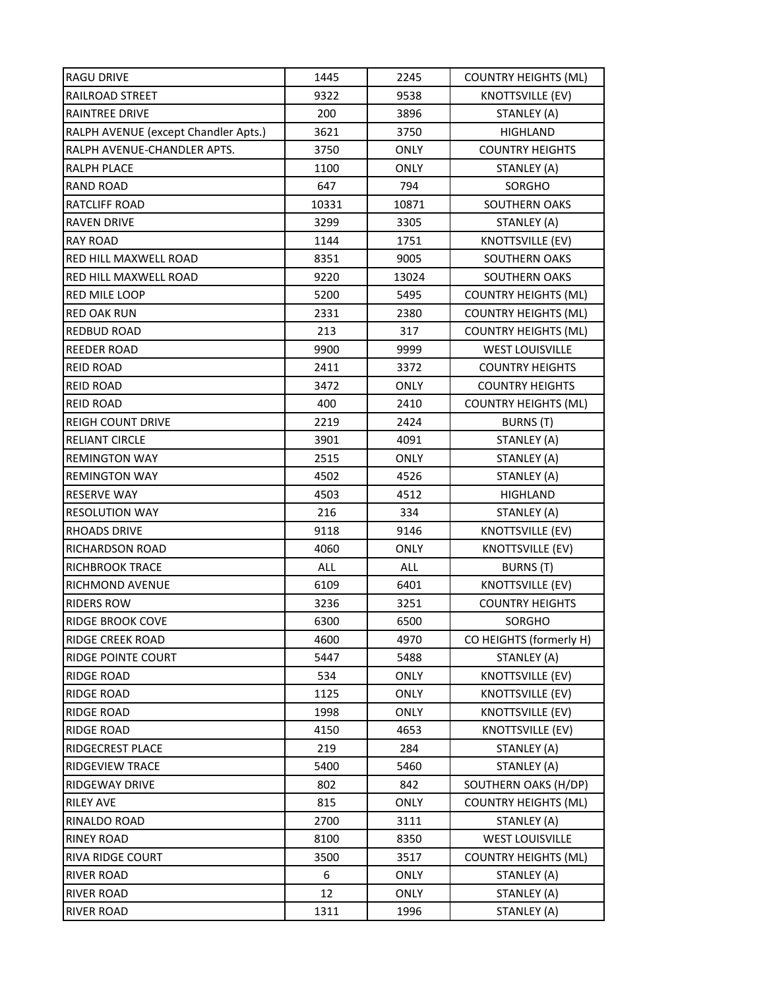| <b>RAGU DRIVE</b>                    | 1445  | 2245        | <b>COUNTRY HEIGHTS (ML)</b> |
|--------------------------------------|-------|-------------|-----------------------------|
| RAILROAD STREET                      | 9322  | 9538        | <b>KNOTTSVILLE (EV)</b>     |
| RAINTREE DRIVE                       | 200   | 3896        | STANLEY (A)                 |
| RALPH AVENUE (except Chandler Apts.) | 3621  | 3750        | <b>HIGHLAND</b>             |
| RALPH AVENUE-CHANDLER APTS.          | 3750  | <b>ONLY</b> | <b>COUNTRY HEIGHTS</b>      |
| RALPH PLACE                          | 1100  | <b>ONLY</b> | STANLEY (A)                 |
| <b>RAND ROAD</b>                     | 647   | 794         | SORGHO                      |
| RATCLIFF ROAD                        | 10331 | 10871       | <b>SOUTHERN OAKS</b>        |
| <b>RAVEN DRIVE</b>                   | 3299  | 3305        | STANLEY (A)                 |
| <b>RAY ROAD</b>                      | 1144  | 1751        | KNOTTSVILLE (EV)            |
| RED HILL MAXWELL ROAD                | 8351  | 9005        | <b>SOUTHERN OAKS</b>        |
| RED HILL MAXWELL ROAD                | 9220  | 13024       | <b>SOUTHERN OAKS</b>        |
| RED MILE LOOP                        | 5200  | 5495        | <b>COUNTRY HEIGHTS (ML)</b> |
| <b>RED OAK RUN</b>                   | 2331  | 2380        | <b>COUNTRY HEIGHTS (ML)</b> |
| <b>REDBUD ROAD</b>                   | 213   | 317         | <b>COUNTRY HEIGHTS (ML)</b> |
| <b>REEDER ROAD</b>                   | 9900  | 9999        | <b>WEST LOUISVILLE</b>      |
| <b>REID ROAD</b>                     | 2411  | 3372        | <b>COUNTRY HEIGHTS</b>      |
| <b>REID ROAD</b>                     | 3472  | <b>ONLY</b> | <b>COUNTRY HEIGHTS</b>      |
| <b>REID ROAD</b>                     | 400   | 2410        | <b>COUNTRY HEIGHTS (ML)</b> |
| <b>REIGH COUNT DRIVE</b>             | 2219  | 2424        | BURNS (T)                   |
| RELIANT CIRCLE                       | 3901  | 4091        | STANLEY (A)                 |
| <b>REMINGTON WAY</b>                 | 2515  | <b>ONLY</b> | STANLEY (A)                 |
| <b>REMINGTON WAY</b>                 | 4502  | 4526        | STANLEY (A)                 |
| <b>RESERVE WAY</b>                   | 4503  | 4512        | <b>HIGHLAND</b>             |
| <b>RESOLUTION WAY</b>                | 216   | 334         | STANLEY (A)                 |
| <b>RHOADS DRIVE</b>                  | 9118  | 9146        | <b>KNOTTSVILLE (EV)</b>     |
| RICHARDSON ROAD                      | 4060  | <b>ONLY</b> | KNOTTSVILLE (EV)            |
| <b>RICHBROOK TRACE</b>               | ALL   | <b>ALL</b>  | <b>BURNS (T)</b>            |
| RICHMOND AVENUE                      | 6109  | 6401        | <b>KNOTTSVILLE (EV)</b>     |
| <b>RIDERS ROW</b>                    | 3236  | 3251        | <b>COUNTRY HEIGHTS</b>      |
| RIDGE BROOK COVE                     | 6300  | 6500        | <b>SORGHO</b>               |
| RIDGE CREEK ROAD                     | 4600  | 4970        | CO HEIGHTS (formerly H)     |
| RIDGE POINTE COURT                   | 5447  | 5488        | STANLEY (A)                 |
| <b>RIDGE ROAD</b>                    | 534   | <b>ONLY</b> | <b>KNOTTSVILLE (EV)</b>     |
| <b>RIDGE ROAD</b>                    | 1125  | <b>ONLY</b> | <b>KNOTTSVILLE (EV)</b>     |
| <b>RIDGE ROAD</b>                    | 1998  | ONLY        | KNOTTSVILLE (EV)            |
| <b>RIDGE ROAD</b>                    | 4150  | 4653        | <b>KNOTTSVILLE (EV)</b>     |
| RIDGECREST PLACE                     | 219   | 284         | STANLEY (A)                 |
| RIDGEVIEW TRACE                      | 5400  | 5460        | STANLEY (A)                 |
| RIDGEWAY DRIVE                       | 802   | 842         | SOUTHERN OAKS (H/DP)        |
| <b>RILEY AVE</b>                     | 815   | ONLY        | <b>COUNTRY HEIGHTS (ML)</b> |
| RINALDO ROAD                         | 2700  | 3111        | STANLEY (A)                 |
| <b>RINEY ROAD</b>                    | 8100  | 8350        | <b>WEST LOUISVILLE</b>      |
| RIVA RIDGE COURT                     | 3500  | 3517        | <b>COUNTRY HEIGHTS (ML)</b> |
| <b>RIVER ROAD</b>                    | 6     | ONLY        | STANLEY (A)                 |
| <b>RIVER ROAD</b>                    | 12    | ONLY        | STANLEY (A)                 |
| <b>RIVER ROAD</b>                    | 1311  | 1996        | STANLEY (A)                 |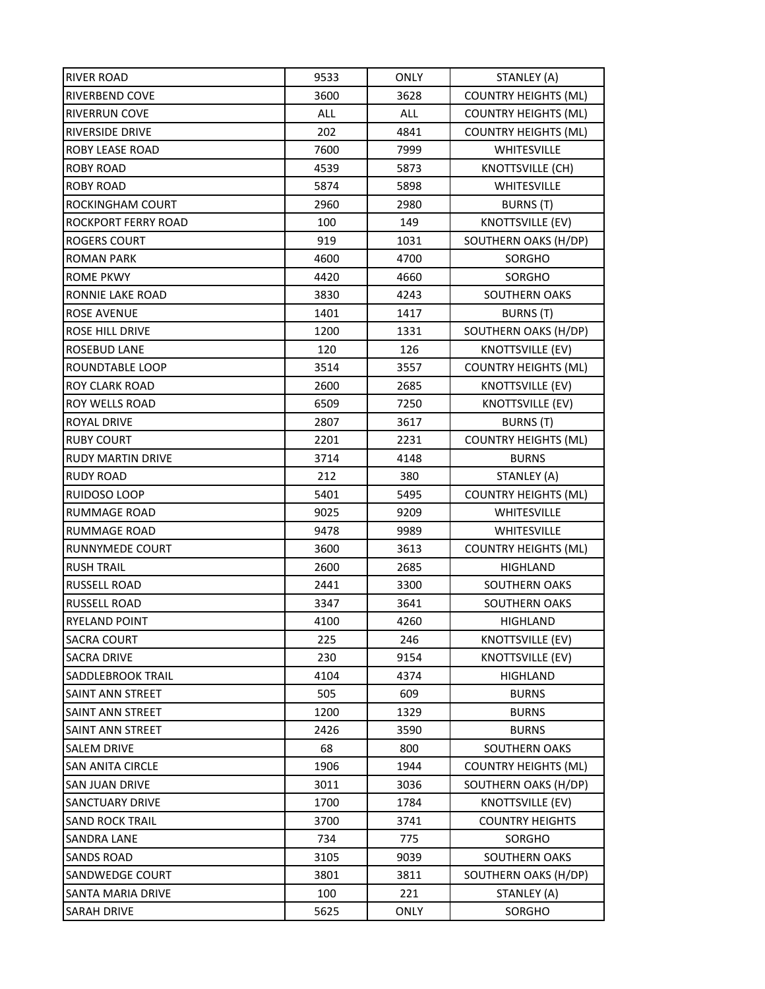| RIVER ROAD               | 9533       | <b>ONLY</b> | STANLEY (A)                 |
|--------------------------|------------|-------------|-----------------------------|
| RIVERBEND COVE           | 3600       | 3628        | <b>COUNTRY HEIGHTS (ML)</b> |
| RIVERRUN COVE            | <b>ALL</b> | ALL         | <b>COUNTRY HEIGHTS (ML)</b> |
| <b>RIVERSIDE DRIVE</b>   | 202        | 4841        | <b>COUNTRY HEIGHTS (ML)</b> |
| ROBY LEASE ROAD          | 7600       | 7999        | <b>WHITESVILLE</b>          |
| <b>ROBY ROAD</b>         | 4539       | 5873        | KNOTTSVILLE (CH)            |
| <b>ROBY ROAD</b>         | 5874       | 5898        | <b>WHITESVILLE</b>          |
| ROCKINGHAM COURT         | 2960       | 2980        | BURNS (T)                   |
| ROCKPORT FERRY ROAD      | 100        | 149         | <b>KNOTTSVILLE (EV)</b>     |
| <b>ROGERS COURT</b>      | 919        | 1031        | SOUTHERN OAKS (H/DP)        |
| <b>ROMAN PARK</b>        | 4600       | 4700        | SORGHO                      |
| <b>ROME PKWY</b>         | 4420       | 4660        | SORGHO                      |
| RONNIE LAKE ROAD         | 3830       | 4243        | SOUTHERN OAKS               |
| ROSE AVENUE              | 1401       | 1417        | BURNS (T)                   |
| <b>ROSE HILL DRIVE</b>   | 1200       | 1331        | SOUTHERN OAKS (H/DP)        |
| ROSEBUD LANE             | 120        | 126         | <b>KNOTTSVILLE (EV)</b>     |
| ROUNDTABLE LOOP          | 3514       | 3557        | <b>COUNTRY HEIGHTS (ML)</b> |
| ROY CLARK ROAD           | 2600       | 2685        | KNOTTSVILLE (EV)            |
| ROY WELLS ROAD           | 6509       | 7250        | <b>KNOTTSVILLE (EV)</b>     |
| <b>ROYAL DRIVE</b>       | 2807       | 3617        | <b>BURNS</b> (T)            |
| <b>RUBY COURT</b>        | 2201       | 2231        | <b>COUNTRY HEIGHTS (ML)</b> |
| <b>RUDY MARTIN DRIVE</b> | 3714       | 4148        | <b>BURNS</b>                |
| <b>RUDY ROAD</b>         | 212        | 380         | STANLEY (A)                 |
| RUIDOSO LOOP             | 5401       | 5495        | <b>COUNTRY HEIGHTS (ML)</b> |
| <b>RUMMAGE ROAD</b>      | 9025       | 9209        | WHITESVILLE                 |
| <b>RUMMAGE ROAD</b>      | 9478       | 9989        | WHITESVILLE                 |
| RUNNYMEDE COURT          | 3600       | 3613        | <b>COUNTRY HEIGHTS (ML)</b> |
| <b>RUSH TRAIL</b>        | 2600       | 2685        | <b>HIGHLAND</b>             |
| <b>RUSSELL ROAD</b>      | 2441       | 3300        | SOUTHERN OAKS               |
| RUSSELL ROAD             | 3347       | 3641        | SOUTHERN OAKS               |
| <b>RYELAND POINT</b>     | 4100       | 4260        | HIGHLAND                    |
| <b>SACRA COURT</b>       | 225        | 246         | <b>KNOTTSVILLE (EV)</b>     |
| <b>SACRA DRIVE</b>       | 230        | 9154        | KNOTTSVILLE (EV)            |
| SADDLEBROOK TRAIL        | 4104       | 4374        | HIGHLAND                    |
| SAINT ANN STREET         | 505        | 609         | <b>BURNS</b>                |
| SAINT ANN STREET         | 1200       | 1329        | <b>BURNS</b>                |
| SAINT ANN STREET         | 2426       | 3590        | <b>BURNS</b>                |
| SALEM DRIVE              | 68         | 800         | SOUTHERN OAKS               |
| <b>SAN ANITA CIRCLE</b>  | 1906       | 1944        | <b>COUNTRY HEIGHTS (ML)</b> |
| SAN JUAN DRIVE           | 3011       | 3036        | SOUTHERN OAKS (H/DP)        |
| <b>SANCTUARY DRIVE</b>   | 1700       | 1784        | <b>KNOTTSVILLE (EV)</b>     |
| <b>SAND ROCK TRAIL</b>   | 3700       | 3741        | <b>COUNTRY HEIGHTS</b>      |
| SANDRA LANE              | 734        | 775         | SORGHO                      |
| <b>SANDS ROAD</b>        | 3105       | 9039        | SOUTHERN OAKS               |
| SANDWEDGE COURT          | 3801       | 3811        | SOUTHERN OAKS (H/DP)        |
| SANTA MARIA DRIVE        | 100        | 221         | STANLEY (A)                 |
| SARAH DRIVE              | 5625       | <b>ONLY</b> | SORGHO                      |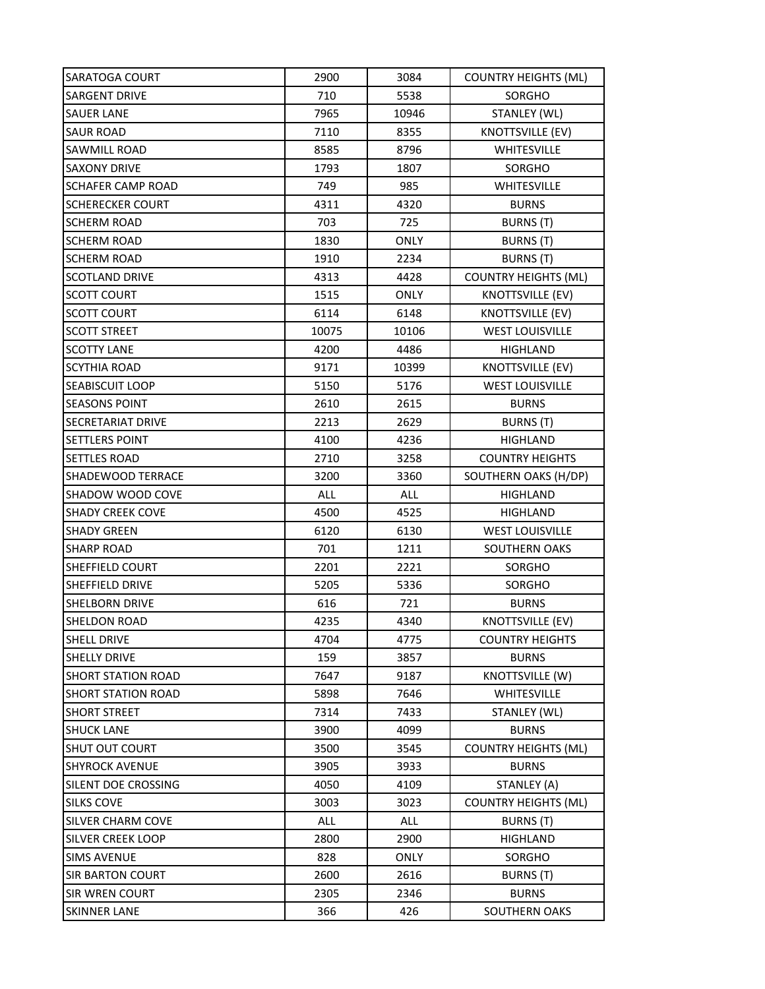| SARATOGA COURT            | 2900  | 3084        | <b>COUNTRY HEIGHTS (ML)</b> |
|---------------------------|-------|-------------|-----------------------------|
| SARGENT DRIVE             | 710   | 5538        | SORGHO                      |
| <b>SAUER LANE</b>         | 7965  | 10946       | STANLEY (WL)                |
| <b>SAUR ROAD</b>          | 7110  | 8355        | <b>KNOTTSVILLE (EV)</b>     |
| SAWMILL ROAD              | 8585  | 8796        | <b>WHITESVILLE</b>          |
| <b>SAXONY DRIVE</b>       | 1793  | 1807        | SORGHO                      |
| <b>SCHAFER CAMP ROAD</b>  | 749   | 985         | WHITESVILLE                 |
| <b>SCHERECKER COURT</b>   | 4311  | 4320        | <b>BURNS</b>                |
| <b>SCHERM ROAD</b>        | 703   | 725         | BURNS (T)                   |
| <b>SCHERM ROAD</b>        | 1830  | <b>ONLY</b> | BURNS (T)                   |
| <b>SCHERM ROAD</b>        | 1910  | 2234        | <b>BURNS (T)</b>            |
| <b>SCOTLAND DRIVE</b>     | 4313  | 4428        | <b>COUNTRY HEIGHTS (ML)</b> |
| <b>SCOTT COURT</b>        | 1515  | <b>ONLY</b> | KNOTTSVILLE (EV)            |
| <b>SCOTT COURT</b>        | 6114  | 6148        | <b>KNOTTSVILLE (EV)</b>     |
| <b>SCOTT STREET</b>       | 10075 | 10106       | <b>WEST LOUISVILLE</b>      |
| <b>SCOTTY LANE</b>        | 4200  | 4486        | HIGHLAND                    |
| <b>SCYTHIA ROAD</b>       | 9171  | 10399       | <b>KNOTTSVILLE (EV)</b>     |
| SEABISCUIT LOOP           | 5150  | 5176        | <b>WEST LOUISVILLE</b>      |
| <b>SEASONS POINT</b>      | 2610  | 2615        | <b>BURNS</b>                |
| <b>SECRETARIAT DRIVE</b>  | 2213  | 2629        | BURNS (T)                   |
| SETTLERS POINT            | 4100  | 4236        | HIGHLAND                    |
| <b>SETTLES ROAD</b>       | 2710  | 3258        | <b>COUNTRY HEIGHTS</b>      |
| SHADEWOOD TERRACE         | 3200  | 3360        | SOUTHERN OAKS (H/DP)        |
| SHADOW WOOD COVE          | ALL   | ALL         | <b>HIGHLAND</b>             |
| <b>SHADY CREEK COVE</b>   | 4500  | 4525        | HIGHLAND                    |
| <b>SHADY GREEN</b>        | 6120  | 6130        | <b>WEST LOUISVILLE</b>      |
| <b>SHARP ROAD</b>         | 701   | 1211        | SOUTHERN OAKS               |
| SHEFFIELD COURT           | 2201  | 2221        | SORGHO                      |
| <b>SHEFFIELD DRIVE</b>    | 5205  | 5336        | SORGHO                      |
| SHELBORN DRIVE            | 616   | 721         | <b>BURNS</b>                |
| <b>SHELDON ROAD</b>       | 4235  | 4340        | <b>KNOTTSVILLE (EV)</b>     |
| <b>SHELL DRIVE</b>        | 4704  | 4775        | <b>COUNTRY HEIGHTS</b>      |
| <b>SHELLY DRIVE</b>       | 159   | 3857        | <b>BURNS</b>                |
| <b>SHORT STATION ROAD</b> | 7647  | 9187        | <b>KNOTTSVILLE (W)</b>      |
| <b>SHORT STATION ROAD</b> | 5898  | 7646        | <b>WHITESVILLE</b>          |
| <b>SHORT STREET</b>       | 7314  | 7433        | STANLEY (WL)                |
| <b>SHUCK LANE</b>         | 3900  | 4099        | <b>BURNS</b>                |
| SHUT OUT COURT            | 3500  | 3545        | <b>COUNTRY HEIGHTS (ML)</b> |
| <b>SHYROCK AVENUE</b>     | 3905  | 3933        | <b>BURNS</b>                |
| SILENT DOE CROSSING       | 4050  | 4109        | STANLEY (A)                 |
| SILKS COVE                | 3003  | 3023        | <b>COUNTRY HEIGHTS (ML)</b> |
| SILVER CHARM COVE         | ALL   | ALL         | BURNS (T)                   |
| SILVER CREEK LOOP         | 2800  | 2900        | HIGHLAND                    |
| <b>SIMS AVENUE</b>        | 828   | <b>ONLY</b> | SORGHO                      |
| <b>SIR BARTON COURT</b>   | 2600  | 2616        | BURNS (T)                   |
| <b>SIR WREN COURT</b>     | 2305  | 2346        | <b>BURNS</b>                |
| <b>SKINNER LANE</b>       | 366   | 426         | SOUTHERN OAKS               |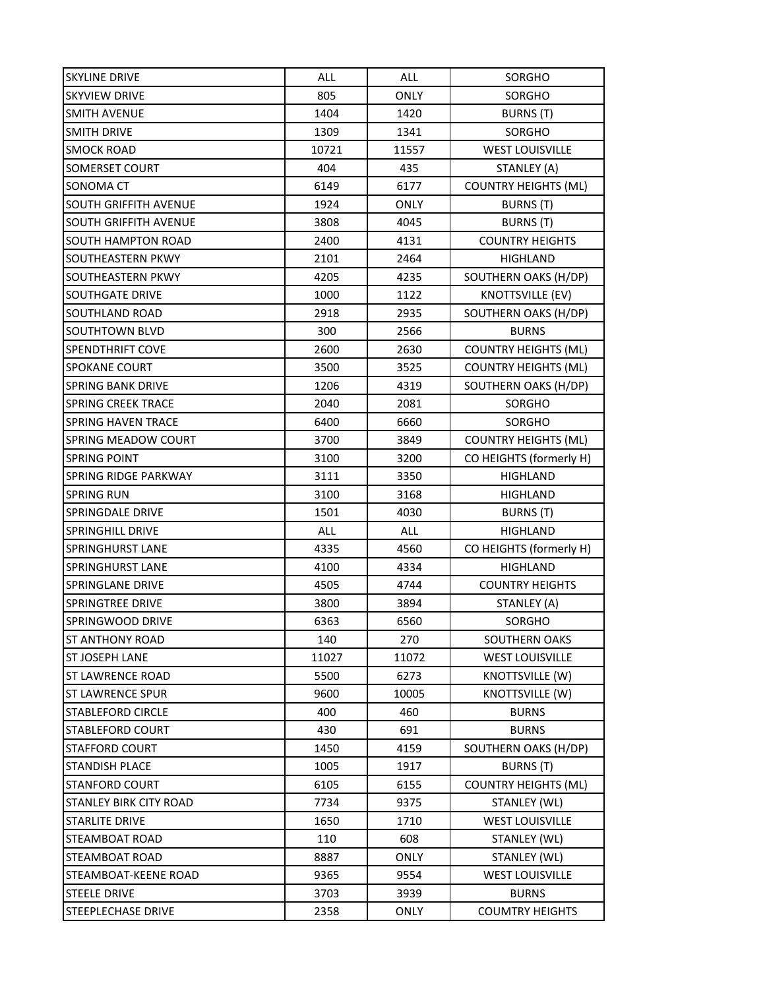| <b>SKYLINE DRIVE</b>      | ALL   | <b>ALL</b>  | SORGHO                      |
|---------------------------|-------|-------------|-----------------------------|
| <b>SKYVIEW DRIVE</b>      | 805   | ONLY        | SORGHO                      |
| <b>SMITH AVENUE</b>       | 1404  | 1420        | BURNS (T)                   |
| <b>SMITH DRIVE</b>        | 1309  | 1341        | <b>SORGHO</b>               |
| <b>SMOCK ROAD</b>         | 10721 | 11557       | <b>WEST LOUISVILLE</b>      |
| SOMERSET COURT            | 404   | 435         | STANLEY (A)                 |
| SONOMA CT                 | 6149  | 6177        | <b>COUNTRY HEIGHTS (ML)</b> |
| SOUTH GRIFFITH AVENUE     | 1924  | <b>ONLY</b> | BURNS (T)                   |
| SOUTH GRIFFITH AVENUE     | 3808  | 4045        | <b>BURNS (T)</b>            |
| <b>SOUTH HAMPTON ROAD</b> | 2400  | 4131        | <b>COUNTRY HEIGHTS</b>      |
| SOUTHEASTERN PKWY         | 2101  | 2464        | <b>HIGHLAND</b>             |
| SOUTHEASTERN PKWY         | 4205  | 4235        | SOUTHERN OAKS (H/DP)        |
| SOUTHGATE DRIVE           | 1000  | 1122        | <b>KNOTTSVILLE (EV)</b>     |
| SOUTHLAND ROAD            | 2918  | 2935        | SOUTHERN OAKS (H/DP)        |
| SOUTHTOWN BLVD            | 300   | 2566        | <b>BURNS</b>                |
| <b>SPENDTHRIFT COVE</b>   | 2600  | 2630        | <b>COUNTRY HEIGHTS (ML)</b> |
| <b>SPOKANE COURT</b>      | 3500  | 3525        | <b>COUNTRY HEIGHTS (ML)</b> |
| SPRING BANK DRIVE         | 1206  | 4319        | SOUTHERN OAKS (H/DP)        |
| <b>SPRING CREEK TRACE</b> | 2040  | 2081        | SORGHO                      |
| <b>SPRING HAVEN TRACE</b> | 6400  | 6660        | SORGHO                      |
| SPRING MEADOW COURT       | 3700  | 3849        | <b>COUNTRY HEIGHTS (ML)</b> |
| <b>SPRING POINT</b>       | 3100  | 3200        | CO HEIGHTS (formerly H)     |
| SPRING RIDGE PARKWAY      | 3111  | 3350        | <b>HIGHLAND</b>             |
| <b>SPRING RUN</b>         | 3100  | 3168        | <b>HIGHLAND</b>             |
| SPRINGDALE DRIVE          | 1501  | 4030        | BURNS (T)                   |
| <b>SPRINGHILL DRIVE</b>   | ALL   | <b>ALL</b>  | <b>HIGHLAND</b>             |
| SPRINGHURST LANE          | 4335  | 4560        | CO HEIGHTS (formerly H)     |
| <b>SPRINGHURST LANE</b>   | 4100  | 4334        | HIGHLAND                    |
| SPRINGLANE DRIVE          | 4505  | 4744        | <b>COUNTRY HEIGHTS</b>      |
| SPRINGTREE DRIVE          | 3800  | 3894        | STANLEY (A)                 |
| SPRINGWOOD DRIVE          | 6363  | 6560        | <b>SORGHO</b>               |
| <b>ST ANTHONY ROAD</b>    | 140   | 270         | SOUTHERN OAKS               |
| ST JOSEPH LANE            | 11027 | 11072       | <b>WEST LOUISVILLE</b>      |
| <b>ST LAWRENCE ROAD</b>   | 5500  | 6273        | KNOTTSVILLE (W)             |
| <b>ST LAWRENCE SPUR</b>   | 9600  | 10005       | KNOTTSVILLE (W)             |
| STABLEFORD CIRCLE         | 400   | 460         | <b>BURNS</b>                |
| <b>STABLEFORD COURT</b>   | 430   | 691         | <b>BURNS</b>                |
| <b>STAFFORD COURT</b>     | 1450  | 4159        | SOUTHERN OAKS (H/DP)        |
| STANDISH PLACE            | 1005  | 1917        | BURNS (T)                   |
| <b>STANFORD COURT</b>     | 6105  | 6155        | <b>COUNTRY HEIGHTS (ML)</b> |
| STANLEY BIRK CITY ROAD    | 7734  | 9375        | STANLEY (WL)                |
| STARLITE DRIVE            | 1650  | 1710        | <b>WEST LOUISVILLE</b>      |
| STEAMBOAT ROAD            | 110   | 608         | STANLEY (WL)                |
| STEAMBOAT ROAD            | 8887  | <b>ONLY</b> | STANLEY (WL)                |
| STEAMBOAT-KEENE ROAD      | 9365  | 9554        | <b>WEST LOUISVILLE</b>      |
| <b>STEELE DRIVE</b>       | 3703  | 3939        | <b>BURNS</b>                |
| STEEPLECHASE DRIVE        | 2358  | ONLY        | <b>COUMTRY HEIGHTS</b>      |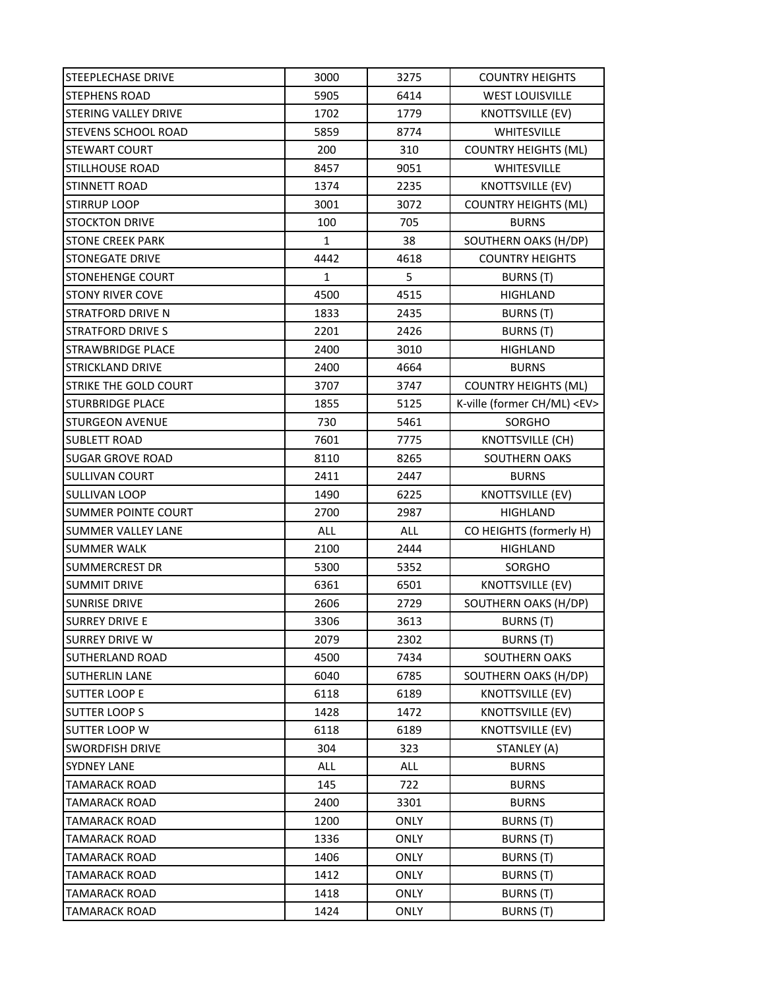| STEEPLECHASE DRIVE        | 3000         | 3275        | <b>COUNTRY HEIGHTS</b>           |
|---------------------------|--------------|-------------|----------------------------------|
| <b>STEPHENS ROAD</b>      | 5905         | 6414        | <b>WEST LOUISVILLE</b>           |
| STERING VALLEY DRIVE      | 1702         | 1779        | <b>KNOTTSVILLE (EV)</b>          |
| STEVENS SCHOOL ROAD       | 5859         | 8774        | WHITESVILLE                      |
| <b>STEWART COURT</b>      | 200          | 310         | <b>COUNTRY HEIGHTS (ML)</b>      |
| <b>STILLHOUSE ROAD</b>    | 8457         | 9051        | WHITESVILLE                      |
| STINNETT ROAD             | 1374         | 2235        | <b>KNOTTSVILLE (EV)</b>          |
| <b>STIRRUP LOOP</b>       | 3001         | 3072        | <b>COUNTRY HEIGHTS (ML)</b>      |
| <b>STOCKTON DRIVE</b>     | 100          | 705         | <b>BURNS</b>                     |
| <b>STONE CREEK PARK</b>   | $\mathbf{1}$ | 38          | SOUTHERN OAKS (H/DP)             |
| STONEGATE DRIVE           | 4442         | 4618        | <b>COUNTRY HEIGHTS</b>           |
| <b>STONEHENGE COURT</b>   | $\mathbf{1}$ | 5           | BURNS (T)                        |
| <b>STONY RIVER COVE</b>   | 4500         | 4515        | <b>HIGHLAND</b>                  |
| <b>STRATFORD DRIVE N</b>  | 1833         | 2435        | BURNS (T)                        |
| <b>STRATFORD DRIVE S</b>  | 2201         | 2426        | BURNS (T)                        |
| STRAWBRIDGE PLACE         | 2400         | 3010        | <b>HIGHLAND</b>                  |
| <b>STRICKLAND DRIVE</b>   | 2400         | 4664        | <b>BURNS</b>                     |
| STRIKE THE GOLD COURT     | 3707         | 3747        | <b>COUNTRY HEIGHTS (ML)</b>      |
| STURBRIDGE PLACE          | 1855         | 5125        | K-ville (former CH/ML) <ev></ev> |
| <b>STURGEON AVENUE</b>    | 730          | 5461        | SORGHO                           |
| <b>SUBLETT ROAD</b>       | 7601         | 7775        | <b>KNOTTSVILLE (CH)</b>          |
| <b>SUGAR GROVE ROAD</b>   | 8110         | 8265        | SOUTHERN OAKS                    |
| SULLIVAN COURT            | 2411         | 2447        | <b>BURNS</b>                     |
| SULLIVAN LOOP             | 1490         | 6225        | KNOTTSVILLE (EV)                 |
| SUMMER POINTE COURT       | 2700         | 2987        | <b>HIGHLAND</b>                  |
| <b>SUMMER VALLEY LANE</b> | ALL          | <b>ALL</b>  | CO HEIGHTS (formerly H)          |
| <b>SUMMER WALK</b>        | 2100         | 2444        | <b>HIGHLAND</b>                  |
| SUMMERCREST DR            | 5300         | 5352        | SORGHO                           |
| <b>SUMMIT DRIVE</b>       | 6361         | 6501        | <b>KNOTTSVILLE (EV)</b>          |
| <b>SUNRISE DRIVE</b>      | 2606         | 2729        | SOUTHERN OAKS (H/DP)             |
| <b>SURREY DRIVE E</b>     | 3306         | 3613        | BURNS (T)                        |
| <b>SURREY DRIVE W</b>     | 2079         | 2302        | BURNS (T)                        |
| <b>SUTHERLAND ROAD</b>    | 4500         | 7434        | SOUTHERN OAKS                    |
| SUTHERLIN LANE            | 6040         | 6785        | SOUTHERN OAKS (H/DP)             |
| <b>SUTTER LOOP E</b>      | 6118         | 6189        | <b>KNOTTSVILLE (EV)</b>          |
| <b>SUTTER LOOP S</b>      | 1428         | 1472        | KNOTTSVILLE (EV)                 |
| <b>SUTTER LOOP W</b>      | 6118         | 6189        | KNOTTSVILLE (EV)                 |
| <b>SWORDFISH DRIVE</b>    | 304          | 323         | STANLEY (A)                      |
| <b>SYDNEY LANE</b>        | ALL          | ALL         | <b>BURNS</b>                     |
| <b>TAMARACK ROAD</b>      | 145          | 722         | <b>BURNS</b>                     |
| <b>TAMARACK ROAD</b>      | 2400         | 3301        | <b>BURNS</b>                     |
| <b>TAMARACK ROAD</b>      | 1200         | ONLY        | BURNS (T)                        |
| <b>TAMARACK ROAD</b>      | 1336         | <b>ONLY</b> | BURNS (T)                        |
| <b>TAMARACK ROAD</b>      | 1406         | <b>ONLY</b> | BURNS (T)                        |
| <b>TAMARACK ROAD</b>      | 1412         | <b>ONLY</b> | BURNS (T)                        |
| TAMARACK ROAD             | 1418         | <b>ONLY</b> | BURNS (T)                        |
| <b>TAMARACK ROAD</b>      | 1424         | ONLY        | <b>BURNS (T)</b>                 |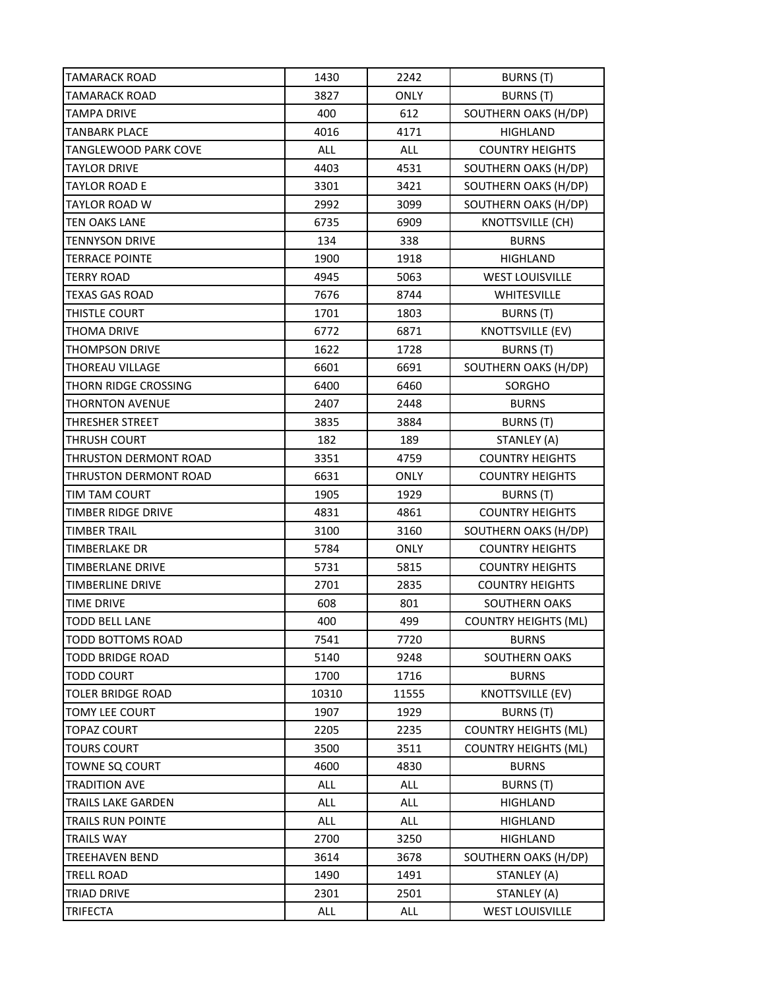| <b>TAMARACK ROAD</b>        | 1430  | 2242        | BURNS (T)                   |
|-----------------------------|-------|-------------|-----------------------------|
| <b>TAMARACK ROAD</b>        | 3827  | <b>ONLY</b> | <b>BURNS</b> (T)            |
| <b>TAMPA DRIVE</b>          | 400   | 612         | SOUTHERN OAKS (H/DP)        |
| <b>TANBARK PLACE</b>        | 4016  | 4171        | <b>HIGHLAND</b>             |
| <b>TANGLEWOOD PARK COVE</b> | ALL   | ALL         | <b>COUNTRY HEIGHTS</b>      |
| <b>TAYLOR DRIVE</b>         | 4403  | 4531        | SOUTHERN OAKS (H/DP)        |
| <b>TAYLOR ROAD E</b>        | 3301  | 3421        | SOUTHERN OAKS (H/DP)        |
| <b>TAYLOR ROAD W</b>        | 2992  | 3099        | SOUTHERN OAKS (H/DP)        |
| <b>TEN OAKS LANE</b>        | 6735  | 6909        | KNOTTSVILLE (CH)            |
| <b>TENNYSON DRIVE</b>       | 134   | 338         | <b>BURNS</b>                |
| <b>TERRACE POINTE</b>       | 1900  | 1918        | HIGHLAND                    |
| <b>TERRY ROAD</b>           | 4945  | 5063        | <b>WEST LOUISVILLE</b>      |
| <b>TEXAS GAS ROAD</b>       | 7676  | 8744        | <b>WHITESVILLE</b>          |
| THISTLE COURT               | 1701  | 1803        | BURNS (T)                   |
| THOMA DRIVE                 | 6772  | 6871        | KNOTTSVILLE (EV)            |
| <b>THOMPSON DRIVE</b>       | 1622  | 1728        | BURNS (T)                   |
| <b>THOREAU VILLAGE</b>      | 6601  | 6691        | SOUTHERN OAKS (H/DP)        |
| THORN RIDGE CROSSING        | 6400  | 6460        | SORGHO                      |
| <b>THORNTON AVENUE</b>      | 2407  | 2448        | <b>BURNS</b>                |
| THRESHER STREET             | 3835  | 3884        | BURNS (T)                   |
| THRUSH COURT                | 182   | 189         | STANLEY (A)                 |
| THRUSTON DERMONT ROAD       | 3351  | 4759        | <b>COUNTRY HEIGHTS</b>      |
| THRUSTON DERMONT ROAD       | 6631  | <b>ONLY</b> | <b>COUNTRY HEIGHTS</b>      |
| TIM TAM COURT               | 1905  | 1929        | BURNS (T)                   |
| TIMBER RIDGE DRIVE          | 4831  | 4861        | <b>COUNTRY HEIGHTS</b>      |
| <b>TIMBER TRAIL</b>         | 3100  | 3160        | SOUTHERN OAKS (H/DP)        |
| TIMBERLAKE DR               | 5784  | <b>ONLY</b> | <b>COUNTRY HEIGHTS</b>      |
| <b>TIMBERLANE DRIVE</b>     | 5731  | 5815        | <b>COUNTRY HEIGHTS</b>      |
| <b>TIMBERLINE DRIVE</b>     | 2701  | 2835        | <b>COUNTRY HEIGHTS</b>      |
| <b>TIME DRIVE</b>           | 608   | 801         | SOUTHERN OAKS               |
| <b>TODD BELL LANE</b>       | 400   | 499         | <b>COUNTRY HEIGHTS (ML)</b> |
| TODD BOTTOMS ROAD           | 7541  | 7720        | <b>BURNS</b>                |
| <b>TODD BRIDGE ROAD</b>     | 5140  | 9248        | SOUTHERN OAKS               |
| <b>TODD COURT</b>           | 1700  | 1716        | <b>BURNS</b>                |
| <b>TOLER BRIDGE ROAD</b>    | 10310 | 11555       | KNOTTSVILLE (EV)            |
| <b>TOMY LEE COURT</b>       | 1907  | 1929        | BURNS (T)                   |
| <b>TOPAZ COURT</b>          | 2205  | 2235        | <b>COUNTRY HEIGHTS (ML)</b> |
| <b>TOURS COURT</b>          | 3500  | 3511        | <b>COUNTRY HEIGHTS (ML)</b> |
| <b>TOWNE SQ COURT</b>       | 4600  | 4830        | <b>BURNS</b>                |
| <b>TRADITION AVE</b>        | ALL   | <b>ALL</b>  | BURNS (T)                   |
| TRAILS LAKE GARDEN          | ALL   | ALL         | HIGHLAND                    |
| TRAILS RUN POINTE           | ALL   | ALL         | HIGHLAND                    |
| <b>TRAILS WAY</b>           | 2700  | 3250        | <b>HIGHLAND</b>             |
| TREEHAVEN BEND              | 3614  | 3678        | SOUTHERN OAKS (H/DP)        |
| <b>TRELL ROAD</b>           | 1490  | 1491        | STANLEY (A)                 |
| TRIAD DRIVE                 | 2301  | 2501        | STANLEY (A)                 |
| <b>TRIFECTA</b>             | ALL   | ALL         | <b>WEST LOUISVILLE</b>      |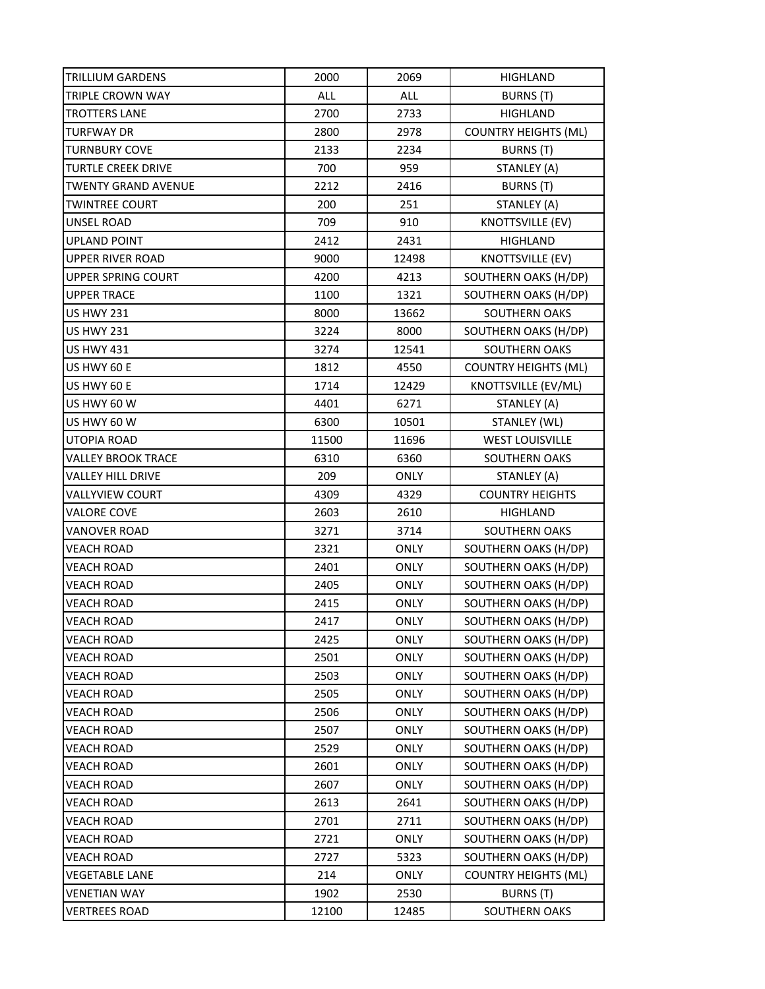| TRILLIUM GARDENS           | 2000  | 2069        | HIGHLAND                    |
|----------------------------|-------|-------------|-----------------------------|
| TRIPLE CROWN WAY           | ALL   | ALL         | BURNS (T)                   |
| <b>TROTTERS LANE</b>       | 2700  | 2733        | <b>HIGHLAND</b>             |
| <b>TURFWAY DR</b>          | 2800  | 2978        | <b>COUNTRY HEIGHTS (ML)</b> |
| <b>TURNBURY COVE</b>       | 2133  | 2234        | BURNS (T)                   |
| <b>TURTLE CREEK DRIVE</b>  | 700   | 959         | STANLEY (A)                 |
| <b>TWENTY GRAND AVENUE</b> | 2212  | 2416        | BURNS (T)                   |
| TWINTREE COURT             | 200   | 251         | STANLEY (A)                 |
| UNSEL ROAD                 | 709   | 910         | <b>KNOTTSVILLE (EV)</b>     |
| UPLAND POINT               | 2412  | 2431        | HIGHLAND                    |
| UPPER RIVER ROAD           | 9000  | 12498       | <b>KNOTTSVILLE (EV)</b>     |
| <b>UPPER SPRING COURT</b>  | 4200  | 4213        | SOUTHERN OAKS (H/DP)        |
| <b>UPPER TRACE</b>         | 1100  | 1321        | SOUTHERN OAKS (H/DP)        |
| <b>US HWY 231</b>          | 8000  | 13662       | <b>SOUTHERN OAKS</b>        |
| <b>US HWY 231</b>          | 3224  | 8000        | SOUTHERN OAKS (H/DP)        |
| <b>US HWY 431</b>          | 3274  | 12541       | SOUTHERN OAKS               |
| US HWY 60 E                | 1812  | 4550        | <b>COUNTRY HEIGHTS (ML)</b> |
| US HWY 60 E                | 1714  | 12429       | KNOTTSVILLE (EV/ML)         |
| US HWY 60 W                | 4401  | 6271        | STANLEY (A)                 |
| US HWY 60 W                | 6300  | 10501       | STANLEY (WL)                |
| UTOPIA ROAD                | 11500 | 11696       | <b>WEST LOUISVILLE</b>      |
| VALLEY BROOK TRACE         | 6310  | 6360        | <b>SOUTHERN OAKS</b>        |
| VALLEY HILL DRIVE          | 209   | <b>ONLY</b> | STANLEY (A)                 |
| VALLYVIEW COURT            | 4309  | 4329        | <b>COUNTRY HEIGHTS</b>      |
| VALORE COVE                | 2603  | 2610        | <b>HIGHLAND</b>             |
| VANOVER ROAD               | 3271  | 3714        | SOUTHERN OAKS               |
| VEACH ROAD                 | 2321  | <b>ONLY</b> | SOUTHERN OAKS (H/DP)        |
| <b>VEACH ROAD</b>          | 2401  | <b>ONLY</b> | SOUTHERN OAKS (H/DP)        |
| VEACH ROAD                 | 2405  | <b>ONLY</b> | SOUTHERN OAKS (H/DP)        |
| <b>VEACH ROAD</b>          | 2415  | <b>ONLY</b> | SOUTHERN OAKS (H/DP)        |
| <b>VEACH ROAD</b>          | 2417  | <b>ONLY</b> | SOUTHERN OAKS (H/DP)        |
| VEACH ROAD                 | 2425  | <b>ONLY</b> | SOUTHERN OAKS (H/DP)        |
| VEACH ROAD                 | 2501  | ONLY        | SOUTHERN OAKS (H/DP)        |
| VEACH ROAD                 | 2503  | ONLY        | SOUTHERN OAKS (H/DP)        |
| <b>VEACH ROAD</b>          | 2505  | ONLY        | SOUTHERN OAKS (H/DP)        |
| VEACH ROAD                 | 2506  | <b>ONLY</b> | SOUTHERN OAKS (H/DP)        |
| VEACH ROAD                 | 2507  | <b>ONLY</b> | SOUTHERN OAKS (H/DP)        |
| VEACH ROAD                 | 2529  | ONLY        | SOUTHERN OAKS (H/DP)        |
| VEACH ROAD                 | 2601  | <b>ONLY</b> | SOUTHERN OAKS (H/DP)        |
| VEACH ROAD                 | 2607  | ONLY        | SOUTHERN OAKS (H/DP)        |
| VEACH ROAD                 | 2613  | 2641        | SOUTHERN OAKS (H/DP)        |
| <b>VEACH ROAD</b>          | 2701  | 2711        | SOUTHERN OAKS (H/DP)        |
| VEACH ROAD                 | 2721  | <b>ONLY</b> | SOUTHERN OAKS (H/DP)        |
| VEACH ROAD                 | 2727  | 5323        | SOUTHERN OAKS (H/DP)        |
| <b>VEGETABLE LANE</b>      | 214   | ONLY        | <b>COUNTRY HEIGHTS (ML)</b> |
| VENETIAN WAY               | 1902  | 2530        | BURNS (T)                   |
| <b>VERTREES ROAD</b>       | 12100 | 12485       | SOUTHERN OAKS               |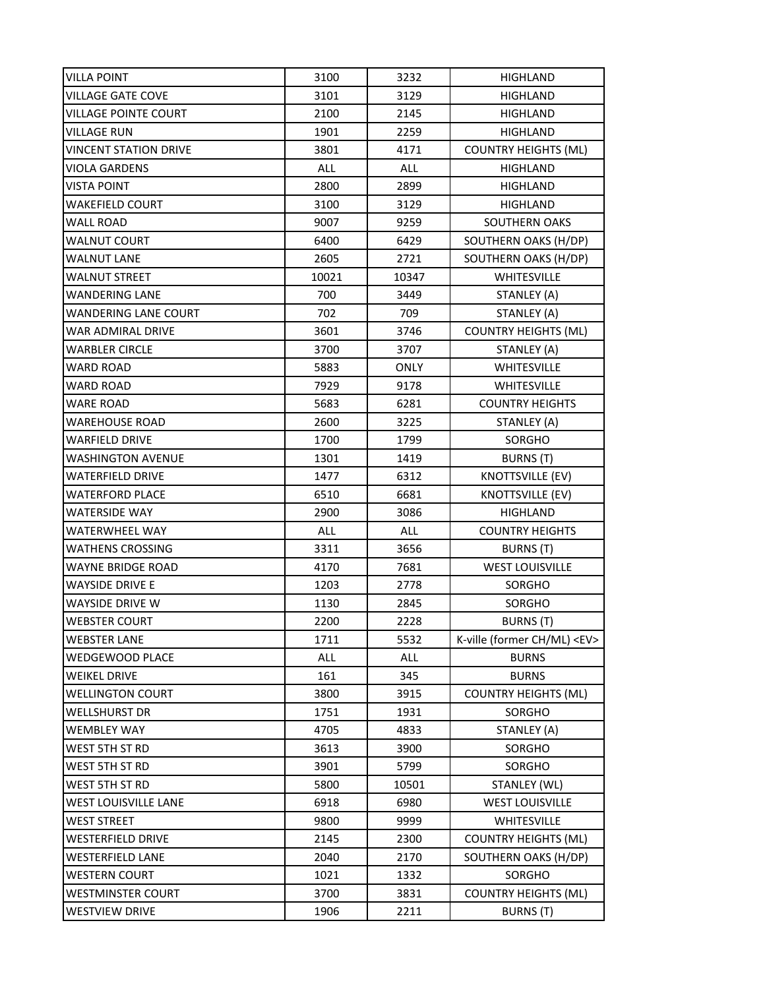| VILLA POINT                  | 3100  | 3232        | HIGHLAND                         |
|------------------------------|-------|-------------|----------------------------------|
| <b>VILLAGE GATE COVE</b>     | 3101  | 3129        | HIGHLAND                         |
| VILLAGE POINTE COURT         | 2100  | 2145        | HIGHLAND                         |
| VILLAGE RUN                  | 1901  | 2259        | HIGHLAND                         |
| <b>VINCENT STATION DRIVE</b> | 3801  | 4171        | <b>COUNTRY HEIGHTS (ML)</b>      |
| VIOLA GARDENS                | ALL   | ALL         | HIGHLAND                         |
| VISTA POINT                  | 2800  | 2899        | HIGHLAND                         |
| WAKEFIELD COURT              | 3100  | 3129        | HIGHLAND                         |
| <b>WALL ROAD</b>             | 9007  | 9259        | SOUTHERN OAKS                    |
| WALNUT COURT                 | 6400  | 6429        | SOUTHERN OAKS (H/DP)             |
| <b>WALNUT LANE</b>           | 2605  | 2721        | SOUTHERN OAKS (H/DP)             |
| WALNUT STREET                | 10021 | 10347       | WHITESVILLE                      |
| WANDERING LANE               | 700   | 3449        | STANLEY (A)                      |
| <b>WANDERING LANE COURT</b>  | 702   | 709         | STANLEY (A)                      |
| WAR ADMIRAL DRIVE            | 3601  | 3746        | <b>COUNTRY HEIGHTS (ML)</b>      |
| <b>WARBLER CIRCLE</b>        | 3700  | 3707        | STANLEY (A)                      |
| WARD ROAD                    | 5883  | <b>ONLY</b> | <b>WHITESVILLE</b>               |
| <b>WARD ROAD</b>             | 7929  | 9178        | <b>WHITESVILLE</b>               |
| WARE ROAD                    | 5683  | 6281        | <b>COUNTRY HEIGHTS</b>           |
| WAREHOUSE ROAD               | 2600  | 3225        | STANLEY (A)                      |
| WARFIELD DRIVE               | 1700  | 1799        | SORGHO                           |
| WASHINGTON AVENUE            | 1301  | 1419        | BURNS (T)                        |
| WATERFIELD DRIVE             | 1477  | 6312        | <b>KNOTTSVILLE (EV)</b>          |
| WATERFORD PLACE              | 6510  | 6681        | KNOTTSVILLE (EV)                 |
| WATERSIDE WAY                | 2900  | 3086        | HIGHLAND                         |
| WATERWHEEL WAY               | ALL   | ALL         | <b>COUNTRY HEIGHTS</b>           |
| WATHENS CROSSING             | 3311  | 3656        | BURNS (T)                        |
| WAYNE BRIDGE ROAD            | 4170  | 7681        | <b>WEST LOUISVILLE</b>           |
| WAYSIDE DRIVE E              | 1203  | 2778        | SORGHO                           |
| WAYSIDE DRIVE W              | 1130  | 2845        | SORGHO                           |
| WEBSTER COURT                | 2200  | 2228        | BURNS (T)                        |
| <b>WEBSTER LANE</b>          | 1711  | 5532        | K-ville (former CH/ML) <ev></ev> |
| WEDGEWOOD PLACE              | ALL   | <b>ALL</b>  | <b>BURNS</b>                     |
| WEIKEL DRIVE                 | 161   | 345         | <b>BURNS</b>                     |
| <b>WELLINGTON COURT</b>      | 3800  | 3915        | <b>COUNTRY HEIGHTS (ML)</b>      |
| WELLSHURST DR                | 1751  | 1931        | SORGHO                           |
| WEMBLEY WAY                  | 4705  | 4833        | STANLEY (A)                      |
| WEST 5TH ST RD               | 3613  | 3900        | SORGHO                           |
| WEST 5TH ST RD               | 3901  | 5799        | SORGHO                           |
| WEST 5TH ST RD               | 5800  | 10501       | STANLEY (WL)                     |
| WEST LOUISVILLE LANE         | 6918  | 6980        | <b>WEST LOUISVILLE</b>           |
| <b>WEST STREET</b>           | 9800  | 9999        | WHITESVILLE                      |
| WESTERFIELD DRIVE            | 2145  | 2300        | <b>COUNTRY HEIGHTS (ML)</b>      |
| <b>WESTERFIELD LANE</b>      | 2040  | 2170        | SOUTHERN OAKS (H/DP)             |
| WESTERN COURT                | 1021  | 1332        | SORGHO                           |
| WESTMINSTER COURT            | 3700  | 3831        | <b>COUNTRY HEIGHTS (ML)</b>      |
| WESTVIEW DRIVE               | 1906  | 2211        | <b>BURNS (T)</b>                 |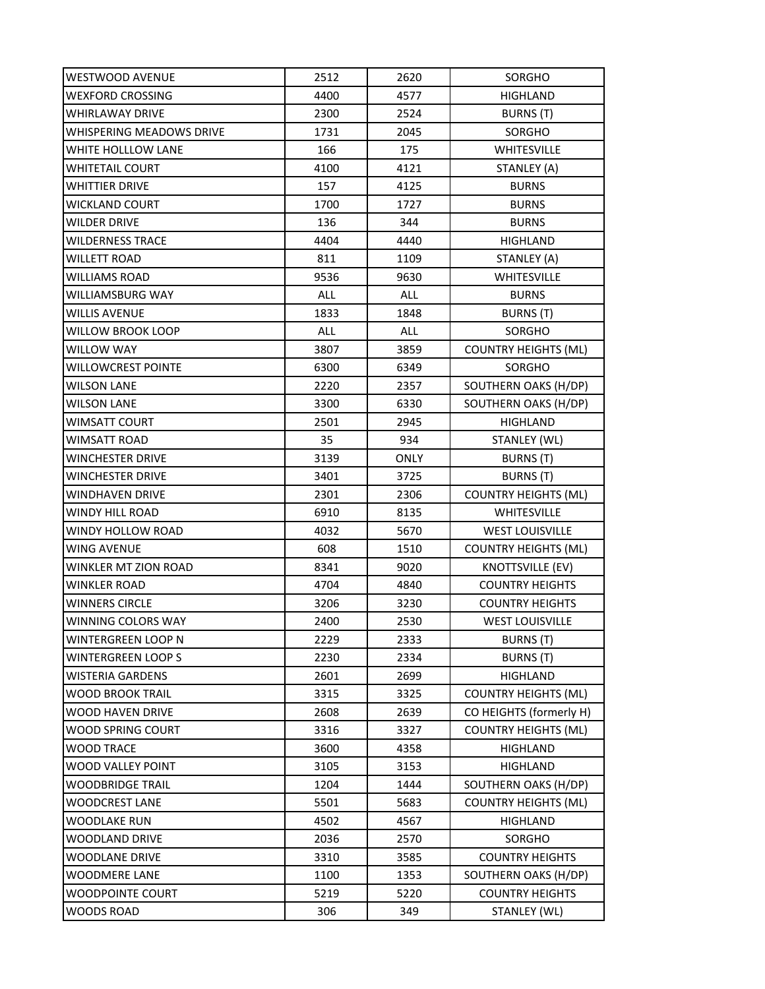| WESTWOOD AVENUE          | 2512       | 2620        | SORGHO                      |
|--------------------------|------------|-------------|-----------------------------|
| <b>WEXFORD CROSSING</b>  | 4400       | 4577        | <b>HIGHLAND</b>             |
| WHIRLAWAY DRIVE          | 2300       | 2524        | BURNS (T)                   |
| WHISPERING MEADOWS DRIVE | 1731       | 2045        | SORGHO                      |
| WHITE HOLLLOW LANE       | 166        | 175         | <b>WHITESVILLE</b>          |
| WHITETAIL COURT          | 4100       | 4121        | STANLEY (A)                 |
| WHITTIER DRIVE           | 157        | 4125        | <b>BURNS</b>                |
| WICKLAND COURT           | 1700       | 1727        | <b>BURNS</b>                |
| WILDER DRIVE             | 136        | 344         | <b>BURNS</b>                |
| WILDERNESS TRACE         | 4404       | 4440        | HIGHLAND                    |
| WILLETT ROAD             | 811        | 1109        | STANLEY (A)                 |
| WILLIAMS ROAD            | 9536       | 9630        | WHITESVILLE                 |
| WILLIAMSBURG WAY         | <b>ALL</b> | <b>ALL</b>  | <b>BURNS</b>                |
| WILLIS AVENUE            | 1833       | 1848        | BURNS (T)                   |
| WILLOW BROOK LOOP        | ALL        | ALL         | SORGHO                      |
| WILLOW WAY               | 3807       | 3859        | <b>COUNTRY HEIGHTS (ML)</b> |
| WILLOWCREST POINTE       | 6300       | 6349        | SORGHO                      |
| <b>WILSON LANE</b>       | 2220       | 2357        | SOUTHERN OAKS (H/DP)        |
| <b>WILSON LANE</b>       | 3300       | 6330        | SOUTHERN OAKS (H/DP)        |
| WIMSATT COURT            | 2501       | 2945        | HIGHLAND                    |
| WIMSATT ROAD             | 35         | 934         | STANLEY (WL)                |
| WINCHESTER DRIVE         | 3139       | <b>ONLY</b> | BURNS (T)                   |
| WINCHESTER DRIVE         | 3401       | 3725        | BURNS (T)                   |
| WINDHAVEN DRIVE          | 2301       | 2306        | <b>COUNTRY HEIGHTS (ML)</b> |
| WINDY HILL ROAD          | 6910       | 8135        | WHITESVILLE                 |
| WINDY HOLLOW ROAD        | 4032       | 5670        | <b>WEST LOUISVILLE</b>      |
| WING AVENUE              | 608        | 1510        | <b>COUNTRY HEIGHTS (ML)</b> |
| WINKLER MT ZION ROAD     | 8341       | 9020        | <b>KNOTTSVILLE (EV)</b>     |
| WINKLER ROAD             | 4704       | 4840        | <b>COUNTRY HEIGHTS</b>      |
| WINNERS CIRCLE           | 3206       | 3230        | <b>COUNTRY HEIGHTS</b>      |
| WINNING COLORS WAY       | 2400       | 2530        | <b>WEST LOUISVILLE</b>      |
| WINTERGREEN LOOP N       | 2229       | 2333        | BURNS (T)                   |
| WINTERGREEN LOOP S       | 2230       | 2334        | <b>BURNS (T)</b>            |
| WISTERIA GARDENS         | 2601       | 2699        | <b>HIGHLAND</b>             |
| WOOD BROOK TRAIL         | 3315       | 3325        | <b>COUNTRY HEIGHTS (ML)</b> |
| WOOD HAVEN DRIVE         | 2608       | 2639        | CO HEIGHTS (formerly H)     |
| WOOD SPRING COURT        | 3316       | 3327        | <b>COUNTRY HEIGHTS (ML)</b> |
| WOOD TRACE               | 3600       | 4358        | <b>HIGHLAND</b>             |
| WOOD VALLEY POINT        | 3105       | 3153        | HIGHLAND                    |
| WOODBRIDGE TRAIL         | 1204       | 1444        | SOUTHERN OAKS (H/DP)        |
| WOODCREST LANE           | 5501       | 5683        | <b>COUNTRY HEIGHTS (ML)</b> |
| WOODLAKE RUN             | 4502       | 4567        | <b>HIGHLAND</b>             |
| WOODLAND DRIVE           | 2036       | 2570        | SORGHO                      |
| WOODLANE DRIVE           | 3310       | 3585        | <b>COUNTRY HEIGHTS</b>      |
| WOODMERE LANE            | 1100       | 1353        | SOUTHERN OAKS (H/DP)        |
| WOODPOINTE COURT         | 5219       | 5220        | <b>COUNTRY HEIGHTS</b>      |
| <b>WOODS ROAD</b>        | 306        | 349         | STANLEY (WL)                |